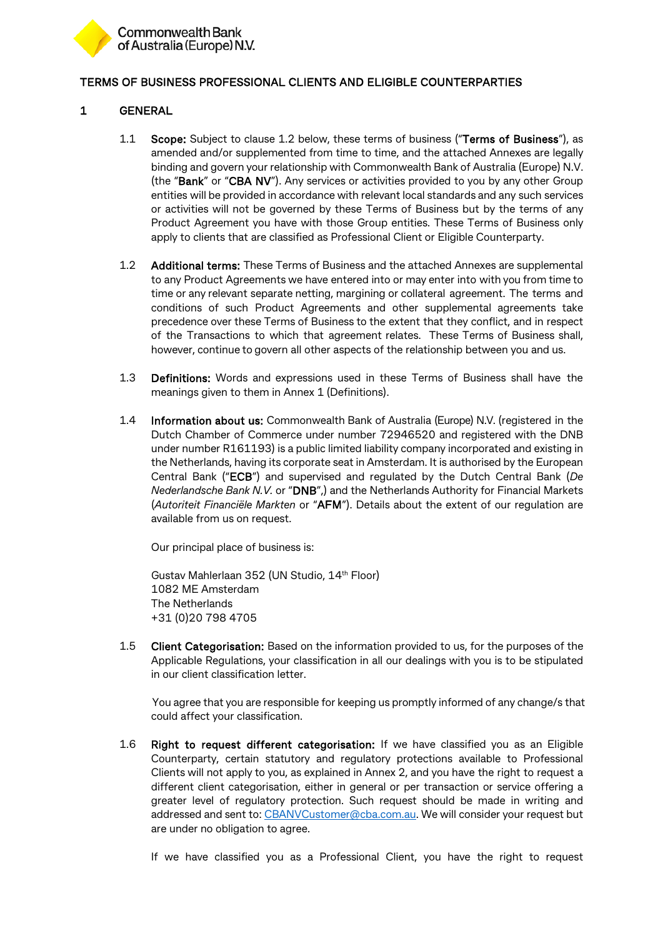

## TERMS OF BUSINESS PROFESSIONAL CLIENTS AND ELIGIBLE COUNTERPARTIES

## 1 GENERAL

- 1.1 Scope: Subject to clause 1.2 below, these terms of business ("Terms of Business"), as amended and/or supplemented from time to time, and the attached Annexes are legally binding and govern your relationship with Commonwealth Bank of Australia (Europe) N.V. (the "Bank" or "CBA NV"). Any services or activities provided to you by any other Group entities will be provided in accordance with relevant local standards and any such services or activities will not be governed by these Terms of Business but by the terms of any Product Agreement you have with those Group entities. These Terms of Business only apply to clients that are classified as Professional Client or Eligible Counterparty.
- 1.2 Additional terms: These Terms of Business and the attached Annexes are supplemental to any Product Agreements we have entered into or may enter into with you from time to time or any relevant separate netting, margining or collateral agreement. The terms and conditions of such Product Agreements and other supplemental agreements take precedence over these Terms of Business to the extent that they conflict, and in respect of the Transactions to which that agreement relates. These Terms of Business shall, however, continue to govern all other aspects of the relationship between you and us.
- 1.3 Definitions: Words and expressions used in these Terms of Business shall have the meanings given to them in Annex 1 (Definitions).
- 1.4 Information about us: Commonwealth Bank of Australia (Europe) N.V. (registered in the Dutch Chamber of Commerce under number 72946520 and registered with the DNB under number R161193) is a public limited liability company incorporated and existing in the Netherlands, having its corporate seat in Amsterdam. It is authorised by the European Central Bank ("ECB") and supervised and regulated by the Dutch Central Bank (*De Nederlandsche Bank N.V.* or "DNB",) and the Netherlands Authority for Financial Markets (*Autoriteit Financiële Markten* or "AFM"). Details about the extent of our regulation are available from us on request.

Our principal place of business is:

Gustav Mahlerlaan 352 (UN Studio, 14<sup>th</sup> Floor) 1082 ME Amsterdam The Netherlands +31 (0)20 798 4705

1.5 Client Categorisation: Based on the information provided to us, for the purposes of the Applicable Regulations, your classification in all our dealings with you is to be stipulated in our client classification letter.

You agree that you are responsible for keeping us promptly informed of any change/s that could affect your classification.

1.6 Right to request different categorisation: If we have classified you as an Eligible Counterparty, certain statutory and regulatory protections available to Professional Clients will not apply to you, as explained in Annex 2, and you have the right to request a different client categorisation, either in general or per transaction or service offering a greater level of regulatory protection. Such request should be made in writing and addressed and sent to: [CBANVCustomer@cba.com.au.](mailto:CBANVCustomer@cba.com.au) We will consider your request but are under no obligation to agree.

If we have classified you as a Professional Client, you have the right to request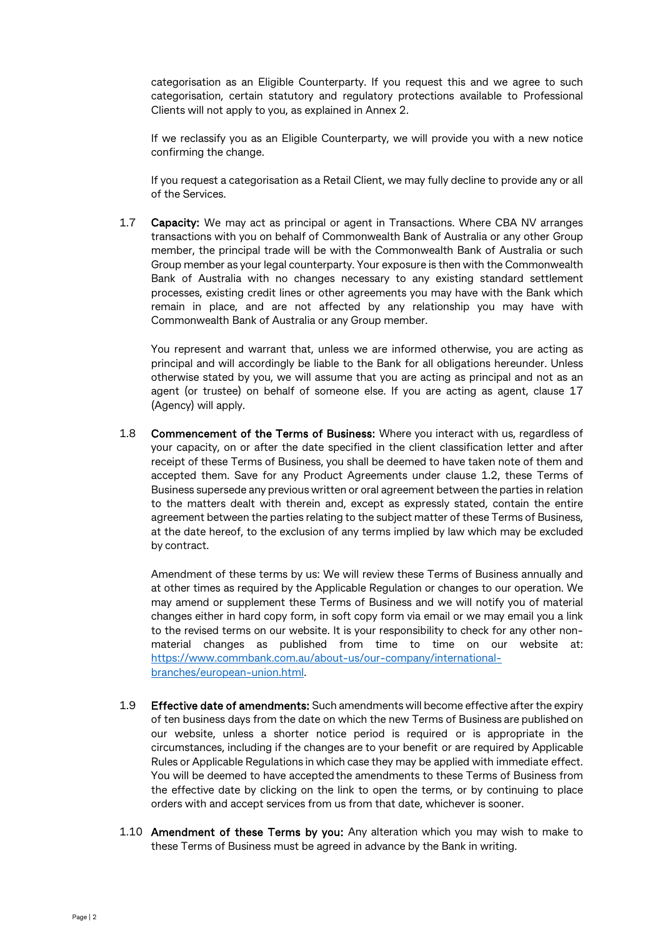categorisation as an Eligible Counterparty. If you request this and we agree to such categorisation, certain statutory and regulatory protections available to Professional Clients will not apply to you, as explained in Annex 2.

If we reclassify you as an Eligible Counterparty, we will provide you with a new notice confirming the change.

If you request a categorisation as a Retail Client, we may fully decline to provide any or all of the Services.

1.7 Capacity: We may act as principal or agent in Transactions. Where CBA NV arranges transactions with you on behalf of Commonwealth Bank of Australia or any other Group member, the principal trade will be with the Commonwealth Bank of Australia or such Group member as your legal counterparty. Your exposure is then with the Commonwealth Bank of Australia with no changes necessary to any existing standard settlement processes, existing credit lines or other agreements you may have with the Bank which remain in place, and are not affected by any relationship you may have with Commonwealth Bank of Australia or any Group member.

You represent and warrant that, unless we are informed otherwise, you are acting as principal and will accordingly be liable to the Bank for all obligations hereunder. Unless otherwise stated by you, we will assume that you are acting as principal and not as an agent (or trustee) on behalf of someone else. If you are acting as agent, clause 17 (Agency) will apply.

1.8 Commencement of the Terms of Business: Where you interact with us, regardless of your capacity, on or after the date specified in the client classification letter and after receipt of these Terms of Business, you shall be deemed to have taken note of them and accepted them. Save for any Product Agreements under clause 1.2, these Terms of Business supersede any previous written or oral agreement between the parties in relation to the matters dealt with therein and, except as expressly stated, contain the entire agreement between the parties relating to the subject matter of these Terms of Business, at the date hereof, to the exclusion of any terms implied by law which may be excluded by contract.

Amendment of these terms by us: We will review these Terms of Business annually and at other times as required by the Applicable Regulation or changes to our operation. We may amend or supplement these Terms of Business and we will notify you of material changes either in hard copy form, in soft copy form via email or we may email you a link to the revised terms on our website. It is your responsibility to check for any other nonmaterial changes as published from time to time on our website at: [https://www.commbank.com.au/about-us/our-company/international](https://www.commbank.com.au/about-us/our-company/international-branches/european-union.html)[branches/european-union.html.](https://www.commbank.com.au/about-us/our-company/international-branches/european-union.html)

- 1.9 Effective date of amendments: Such amendments will become effective after the expiry of ten business days from the date on which the new Terms of Business are published on our website, unless a shorter notice period is required or is appropriate in the circumstances, including if the changes are to your benefit or are required by Applicable Rules or Applicable Regulations in which case they may be applied with immediate effect. You will be deemed to have accepted the amendments to these Terms of Business from the effective date by clicking on the link to open the terms, or by continuing to place orders with and accept services from us from that date, whichever is sooner.
- 1.10 Amendment of these Terms by you: Any alteration which you may wish to make to these Terms of Business must be agreed in advance by the Bank in writing.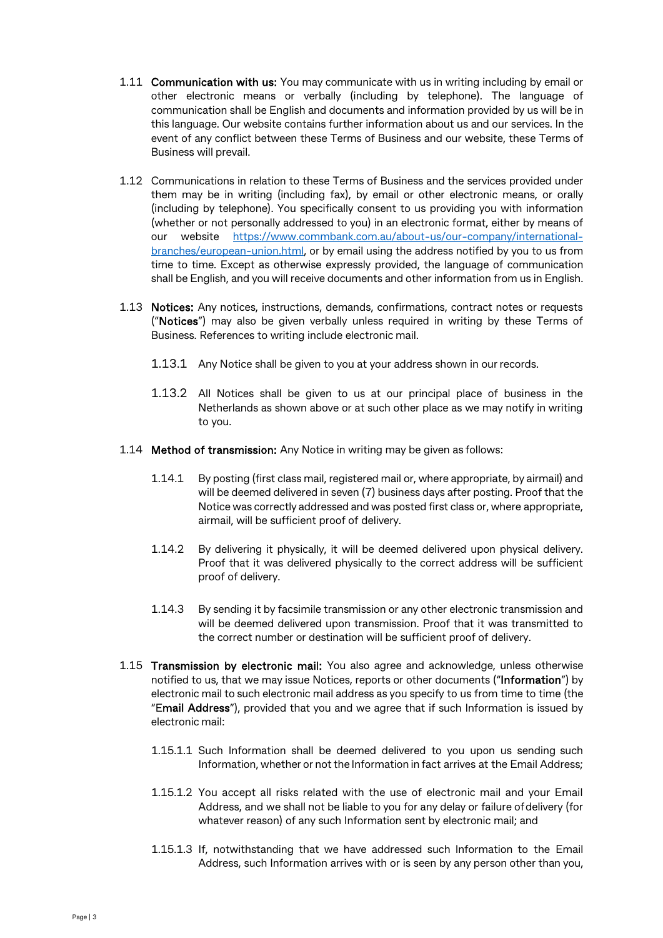- 1.11 Communication with us: You may communicate with us in writing including by email or other electronic means or verbally (including by telephone). The language of communication shall be English and documents and information provided by us will be in this language. Our website contains further information about us and our services. In the event of any conflict between these Terms of Business and our website, these Terms of Business will prevail.
- 1.12 Communications in relation to these Terms of Business and the services provided under them may be in writing (including fax), by email or other electronic means, or orally (including by telephone). You specifically consent to us providing you with information (whether or not personally addressed to you) in an electronic format, either by means of our website [https://www.commbank.com.au/about-us/our-company/international](https://www.commbank.com.au/about-us/our-company/international-branches/european-union.html)[branches/european-union.html,](https://www.commbank.com.au/about-us/our-company/international-branches/european-union.html) or by email using the address notified by you to us from time to time. Except as otherwise expressly provided, the language of communication shall be English, and you will receive documents and other information from us in English.
- 1.13 Notices: Any notices, instructions, demands, confirmations, contract notes or requests ("Notices") may also be given verbally unless required in writing by these Terms of Business. References to writing include electronic mail.
	- 1.13.1 Any Notice shall be given to you at your address shown in ourrecords.
	- 1.13.2 All Notices shall be given to us at our principal place of business in the Netherlands as shown above or at such other place as we may notify in writing to you.
- 1.14 Method of transmission: Any Notice in writing may be given as follows:
	- 1.14.1 By posting (first class mail, registered mail or, where appropriate, by airmail) and will be deemed delivered in seven (7) business days after posting. Proof that the Notice was correctly addressed and was posted first class or, where appropriate, airmail, will be sufficient proof of delivery.
	- 1.14.2 By delivering it physically, it will be deemed delivered upon physical delivery. Proof that it was delivered physically to the correct address will be sufficient proof of delivery.
	- 1.14.3 By sending it by facsimile transmission or any other electronic transmission and will be deemed delivered upon transmission. Proof that it was transmitted to the correct number or destination will be sufficient proof of delivery.
- 1.15 Transmission by electronic mail: You also agree and acknowledge, unless otherwise notified to us, that we may issue Notices, reports or other documents ("Information") by electronic mail to such electronic mail address as you specify to us from time to time (the "Email Address"), provided that you and we agree that if such Information is issued by electronic mail:
	- 1.15.1.1 Such Information shall be deemed delivered to you upon us sending such Information, whether or not the Information in fact arrives at the Email Address;
	- 1.15.1.2 You accept all risks related with the use of electronic mail and your Email Address, and we shall not be liable to you for any delay or failure ofdelivery (for whatever reason) of any such Information sent by electronic mail; and
	- 1.15.1.3 If, notwithstanding that we have addressed such Information to the Email Address, such Information arrives with or is seen by any person other than you,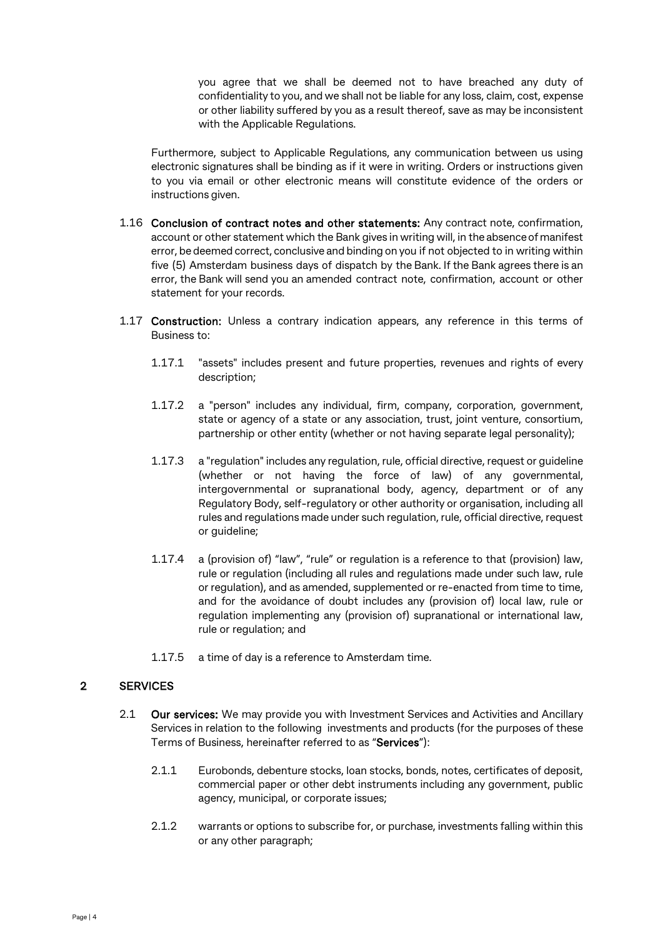you agree that we shall be deemed not to have breached any duty of confidentiality to you, and we shall not be liable for any loss, claim, cost, expense or other liability suffered by you as a result thereof, save as may be inconsistent with the Applicable Regulations.

Furthermore, subject to Applicable Regulations, any communication between us using electronic signatures shall be binding as if it were in writing. Orders or instructions given to you via email or other electronic means will constitute evidence of the orders or instructions given.

- 1.16 Conclusion of contract notes and other statements: Any contract note, confirmation, account or other statement which the Bank gives in writing will, in the absence of manifest error, be deemed correct, conclusive and binding on you if not objected to in writing within five (5) Amsterdam business days of dispatch by the Bank. If the Bank agrees there is an error, the Bank will send you an amended contract note, confirmation, account or other statement for your records.
- 1.17 Construction: Unless a contrary indication appears, any reference in this terms of Business to:
	- 1.17.1 "assets" includes present and future properties, revenues and rights of every description;
	- 1.17.2 a "person" includes any individual, firm, company, corporation, government, state or agency of a state or any association, trust, joint venture, consortium, partnership or other entity (whether or not having separate legal personality);
	- 1.17.3 a "regulation" includes any regulation, rule, official directive, request or guideline (whether or not having the force of law) of any governmental, intergovernmental or supranational body, agency, department or of any Regulatory Body, self-regulatory or other authority or organisation, including all rules and regulations made under such regulation, rule, official directive, request or quideline:
	- 1.17.4 a (provision of) "law", "rule" or regulation is a reference to that (provision) law, rule or regulation (including all rules and regulations made under such law, rule or regulation), and as amended, supplemented or re-enacted from time to time, and for the avoidance of doubt includes any (provision of) local law, rule or regulation implementing any (provision of) supranational or international law, rule or regulation; and
	- 1.17.5 a time of day is a reference to Amsterdam time.

## 2 SERVICES

- 2.1 **Our services:** We may provide you with Investment Services and Activities and Ancillary Services in relation to the following investments and products (for the purposes of these Terms of Business, hereinafter referred to as "Services"):
	- 2.1.1 Eurobonds, debenture stocks, loan stocks, bonds, notes, certificates of deposit, commercial paper or other debt instruments including any government, public agency, municipal, or corporate issues;
	- 2.1.2 warrants or options to subscribe for, or purchase, investments falling within this or any other paragraph;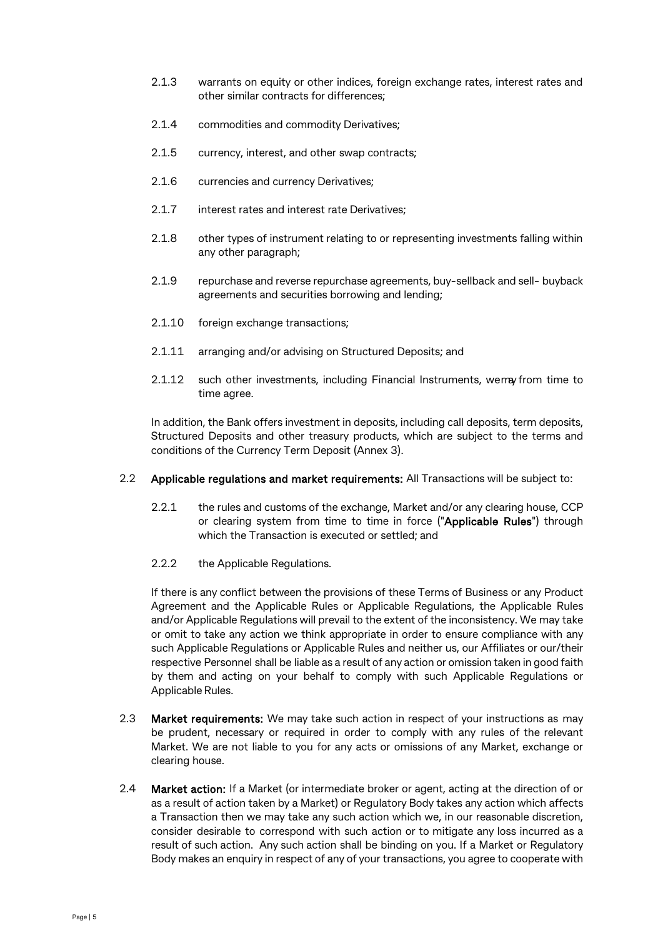- 2.1.3 warrants on equity or other indices, foreign exchange rates, interest rates and other similar contracts for differences;
- 2.1.4 commodities and commodity Derivatives;
- 2.1.5 currency, interest, and other swap contracts;
- 2.1.6 currencies and currency Derivatives;
- 2.1.7 interest rates and interest rate Derivatives:
- 2.1.8 other types of instrument relating to or representing investments falling within any other paragraph;
- 2.1.9 repurchase and reverse repurchase agreements, buy-sellback and sell- buyback agreements and securities borrowing and lending;
- 2.1.10 foreign exchange transactions;
- 2.1.11 arranging and/or advising on Structured Deposits; and
- 2.1.12 such other investments, including Financial Instruments, wemay from time to time agree.

In addition, the Bank offers investment in deposits, including call deposits, term deposits, Structured Deposits and other treasury products, which are subject to the terms and conditions of the Currency Term Deposit (Annex 3).

- 2.2 Applicable regulations and market requirements: All Transactions will be subject to:
	- 2.2.1 the rules and customs of the exchange, Market and/or any clearing house, CCP or clearing system from time to time in force ("Applicable Rules") through which the Transaction is executed or settled; and
	- 2.2.2 the Applicable Regulations.

If there is any conflict between the provisions of these Terms of Business or any Product Agreement and the Applicable Rules or Applicable Regulations, the Applicable Rules and/or Applicable Regulations will prevail to the extent of the inconsistency. We may take or omit to take any action we think appropriate in order to ensure compliance with any such Applicable Regulations or Applicable Rules and neither us, our Affiliates or our/their respective Personnel shall be liable as a result of any action or omission taken in good faith by them and acting on your behalf to comply with such Applicable Regulations or Applicable Rules.

- 2.3 Market requirements: We may take such action in respect of your instructions as may be prudent, necessary or required in order to comply with any rules of the relevant Market. We are not liable to you for any acts or omissions of any Market, exchange or clearing house.
- 2.4 **Market action:** If a Market (or intermediate broker or agent, acting at the direction of or as a result of action taken by a Market) or Regulatory Body takes any action which affects a Transaction then we may take any such action which we, in our reasonable discretion, consider desirable to correspond with such action or to mitigate any loss incurred as a result of such action. Any such action shall be binding on you. If a Market or Regulatory Body makes an enquiry in respect of any of your transactions, you agree to cooperate with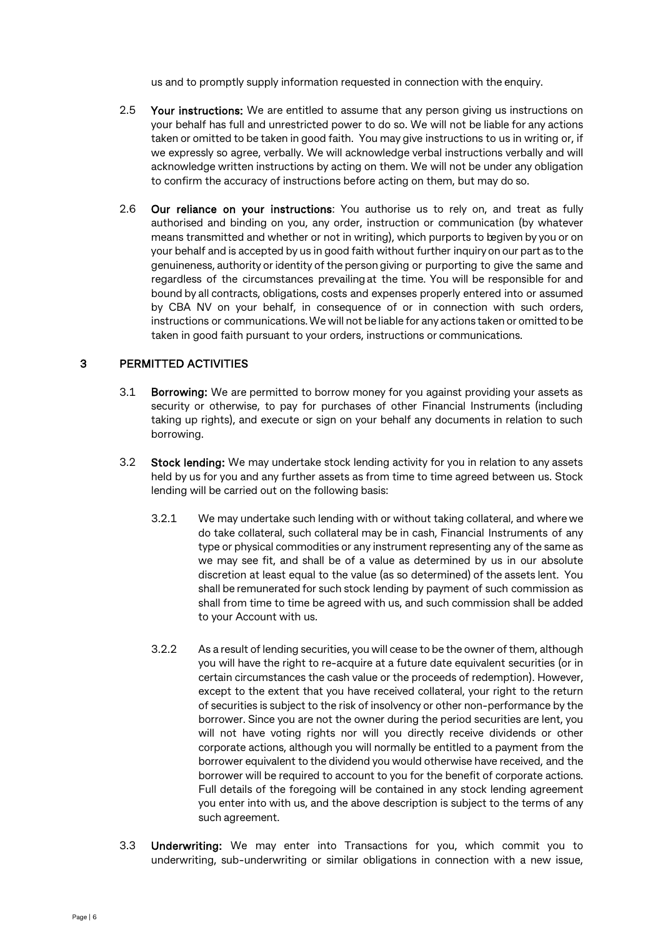us and to promptly supply information requested in connection with the enquiry.

- 2.5 Your instructions: We are entitled to assume that any person giving us instructions on your behalf has full and unrestricted power to do so. We will not be liable for any actions taken or omitted to be taken in good faith. You may give instructions to us in writing or, if we expressly so agree, verbally. We will acknowledge verbal instructions verbally and will acknowledge written instructions by acting on them. We will not be under any obligation to confirm the accuracy of instructions before acting on them, but may do so.
- 2.6 Our reliance on your instructions: You authorise us to rely on, and treat as fully authorised and binding on you, any order, instruction or communication (by whatever means transmitted and whether or not in writing), which purports to begiven by you or on your behalf and is accepted by us in good faith without further inquiry on our part as to the genuineness, authority or identity of the person giving or purporting to give the same and regardless of the circumstances prevailingat the time. You will be responsible for and bound by all contracts, obligations, costs and expenses properly entered into or assumed by CBA NV on your behalf, in consequence of or in connection with such orders, instructions or communications.We will not be liable for any actions taken or omitted to be taken in good faith pursuant to your orders, instructions or communications.

## 3 PERMITTED ACTIVITIES

- 3.1 Borrowing: We are permitted to borrow money for you against providing your assets as security or otherwise, to pay for purchases of other Financial Instruments (including taking up rights), and execute or sign on your behalf any documents in relation to such borrowing.
- 3.2 Stock lending: We may undertake stock lending activity for you in relation to any assets held by us for you and any further assets as from time to time agreed between us. Stock lending will be carried out on the following basis:
	- 3.2.1 We may undertake such lending with or without taking collateral, and where we do take collateral, such collateral may be in cash, Financial Instruments of any type or physical commodities or any instrument representing any of the same as we may see fit, and shall be of a value as determined by us in our absolute discretion at least equal to the value (as so determined) of the assets lent. You shall be remunerated for such stock lending by payment of such commission as shall from time to time be agreed with us, and such commission shall be added to your Account with us.
	- 3.2.2 As a result of lending securities, you will cease to be the owner of them, although you will have the right to re-acquire at a future date equivalent securities (or in certain circumstances the cash value or the proceeds of redemption). However, except to the extent that you have received collateral, your right to the return of securities is subject to the risk of insolvency or other non-performance by the borrower. Since you are not the owner during the period securities are lent, you will not have voting rights nor will you directly receive dividends or other corporate actions, although you will normally be entitled to a payment from the borrower equivalent to the dividend you would otherwise have received, and the borrower will be required to account to you for the benefit of corporate actions. Full details of the foregoing will be contained in any stock lending agreement you enter into with us, and the above description is subject to the terms of any such agreement.
- 3.3 Underwriting: We may enter into Transactions for you, which commit you to underwriting, sub-underwriting or similar obligations in connection with a new issue,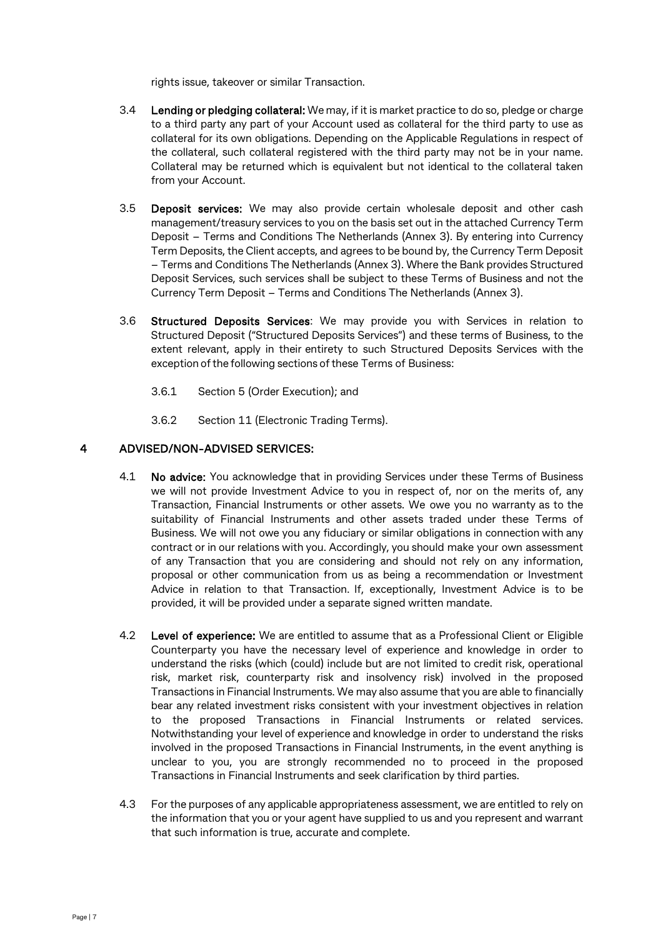rights issue, takeover or similar Transaction.

- 3.4 Lending or pledging collateral: We may, if it is market practice to do so, pledge or charge to a third party any part of your Account used as collateral for the third party to use as collateral for its own obligations. Depending on the Applicable Regulations in respect of the collateral, such collateral registered with the third party may not be in your name. Collateral may be returned which is equivalent but not identical to the collateral taken from your Account.
- 3.5 Deposit services: We may also provide certain wholesale deposit and other cash management/treasury services to you on the basis set out in the attached Currency Term Deposit – Terms and Conditions The Netherlands (Annex 3). By entering into Currency Term Deposits, the Client accepts, and agrees to be bound by, the Currency Term Deposit – Terms and Conditions The Netherlands (Annex 3). Where the Bank provides Structured Deposit Services, such services shall be subject to these Terms of Business and not the Currency Term Deposit – Terms and Conditions The Netherlands (Annex 3).
- 3.6 Structured Deposits Services: We may provide you with Services in relation to Structured Deposit ("Structured Deposits Services") and these terms of Business, to the extent relevant, apply in their entirety to such Structured Deposits Services with the exception of the following sections of these Terms of Business:
	- 3.6.1 Section [5 \(](#page-7-0)Order Execution); and
	- 3.6.2 Section [11 \(](#page-14-0)Electronic Trading Terms).

## 4 ADVISED/NON-ADVISED SERVICES:

- 4.1 No advice: You acknowledge that in providing Services under these Terms of Business we will not provide Investment Advice to you in respect of, nor on the merits of, any Transaction, Financial Instruments or other assets. We owe you no warranty as to the suitability of Financial Instruments and other assets traded under these Terms of Business. We will not owe you any fiduciary or similar obligations in connection with any contract or in our relations with you. Accordingly, you should make your own assessment of any Transaction that you are considering and should not rely on any information, proposal or other communication from us as being a recommendation or Investment Advice in relation to that Transaction. If, exceptionally, Investment Advice is to be provided, it will be provided under a separate signed written mandate.
- 4.2 Level of experience: We are entitled to assume that as a Professional Client or Eligible Counterparty you have the necessary level of experience and knowledge in order to understand the risks (which (could) include but are not limited to credit risk, operational risk, market risk, counterparty risk and insolvency risk) involved in the proposed Transactions in Financial Instruments. We may also assume that you are able to financially bear any related investment risks consistent with your investment objectives in relation to the proposed Transactions in Financial Instruments or related services. Notwithstanding your level of experience and knowledge in order to understand the risks involved in the proposed Transactions in Financial Instruments, in the event anything is unclear to you, you are strongly recommended no to proceed in the proposed Transactions in Financial Instruments and seek clarification by third parties.
- 4.3 For the purposes of any applicable appropriateness assessment, we are entitled to rely on the information that you or your agent have supplied to us and you represent and warrant that such information is true, accurate and complete.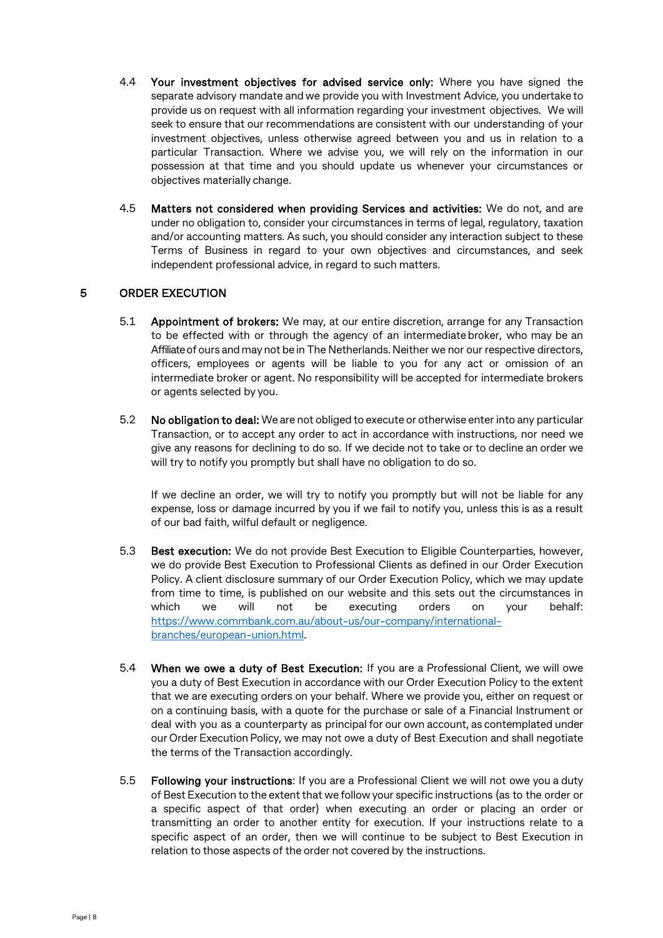- 4.4 Your investment objectives for advised service only: Where you have signed the separate advisory mandate and we provide you with Investment Advice, you undertake to provide us on request with all information regarding your investment objectives. We will seek to ensure that our recommendations are consistent with our understanding of your investment objectives, unless otherwise agreed between you and us in relation to a particular Transaction. Where we advise you, we will rely on the information in our possession at that time and you should update us whenever your circumstances or objectives materially change.
- 4.5 Matters not considered when providing Services and activities: We do not, and are under no obligation to, consider your circumstances in terms of legal, regulatory, taxation and/or accounting matters. As such, you should consider any interaction subject to these Terms of Business in regard to your own objectives and circumstances, and seek independent professional advice, in regard to such matters.

## <span id="page-7-0"></span>5 ORDER EXECUTION

- 5.1 Appointment of brokers: We may, at our entire discretion, arrange for any Transaction to be effected with or through the agency of an intermediate broker, who may be an Affiliate of ours and may not be in The Netherlands. Neither we nor our respective directors, officers, employees or agents will be liable to you for any act or omission of an intermediate broker or agent. No responsibility will be accepted for intermediate brokers or agents selected by you.
- 5.2 No obligation to deal: We are not obliged to execute or otherwise enter into any particular Transaction, or to accept any order to act in accordance with instructions, nor need we give any reasons for declining to do so. If we decide not to take or to decline an order we will try to notify you promptly but shall have no obligation to do so.

If we decline an order, we will try to notify you promptly but will not be liable for any expense, loss or damage incurred by you if we fail to notify you, unless this is as a result of our bad faith, wilful default or negligence.

- 5.3 Best execution: We do not provide Best Execution to Eligible Counterparties, however, we do provide Best Execution to Professional Clients as defined in our Order Execution Policy. A client disclosure summary of our Order Execution Policy, which we may update from time to time, is published on our website and this sets out the circumstances in which we will not be executing orders on your behalf: [https://www.commbank.com.au/about-us/our-company/international](https://www.commbank.com.au/about-us/our-company/international-branches/european-union.html)[branches/european-union.html.](https://www.commbank.com.au/about-us/our-company/international-branches/european-union.html)
- 5.4 When we owe a duty of Best Execution: If you are a Professional Client, we will owe you a duty of Best Execution in accordance with our Order Execution Policy to the extent that we are executing orders on your behalf. Where we provide you, either on request or on a continuing basis, with a quote for the purchase or sale of a Financial Instrument or deal with you as a counterparty as principal for our own account, as contemplated under our Order Execution Policy, we may not owe a duty of Best Execution and shall negotiate the terms of the Transaction accordingly.
- 5.5 Following your instructions: If you are a Professional Client we will not owe you a duty of Best Execution to the extent that we follow your specific instructions (as to the order or a specific aspect of that order) when executing an order or placing an order or transmitting an order to another entity for execution. If your instructions relate to a specific aspect of an order, then we will continue to be subject to Best Execution in relation to those aspects of the order not covered by the instructions.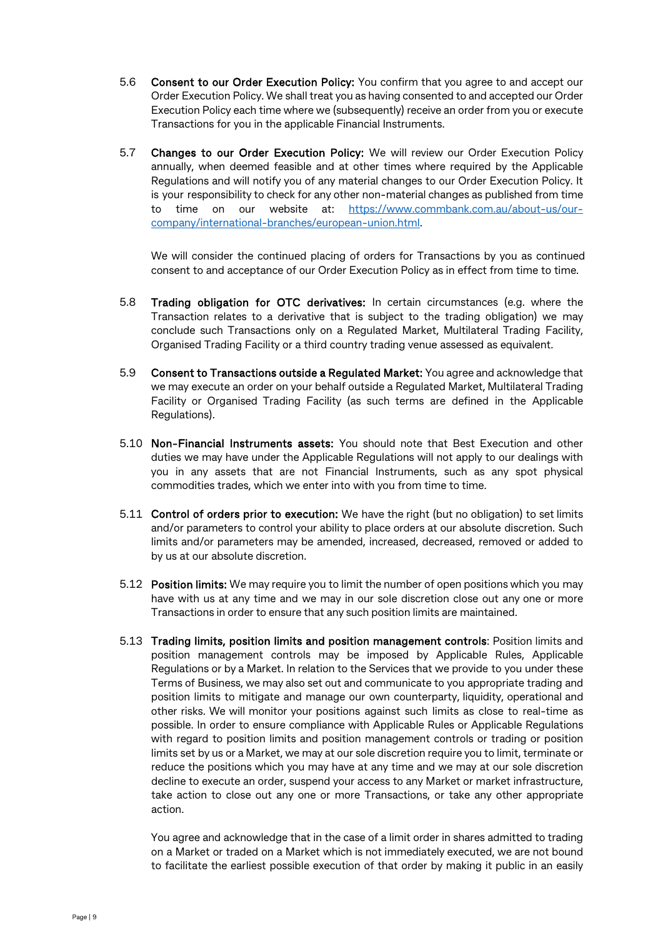- 5.6 Consent to our Order Execution Policy: You confirm that you agree to and accept our Order Execution Policy. We shall treat you as having consented to and accepted our Order Execution Policy each time where we (subsequently) receive an order from you or execute Transactions for you in the applicable Financial Instruments.
- 5.7 Changes to our Order Execution Policy: We will review our Order Execution Policy annually, when deemed feasible and at other times where required by the Applicable Regulations and will notify you of any material changes to our Order Execution Policy. It is your responsibility to check for any other non-material changes as published from time to time on our website at: [https://www.commbank.com.au/about-us/our](https://www.commbank.com.au/about-us/our-company/international-branches/european-union.html)[company/international-branches/european-union.html.](https://www.commbank.com.au/about-us/our-company/international-branches/european-union.html)

We will consider the continued placing of orders for Transactions by you as continued consent to and acceptance of our Order Execution Policy as in effect from time to time.

- 5.8 Trading obligation for OTC derivatives: In certain circumstances (e.g. where the Transaction relates to a derivative that is subject to the trading obligation) we may conclude such Transactions only on a Regulated Market, Multilateral Trading Facility, Organised Trading Facility or a third country trading venue assessed as equivalent.
- 5.9 Consent to Transactions outside a Regulated Market: You agree and acknowledge that we may execute an order on your behalf outside a Regulated Market, Multilateral Trading Facility or Organised Trading Facility (as such terms are defined in the Applicable Regulations).
- 5.10 Non-Financial Instruments assets: You should note that Best Execution and other duties we may have under the Applicable Regulations will not apply to our dealings with you in any assets that are not Financial Instruments, such as any spot physical commodities trades, which we enter into with you from time to time.
- 5.11 Control of orders prior to execution: We have the right (but no obligation) to set limits and/or parameters to control your ability to place orders at our absolute discretion. Such limits and/or parameters may be amended, increased, decreased, removed or added to by us at our absolute discretion.
- 5.12 Position limits: We may require you to limit the number of open positions which you may have with us at any time and we may in our sole discretion close out any one or more Transactions in order to ensure that any such position limits are maintained.
- 5.13 Trading limits, position limits and position management controls: Position limits and position management controls may be imposed by Applicable Rules, Applicable Regulations or by a Market. In relation to the Services that we provide to you under these Terms of Business, we may also set out and communicate to you appropriate trading and position limits to mitigate and manage our own counterparty, liquidity, operational and other risks. We will monitor your positions against such limits as close to real-time as possible. In order to ensure compliance with Applicable Rules or Applicable Regulations with regard to position limits and position management controls or trading or position limits set by us or a Market, we may at our sole discretion require you to limit, terminate or reduce the positions which you may have at any time and we may at our sole discretion decline to execute an order, suspend your access to any Market or market infrastructure, take action to close out any one or more Transactions, or take any other appropriate action.

You agree and acknowledge that in the case of a limit order in shares admitted to trading on a Market or traded on a Market which is not immediately executed, we are not bound to facilitate the earliest possible execution of that order by making it public in an easily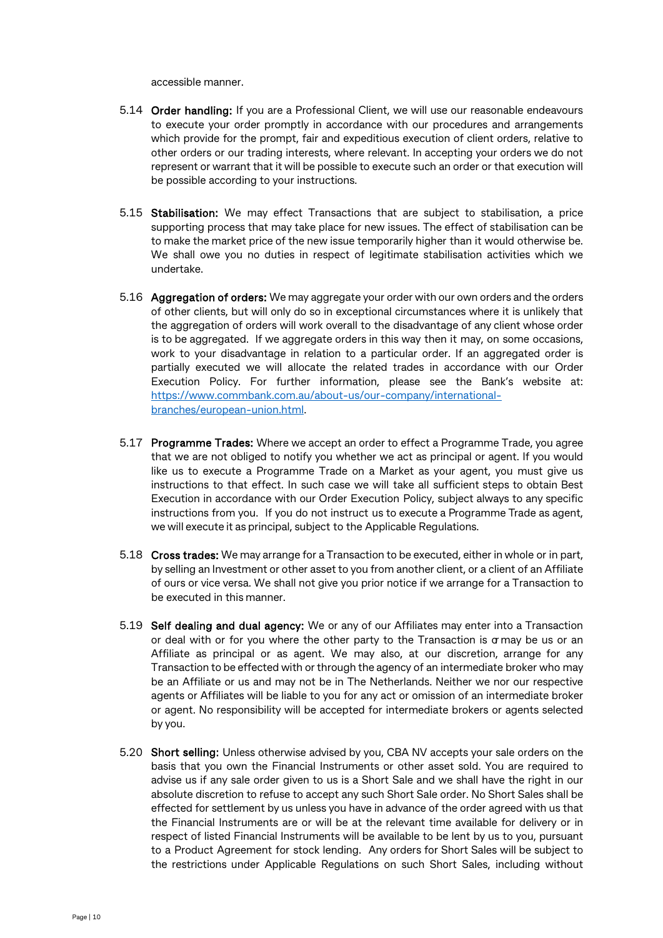accessible manner.

- 5.14 Order handling: If you are a Professional Client, we will use our reasonable endeavours to execute your order promptly in accordance with our procedures and arrangements which provide for the prompt, fair and expeditious execution of client orders, relative to other orders or our trading interests, where relevant. In accepting your orders we do not represent or warrant that it will be possible to execute such an order or that execution will be possible according to your instructions.
- 5.15 Stabilisation: We may effect Transactions that are subject to stabilisation, a price supporting process that may take place for new issues. The effect of stabilisation can be to make the market price of the new issue temporarily higher than it would otherwise be. We shall owe you no duties in respect of legitimate stabilisation activities which we undertake.
- 5.16 Aggregation of orders: We may aggregate your order with our own orders and the orders of other clients, but will only do so in exceptional circumstances where it is unlikely that the aggregation of orders will work overall to the disadvantage of any client whose order is to be aggregated. If we aggregate orders in this way then it may, on some occasions, work to your disadvantage in relation to a particular order. If an aggregated order is partially executed we will allocate the related trades in accordance with our Order Execution Policy. For further information, please see the Bank's website at: [https://www.commbank.com.au/about-us/our-company/international](https://www.commbank.com.au/about-us/our-company/international-branches/european-union.html)[branches/european-union.html.](https://www.commbank.com.au/about-us/our-company/international-branches/european-union.html)
- 5.17 Programme Trades: Where we accept an order to effect a Programme Trade, you agree that we are not obliged to notify you whether we act as principal or agent. If you would like us to execute a Programme Trade on a Market as your agent, you must give us instructions to that effect. In such case we will take all sufficient steps to obtain Best Execution in accordance with our Order Execution Policy, subject always to any specific instructions from you. If you do not instruct us to execute a Programme Trade as agent, we will execute it as principal, subject to the Applicable Regulations.
- 5.18 Cross trades: We may arrange for a Transaction to be executed, either in whole or in part, by selling an Investment or other asset to you from another client, or a client of an Affiliate of ours or vice versa. We shall not give you prior notice if we arrange for a Transaction to be executed in this manner.
- 5.19 Self dealing and dual agency: We or any of our Affiliates may enter into a Transaction or deal with or for you where the other party to the Transaction is  $\alpha$  may be us or an Affiliate as principal or as agent. We may also, at our discretion, arrange for any Transaction to be effected with or through the agency of an intermediate broker who may be an Affiliate or us and may not be in The Netherlands. Neither we nor our respective agents or Affiliates will be liable to you for any act or omission of an intermediate broker or agent. No responsibility will be accepted for intermediate brokers or agents selected by you.
- 5.20 Short selling: Unless otherwise advised by you, CBA NV accepts your sale orders on the basis that you own the Financial Instruments or other asset sold. You are required to advise us if any sale order given to us is a Short Sale and we shall have the right in our absolute discretion to refuse to accept any such Short Sale order. No Short Sales shall be effected for settlement by us unless you have in advance of the order agreed with us that the Financial Instruments are or will be at the relevant time available for delivery or in respect of listed Financial Instruments will be available to be lent by us to you, pursuant to a Product Agreement for stock lending. Any orders for Short Sales will be subject to the restrictions under Applicable Regulations on such Short Sales, including without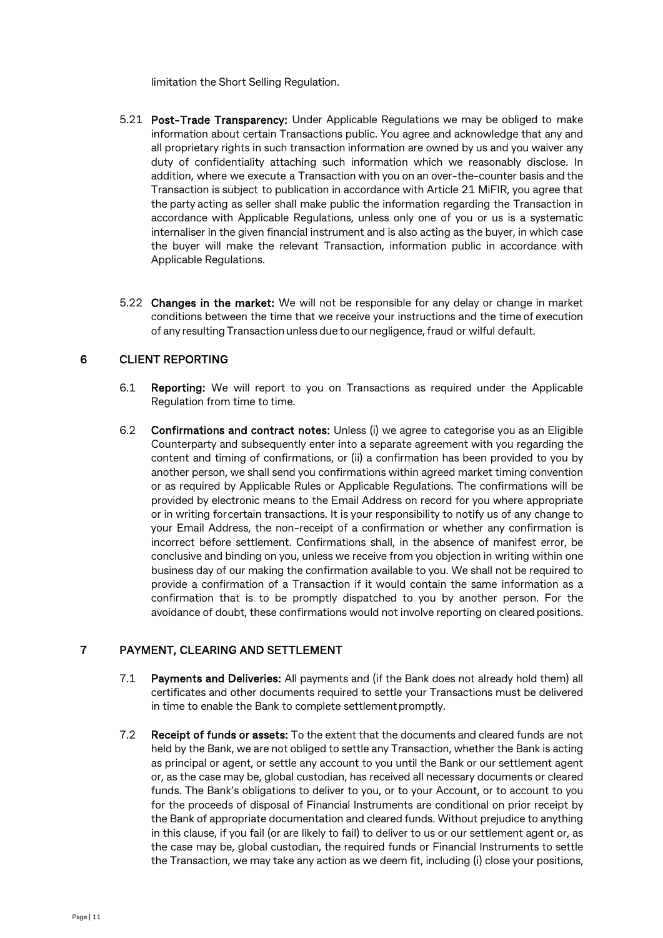limitation the Short Selling Regulation.

- 5.21 Post-Trade Transparency: Under Applicable Regulations we may be obliged to make information about certain Transactions public. You agree and acknowledge that any and all proprietary rights in such transaction information are owned by us and you waiver any duty of confidentiality attaching such information which we reasonably disclose. In addition, where we execute a Transaction with you on an over-the-counter basis and the Transaction is subject to publication in accordance with Article 21 MiFIR, you agree that the party acting as seller shall make public the information regarding the Transaction in accordance with Applicable Regulations, unless only one of you or us is a systematic internaliser in the given financial instrument and is also acting as the buyer, in which case the buyer will make the relevant Transaction, information public in accordance with Applicable Regulations.
- 5.22 Changes in the market: We will not be responsible for any delay or change in market conditions between the time that we receive your instructions and the time of execution of any resulting Transaction unless due to our negligence,fraud or wilful default.

## 6 CLIENT REPORTING

- 6.1 Reporting: We will report to you on Transactions as required under the Applicable Regulation from time to time.
- 6.2 Confirmations and contract notes: Unless (i) we agree to categorise you as an Eligible Counterparty and subsequently enter into a separate agreement with you regarding the content and timing of confirmations, or (ii) a confirmation has been provided to you by another person, we shall send you confirmations within agreed market timing convention or as required by Applicable Rules or Applicable Regulations. The confirmations will be provided by electronic means to the Email Address on record for you where appropriate or in writing forcertain transactions. It is your responsibility to notify us of any change to your Email Address, the non-receipt of a confirmation or whether any confirmation is incorrect before settlement. Confirmations shall, in the absence of manifest error, be conclusive and binding on you, unless we receive from you objection in writing within one business day of our making the confirmation available to you. We shall not be required to provide a confirmation of a Transaction if it would contain the same information as a confirmation that is to be promptly dispatched to you by another person. For the avoidance of doubt, these confirmations would not involve reporting on cleared positions.

## 7 PAYMENT, CLEARING AND SETTLEMENT

- 7.1 Payments and Deliveries: All payments and (if the Bank does not already hold them) all certificates and other documents required to settle your Transactions must be delivered in time to enable the Bank to complete settlement promptly.
- 7.2 Receipt of funds or assets: To the extent that the documents and cleared funds are not held by the Bank, we are not obliged to settle any Transaction, whether the Bank is acting as principal or agent, or settle any account to you until the Bank or our settlement agent or, as the case may be, global custodian, has received all necessary documents or cleared funds. The Bank's obligations to deliver to you, or to your Account, or to account to you for the proceeds of disposal of Financial Instruments are conditional on prior receipt by the Bank of appropriate documentation and cleared funds. Without prejudice to anything in this clause, if you fail (or are likely to fail) to deliver to us or our settlement agent or, as the case may be, global custodian, the required funds or Financial Instruments to settle the Transaction, we may take any action as we deem fit, including (i) close your positions,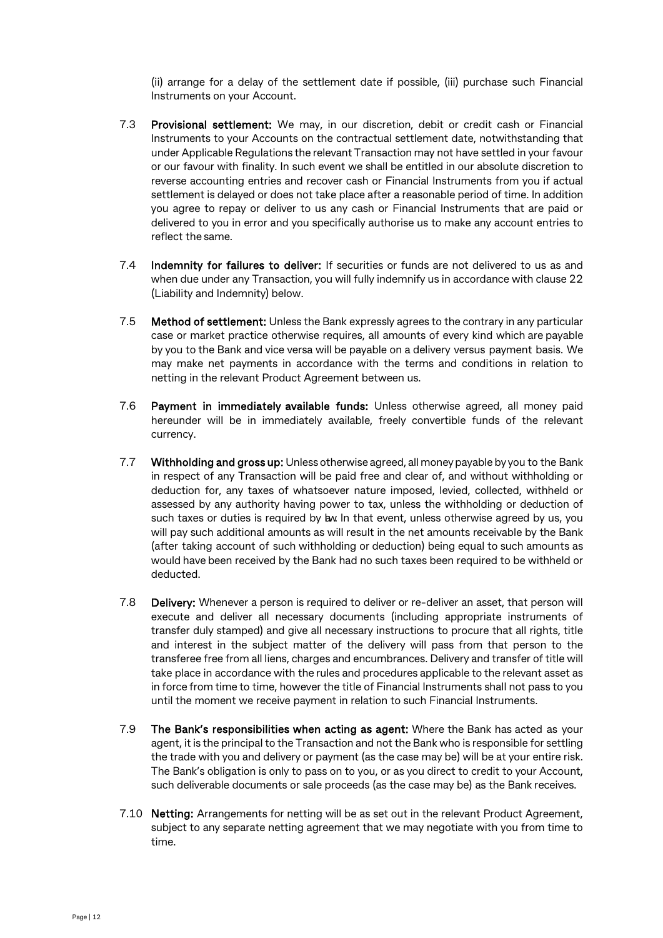(ii) arrange for a delay of the settlement date if possible, (iii) purchase such Financial Instruments on your Account.

- 7.3 Provisional settlement: We may, in our discretion, debit or credit cash or Financial Instruments to your Accounts on the contractual settlement date, notwithstanding that under Applicable Regulations the relevant Transaction may not have settled in your favour or our favour with finality. In such event we shall be entitled in our absolute discretion to reverse accounting entries and recover cash or Financial Instruments from you if actual settlement is delayed or does not take place after a reasonable period of time. In addition you agree to repay or deliver to us any cash or Financial Instruments that are paid or delivered to you in error and you specifically authorise us to make any account entries to reflect the same.
- 7.4 Indemnity for failures to deliver: If securities or funds are not delivered to us as and when due under any Transaction, you will fully indemnify us in accordance with clause 22 (Liability and Indemnity) below.
- 7.5 Method of settlement: Unless the Bank expressly agrees to the contrary in any particular case or market practice otherwise requires, all amounts of every kind which are payable by you to the Bank and vice versa will be payable on a delivery versus payment basis. We may make net payments in accordance with the terms and conditions in relation to netting in the relevant Product Agreement between us.
- 7.6 Payment in immediately available funds: Unless otherwise agreed, all money paid hereunder will be in immediately available, freely convertible funds of the relevant currency.
- 7.7 Withholding and gross up: Unless otherwise agreed, all money payable by you to the Bank in respect of any Transaction will be paid free and clear of, and without withholding or deduction for, any taxes of whatsoever nature imposed, levied, collected, withheld or assessed by any authority having power to tax, unless the withholding or deduction of such taxes or duties is required by law. In that event, unless otherwise agreed by us, you will pay such additional amounts as will result in the net amounts receivable by the Bank (after taking account of such withholding or deduction) being equal to such amounts as would have been received by the Bank had no such taxes been required to be withheld or deducted.
- 7.8 Delivery: Whenever a person is required to deliver or re-deliver an asset, that person will execute and deliver all necessary documents (including appropriate instruments of transfer duly stamped) and give all necessary instructions to procure that all rights, title and interest in the subject matter of the delivery will pass from that person to the transferee free from all liens, charges and encumbrances. Delivery and transfer of title will take place in accordance with the rules and procedures applicable to the relevant asset as in force from time to time, however the title of Financial Instruments shall not pass to you until the moment we receive payment in relation to such Financial Instruments.
- 7.9 The Bank's responsibilities when acting as agent: Where the Bank has acted as your agent, it is the principal to the Transaction and not the Bank who is responsible for settling the trade with you and delivery or payment (as the case may be) will be at your entire risk. The Bank's obligation is only to pass on to you, or as you direct to credit to your Account, such deliverable documents or sale proceeds (as the case may be) as the Bank receives.
- <span id="page-11-0"></span>7.10 Netting: Arrangements for netting will be as set out in the relevant Product Agreement, subject to any separate netting agreement that we may negotiate with you from time to time.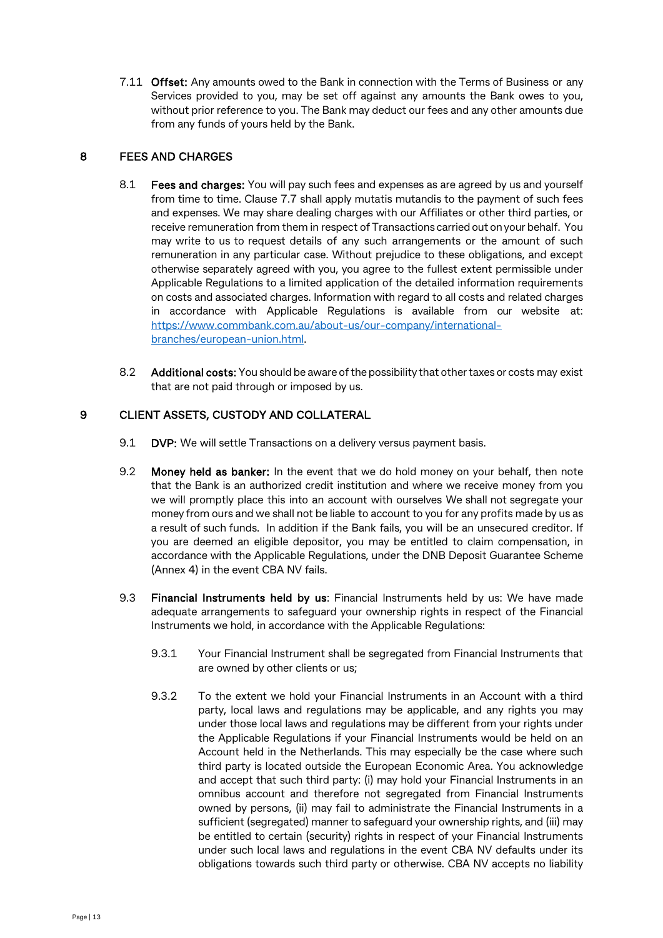7.11 Offset: Any amounts owed to the Bank in connection with the Terms of Business or any Services provided to you, may be set off against any amounts the Bank owes to you, without prior reference to you. The Bank may deduct our fees and any other amounts due from any funds of yours held by the Bank.

## 8 FEES AND CHARGES

- 8.1 Fees and charges: You will pay such fees and expenses as are agreed by us and yourself from time to time. Clause 7.7 shall apply mutatis mutandis to the payment of such fees and expenses. We may share dealing charges with our Affiliates or other third parties, or receive remuneration from them in respect of Transactions carried out on your behalf. You may write to us to request details of any such arrangements or the amount of such remuneration in any particular case. Without prejudice to these obligations, and except otherwise separately agreed with you, you agree to the fullest extent permissible under Applicable Regulations to a limited application of the detailed information requirements on costs and associated charges. Information with regard to all costs and related charges in accordance with Applicable Regulations is available from our website at: [https://www.commbank.com.au/about-us/our-company/international](https://www.commbank.com.au/about-us/our-company/international-branches/european-union.html)[branches/european-union.html.](https://www.commbank.com.au/about-us/our-company/international-branches/european-union.html)
- 8.2 Additional costs: You should be aware of the possibility that other taxes or costs may exist that are not paid through or imposed by us.

## 9 CLIENT ASSETS, CUSTODY AND COLLATERAL

- 9.1 DVP: We will settle Transactions on a delivery versus payment basis.
- 9.2 Money held as banker: In the event that we do hold money on your behalf, then note that the Bank is an authorized credit institution and where we receive money from you we will promptly place this into an account with ourselves We shall not segregate your money from ours and we shall not be liable to account to you for any profits made by us as a result of such funds. In addition if the Bank fails, you will be an unsecured creditor. If you are deemed an eligible depositor, you may be entitled to claim compensation, in accordance with the Applicable Regulations, under the DNB Deposit Guarantee Scheme (Annex 4) in the event CBA NV fails.
- 9.3 Financial Instruments held by us: Financial Instruments held by us: We have made adequate arrangements to safeguard your ownership rights in respect of the Financial Instruments we hold, in accordance with the Applicable Regulations:
	- 9.3.1 Your Financial Instrument shall be segregated from Financial Instruments that are owned by other clients or us;
	- 9.3.2 To the extent we hold your Financial Instruments in an Account with a third party, local laws and regulations may be applicable, and any rights you may under those local laws and regulations may be different from your rights under the Applicable Regulations if your Financial Instruments would be held on an Account held in the Netherlands. This may especially be the case where such third party is located outside the European Economic Area. You acknowledge and accept that such third party: (i) may hold your Financial Instruments in an omnibus account and therefore not segregated from Financial Instruments owned by persons, (ii) may fail to administrate the Financial Instruments in a sufficient (segregated) manner to safeguard your ownership rights, and (iii) may be entitled to certain (security) rights in respect of your Financial Instruments under such local laws and regulations in the event CBA NV defaults under its obligations towards such third party or otherwise. CBA NV accepts no liability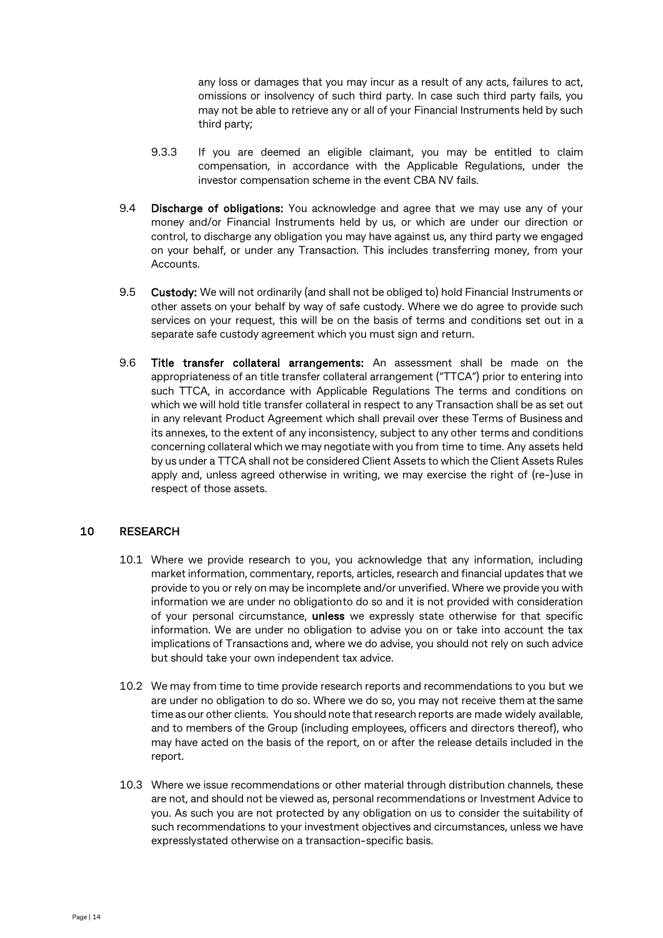any loss or damages that you may incur as a result of any acts, failures to act, omissions or insolvency of such third party. In case such third party fails, you may not be able to retrieve any or all of your Financial Instruments held by such third party;

- 9.3.3 If you are deemed an eligible claimant, you may be entitled to claim compensation, in accordance with the Applicable Regulations, under the investor compensation scheme in the event CBA NV fails.
- 9.4 Discharge of obligations: You acknowledge and agree that we may use any of your money and/or Financial Instruments held by us, or which are under our direction or control, to discharge any obligation you may have against us, any third party we engaged on your behalf, or under any Transaction. This includes transferring money, from your Accounts.
- 9.5 Custody: We will not ordinarily (and shall not be obliged to) hold Financial Instruments or other assets on your behalf by way of safe custody. Where we do agree to provide such services on your request, this will be on the basis of terms and conditions set out in a separate safe custody agreement which you must sign and return.
- 9.6 Title transfer collateral arrangements: An assessment shall be made on the appropriateness of an title transfer collateral arrangement ("TTCA") prior to entering into such TTCA, in accordance with Applicable Regulations The terms and conditions on which we will hold title transfer collateral in respect to any Transaction shall be as set out in any relevant Product Agreement which shall prevail over these Terms of Business and its annexes, to the extent of any inconsistency, subject to any other terms and conditions concerning collateral which we may negotiate with you from time to time. Any assets held by us under a TTCA shall not be considered Client Assets to which the Client Assets Rules apply and, unless agreed otherwise in writing, we may exercise the right of (re-)use in respect of those assets.

## 10 RESEARCH

- 10.1 Where we provide research to you, you acknowledge that any information, including market information, commentary, reports, articles, research and financial updates that we provide to you or rely on may be incomplete and/or unverified. Where we provide you with information we are under no obligationto do so and it is not provided with consideration of your personal circumstance, unless we expressly state otherwise for that specific information. We are under no obligation to advise you on or take into account the tax implications of Transactions and, where we do advise, you should not rely on such advice but should take your own independent tax advice.
- 10.2 We may from time to time provide research reports and recommendations to you but we are under no obligation to do so. Where we do so, you may not receive them atthe same time as our other clients. You should note that research reports are made widely available, and to members of the Group (including employees, officers and directors thereof), who may have acted on the basis of the report, on or after the release details included in the report.
- 10.3 Where we issue recommendations or other material through distribution channels, these are not, and should not be viewed as, personal recommendations or Investment Advice to you. As such you are not protected by any obligation on us to consider the suitability of such recommendations to your investment objectives and circumstances, unless we have expresslystated otherwise on a transaction-specific basis.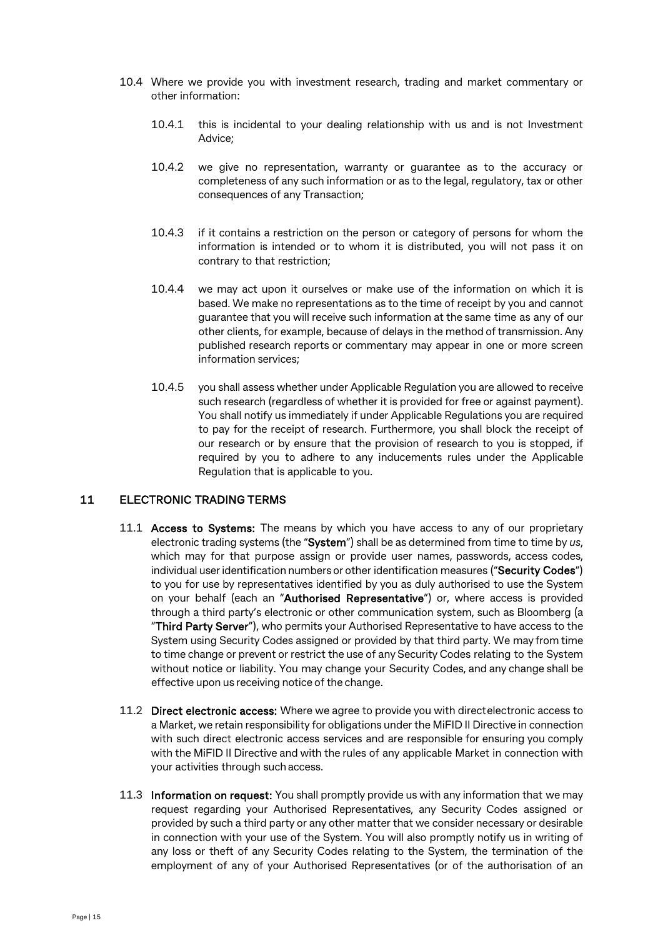- 10.4 Where we provide you with investment research, trading and market commentary or other information:
	- 10.4.1 this is incidental to your dealing relationship with us and is not Investment Advice;
	- 10.4.2 we give no representation, warranty or guarantee as to the accuracy or completeness of any such information or as to the legal, regulatory, tax or other consequences of any Transaction;
	- 10.4.3 if it contains a restriction on the person or category of persons for whom the information is intended or to whom it is distributed, you will not pass it on contrary to that restriction;
	- 10.4.4 we may act upon it ourselves or make use of the information on which it is based. We make no representations as to the time of receipt by you and cannot guarantee that you will receive such information at the same time as any of our other clients, for example, because of delays in the method of transmission. Any published research reports or commentary may appear in one or more screen information services;
	- 10.4.5 you shall assess whether under Applicable Regulation you are allowed to receive such research (regardless of whether it is provided for free or against payment). You shall notify us immediately if under Applicable Regulations you are required to pay for the receipt of research. Furthermore, you shall block the receipt of our research or by ensure that the provision of research to you is stopped, if required by you to adhere to any inducements rules under the Applicable Regulation that is applicable to you.

## <span id="page-14-0"></span>11 ELECTRONIC TRADING TERMS

- 11.1 **Access to Systems:** The means by which you have access to any of our proprietary electronic trading systems (the "System") shall be as determined from time to time by *us*, which may for that purpose assign or provide user names, passwords, access codes, individual user identification numbers or other identification measures ("Security Codes") to you for use by representatives identified by you as duly authorised to use the System on your behalf (each an "Authorised Representative") or, where access is provided through a third party's electronic or other communication system, such as Bloomberg (a "Third Party Server"), who permits your Authorised Representative to have access to the System using Security Codes assigned or provided by that third party. We may from time to time change or prevent or restrict the use of any Security Codes relating to the System without notice or liability. You may change your Security Codes, and any change shall be effective upon us receiving notice of the change.
- 11.2 Direct electronic access: Where we agree to provide you with directelectronic access to a Market, we retain responsibility for obligations under the MiFID II Directive in connection with such direct electronic access services and are responsible for ensuring you comply with the MiFID II Directive and with the rules of any applicable Market in connection with your activities through suchaccess.
- 11.3 Information on request: You shall promptly provide us with any information that we may request regarding your Authorised Representatives, any Security Codes assigned or provided by such a third party or any other matter that we consider necessary or desirable in connection with your use of the System. You will also promptly notify us in writing of any loss or theft of any Security Codes relating to the System, the termination of the employment of any of your Authorised Representatives (or of the authorisation of an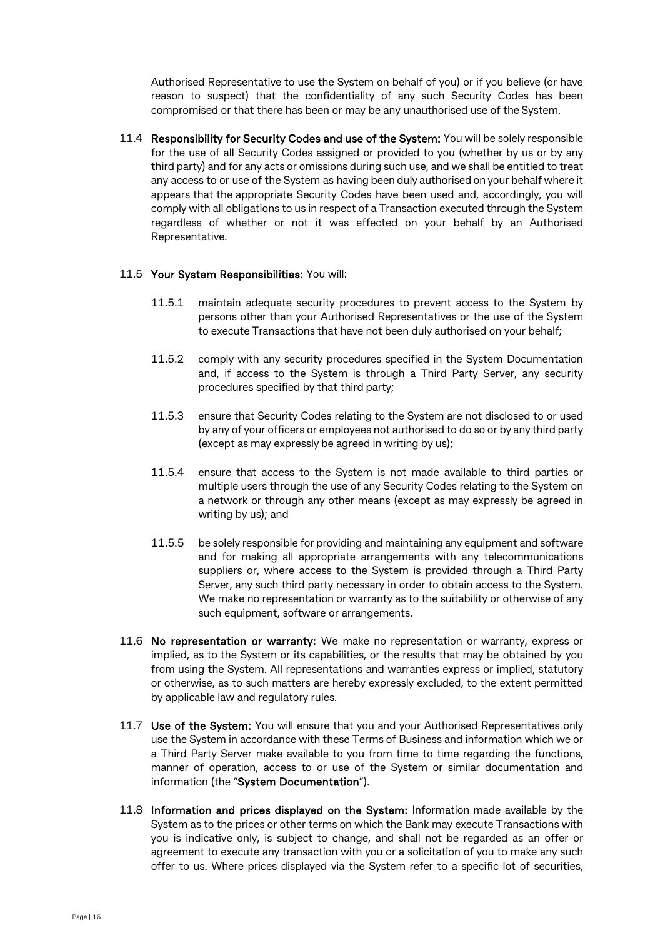Authorised Representative to use the System on behalf of you) or if you believe (or have reason to suspect) that the confidentiality of any such Security Codes has been compromised or that there has been or may be any unauthorised use of the System.

11.4 Responsibility for Security Codes and use of the System: You will be solely responsible for the use of all Security Codes assigned or provided to you (whether by us or by any third party) and for any acts or omissions during such use, and we shall be entitled to treat any access to or use of the System as having been duly authorised on your behalf where it appears that the appropriate Security Codes have been used and, accordingly, you will comply with all obligations to us in respect of a Transaction executed through the System regardless of whether or not it was effected on your behalf by an Authorised Representative.

#### 11.5 Your System Responsibilities: You will:

- 11.5.1 maintain adequate security procedures to prevent access to the System by persons other than your Authorised Representatives or the use of the System to execute Transactions that have not been duly authorised on your behalf;
- 11.5.2 comply with any security procedures specified in the System Documentation and, if access to the System is through a Third Party Server, any security procedures specified by that third party;
- 11.5.3 ensure that Security Codes relating to the System are not disclosed to or used by any of your officers or employees not authorised to do so or by any third party (except as may expressly be agreed in writing by us);
- 11.5.4 ensure that access to the System is not made available to third parties or multiple users through the use of any Security Codes relating to the System on a network or through any other means (except as may expressly be agreed in writing by us); and
- 11.5.5 be solely responsible for providing and maintaining any equipment and software and for making all appropriate arrangements with any telecommunications suppliers or, where access to the System is provided through a Third Party Server, any such third party necessary in order to obtain access to the System. We make no representation or warranty as to the suitability or otherwise of any such equipment, software or arrangements.
- 11.6 No representation or warranty: We make no representation or warranty, express or implied, as to the System or its capabilities, or the results that may be obtained by you from using the System. All representations and warranties express or implied, statutory or otherwise, as to such matters are hereby expressly excluded, to the extent permitted by applicable law and regulatory rules.
- 11.7 Use of the System: You will ensure that you and your Authorised Representatives only use the System in accordance with these Terms of Business and information which we or a Third Party Server make available to you from time to time regarding the functions, manner of operation, access to or use of the System or similar documentation and information (the "System Documentation").
- 11.8 Information and prices displayed on the System: Information made available by the System as to the prices or other terms on which the Bank may execute Transactions with you is indicative only, is subject to change, and shall not be regarded as an offer or agreement to execute any transaction with you or a solicitation of you to make any such offer to us. Where prices displayed via the System refer to a specific lot of securities,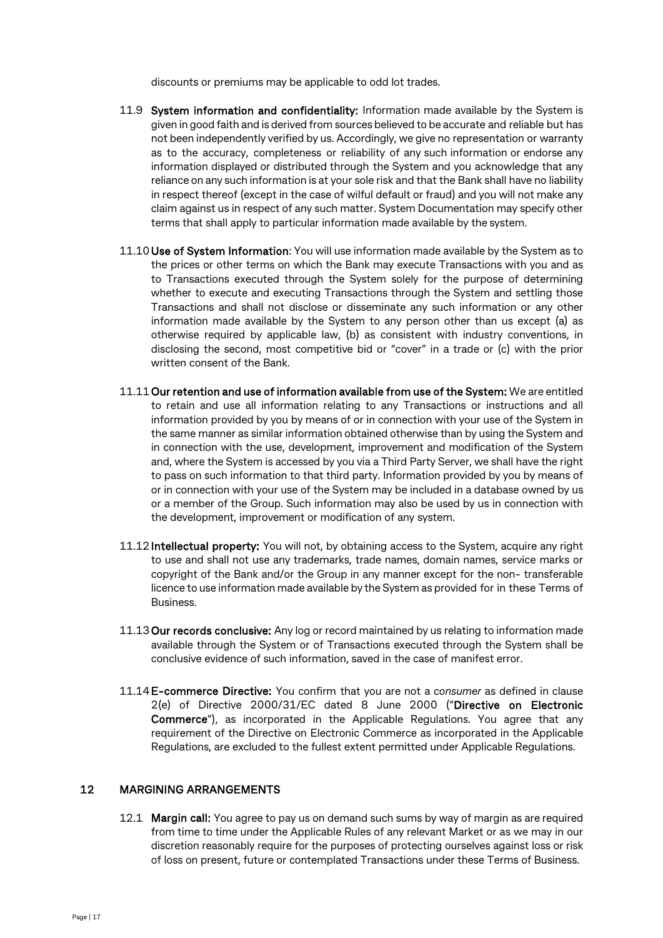discounts or premiums may be applicable to odd lot trades.

- 11.9 System information and confidentiality: Information made available by the System is given in good faith and is derived from sources believed to be accurate and reliable but has not been independently verified by us. Accordingly, we give no representation or warranty as to the accuracy, completeness or reliability of any such information or endorse any information displayed or distributed through the System and you acknowledge that any reliance on any such information is at your sole risk and that the Bank shall have no liability in respect thereof (except in the case of wilful default or fraud) and you will not make any claim against us in respect of any such matter. System Documentation may specify other terms that shall apply to particular information made available by the system.
- 11.10 Use of System Information: You will use information made available by the System as to the prices or other terms on which the Bank may execute Transactions with you and as to Transactions executed through the System solely for the purpose of determining whether to execute and executing Transactions through the System and settling those Transactions and shall not disclose or disseminate any such information or any other information made available by the System to any person other than us except (a) as otherwise required by applicable law, (b) as consistent with industry conventions, in disclosing the second, most competitive bid or "cover" in a trade or (c) with the prior written consent of the Bank.
- 11.11Our retention and use of information available from use of the System: We are entitled to retain and use all information relating to any Transactions or instructions and all information provided by you by means of or in connection with your use of the System in the same manner as similar information obtained otherwise than by using the System and in connection with the use, development, improvement and modification of the System and, where the System is accessed by you via a Third Party Server, we shall have the right to pass on such information to that third party. Information provided by you by means of or in connection with your use of the System may be included in a database owned by us or a member of the Group. Such information may also be used by us in connection with the development, improvement or modification of any system.
- 11.12 Intellectual property: You will not, by obtaining access to the System, acquire any right to use and shall not use any trademarks, trade names, domain names, service marks or copyright of the Bank and/or the Group in any manner except for the non- transferable licence to use information made available by the System as provided for in these Terms of Business.
- 11.13 Our records conclusive: Any log or record maintained by us relating to information made available through the System or of Transactions executed through the System shall be conclusive evidence of such information, saved in the case of manifest error.
- 11.14E-commerce Directive: You confirm that you are not a *consumer* as defined in clause 2(e) of Directive 2000/31/EC dated 8 June 2000 ("Directive on Electronic Commerce"), as incorporated in the Applicable Regulations. You agree that any requirement of the Directive on Electronic Commerce as incorporated in the Applicable Regulations, are excluded to the fullest extent permitted under Applicable Regulations.

## 12 MARGINING ARRANGEMENTS

12.1 Margin call: You agree to pay us on demand such sums by way of margin as are required from time to time under the Applicable Rules of any relevant Market or as we may in our discretion reasonably require for the purposes of protecting ourselves against loss or risk of loss on present, future or contemplated Transactions under these Terms of Business.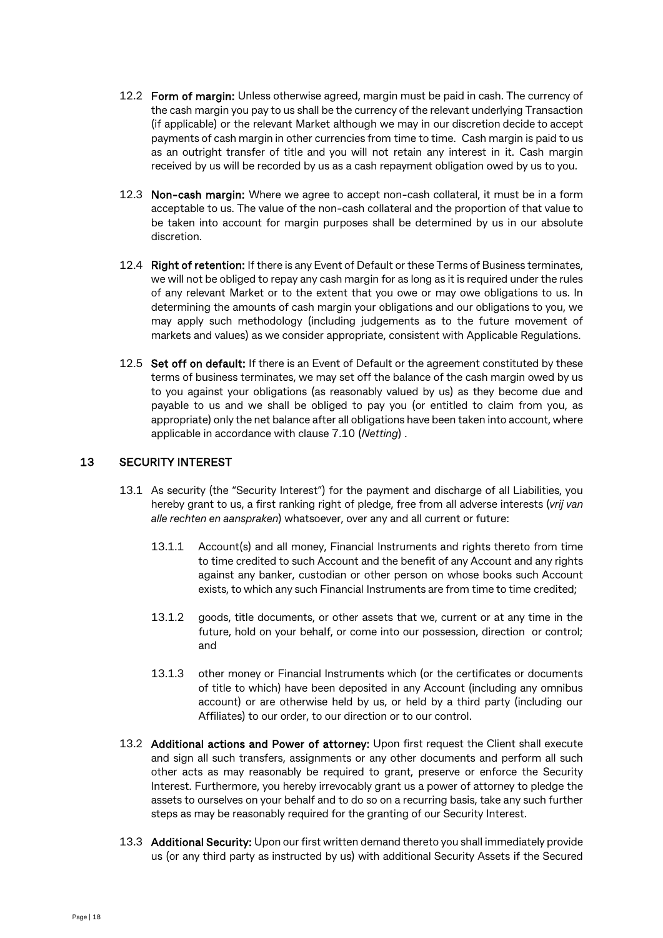- 12.2 Form of margin: Unless otherwise agreed, margin must be paid in cash. The currency of the cash margin you pay to us shall be the currency of the relevant underlying Transaction (if applicable) or the relevant Market although we may in our discretion decide to accept payments of cash margin in other currencies from time to time. Cash margin is paid to us as an outright transfer of title and you will not retain any interest in it. Cash margin received by us will be recorded by us as a cash repayment obligation owed by us to you.
- 12.3 Non-cash margin: Where we agree to accept non-cash collateral, it must be in a form acceptable to us. The value of the non-cash collateral and the proportion of that value to be taken into account for margin purposes shall be determined by us in our absolute discretion.
- 12.4 Right of retention: If there is any Event of Default or these Terms of Business terminates, we will not be obliged to repay any cash margin for as long as it is required under the rules of any relevant Market or to the extent that you owe or may owe obligations to us. In determining the amounts of cash margin your obligations and our obligations to you, we may apply such methodology (including judgements as to the future movement of markets and values) as we consider appropriate, consistent with Applicable Regulations.
- 12.5 Set off on default: If there is an Event of Default or the agreement constituted by these terms of business terminates, we may set off the balance of the cash margin owed by us to you against your obligations (as reasonably valued by us) as they become due and payable to us and we shall be obliged to pay you (or entitled to claim from you, as appropriate) only the net balance after all obligations have been taken into account, where applicable in accordance with clause [7.10](#page-11-0) (*Netting*) .

## <span id="page-17-0"></span>13 SECURITY INTEREST

- 13.1 As security (the "Security Interest") for the payment and discharge of all Liabilities, you hereby grant to us, a first ranking right of pledge, free from all adverse interests (*vrij van alle rechten en aanspraken*) whatsoever, over any and all current or future:
	- 13.1.1 Account(s) and all money, Financial Instruments and rights thereto from time to time credited to such Account and the benefit of any Account and any rights against any banker, custodian or other person on whose books such Account exists, to which any such Financial Instruments are from time to time credited;
	- 13.1.2 goods, title documents, or other assets that we, current or at any time in the future, hold on your behalf, or come into our possession, direction or control; and
	- 13.1.3 other money or Financial Instruments which (or the certificates or documents of title to which) have been deposited in any Account (including any omnibus account) or are otherwise held by us, or held by a third party (including our Affiliates) to our order, to our direction or to our control.
- 13.2 Additional actions and Power of attorney: Upon first request the Client shall execute and sign all such transfers, assignments or any other documents and perform all such other acts as may reasonably be required to grant, preserve or enforce the Security Interest. Furthermore, you hereby irrevocably grant us a power of attorney to pledge the assets to ourselves on your behalf and to do so on a recurring basis, take any such further steps as may be reasonably required for the granting of our Security Interest.
- 13.3 Additional Security: Upon our first written demand thereto you shall immediately provide us (or any third party as instructed by us) with additional Security Assets if the Secured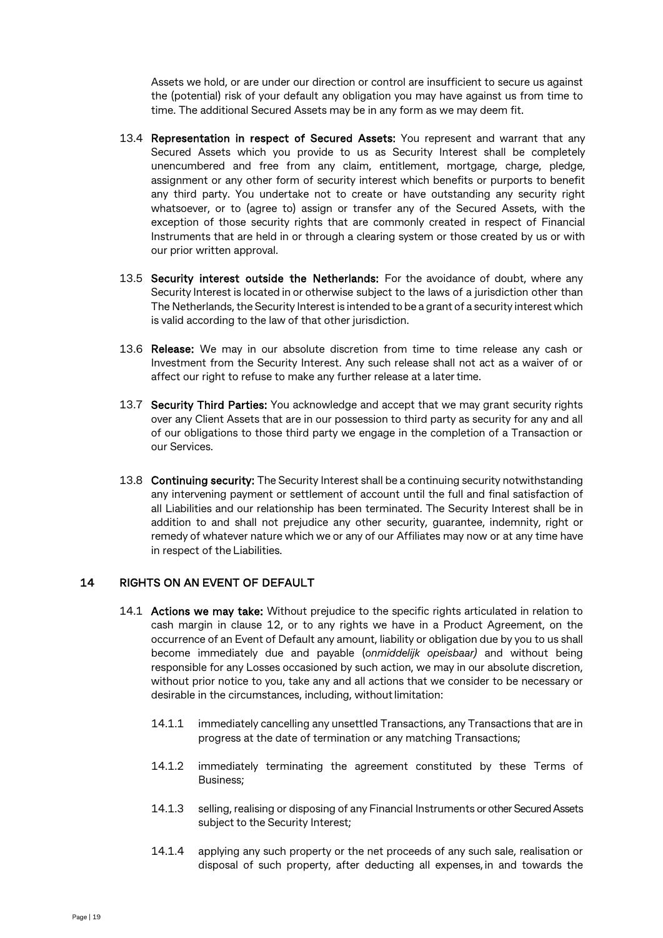Assets we hold, or are under our direction or control are insufficient to secure us against the (potential) risk of your default any obligation you may have against us from time to time. The additional Secured Assets may be in any form as we may deem fit.

- 13.4 Representation in respect of Secured Assets: You represent and warrant that any Secured Assets which you provide to us as Security Interest shall be completely unencumbered and free from any claim, entitlement, mortgage, charge, pledge, assignment or any other form of security interest which benefits or purports to benefit any third party. You undertake not to create or have outstanding any security right whatsoever, or to (agree to) assign or transfer any of the Secured Assets, with the exception of those security rights that are commonly created in respect of Financial Instruments that are held in or through a clearing system or those created by us or with our prior written approval.
- 13.5 Security interest outside the Netherlands: For the avoidance of doubt, where any Security Interest is located in or otherwise subject to the laws of a jurisdiction other than The Netherlands, the Security Interest is intended to be a grant of a security interest which is valid according to the law of that other jurisdiction.
- 13.6 Release: We may in our absolute discretion from time to time release any cash or Investment from the Security Interest. Any such release shall not act as a waiver of or affect our right to refuse to make any further release at a later time.
- 13.7 Security Third Parties: You acknowledge and accept that we may grant security rights over any Client Assets that are in our possession to third party as security for any and all of our obligations to those third party we engage in the completion of a Transaction or our Services.
- 13.8 Continuing security: The Security Interest shall be a continuing security notwithstanding any intervening payment or settlement of account until the full and final satisfaction of all Liabilities and our relationship has been terminated. The Security Interest shall be in addition to and shall not prejudice any other security, guarantee, indemnity, right or remedy of whatever nature which we or any of our Affiliates may now or at any time have in respect of the Liabilities.

## 14 RIGHTS ON AN EVENT OF DEFAULT

- 14.1 Actions we may take: Without prejudice to the specific rights articulated in relation to cash margin in clause 12, or to any rights we have in a Product Agreement, on the occurrence of an Event of Default any amount, liability or obligation due by you to us shall become immediately due and payable (*onmiddelijk opeisbaar)* and without being responsible for any Losses occasioned by such action, we may in our absolute discretion, without prior notice to you, take any and all actions that we consider to be necessary or desirable in the circumstances, including, without limitation:
	- 14.1.1 immediately cancelling any unsettled Transactions, any Transactions that are in progress at the date of termination or any matching Transactions;
	- 14.1.2 immediately terminating the agreement constituted by these Terms of Business;
	- 14.1.3 selling, realising or disposing of any Financial Instruments or other Secured Assets subject to the Security Interest;
	- 14.1.4 applying any such property or the net proceeds of any such sale, realisation or disposal of such property, after deducting all expenses, in and towards the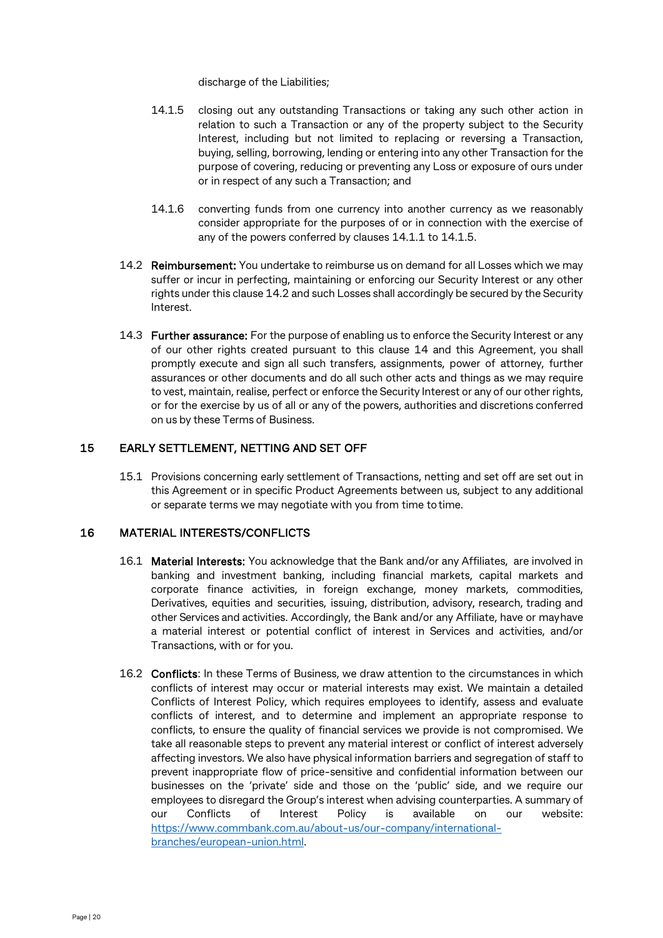discharge of the Liabilities;

- 14.1.5 closing out any outstanding Transactions or taking any such other action in relation to such a Transaction or any of the property subject to the Security Interest, including but not limited to replacing or reversing a Transaction, buying, selling, borrowing, lending or entering into any other Transaction for the purpose of covering, reducing or preventing any Loss or exposure of ours under or in respect of any such a Transaction; and
- 14.1.6 converting funds from one currency into another currency as we reasonably consider appropriate for the purposes of or in connection with the exercise of any of the powers conferred by clauses 14.1.1 to 14.1.5.
- <span id="page-19-0"></span>14.2 Reimbursement: You undertake to reimburse us on demand for all Losses which we may suffer or incur in perfecting, maintaining or enforcing our Security Interest or any other rights under this claus[e 14.2](#page-19-0) and such Losses shall accordingly be secured by the Security Interest.
- 14.3 Further assurance: For the purpose of enabling us to enforce the Security Interest or any of our other rights created pursuant to this clause 14 and this Agreement, you shall promptly execute and sign all such transfers, assignments, power of attorney, further assurances or other documents and do all such other acts and things as we may require to vest, maintain, realise, perfect or enforce the Security Interest or any of our other rights, or for the exercise by us of all or any of the powers, authorities and discretions conferred on us by these Terms of Business.

## 15 EARLY SETTLEMENT, NETTING AND SET OFF

15.1 Provisions concerning early settlement of Transactions, netting and set off are set out in this Agreement or in specific Product Agreements between us, subject to any additional or separate terms we may negotiate with you from time to time.

## 16 MATERIAL INTERESTS/CONFLICTS

- 16.1 Material Interests: You acknowledge that the Bank and/or any Affiliates, are involved in banking and investment banking, including financial markets, capital markets and corporate finance activities, in foreign exchange, money markets, commodities, Derivatives, equities and securities, issuing, distribution, advisory, research, trading and other Services and activities. Accordingly, the Bank and/or any Affiliate, have or mayhave a material interest or potential conflict of interest in Services and activities, and/or Transactions, with or for you.
- 16.2 Conflicts: In these Terms of Business, we draw attention to the circumstances in which conflicts of interest may occur or material interests may exist. We maintain a detailed Conflicts of Interest Policy, which requires employees to identify, assess and evaluate conflicts of interest, and to determine and implement an appropriate response to conflicts, to ensure the quality of financial services we provide is not compromised. We take all reasonable steps to prevent any material interest or conflict of interest adversely affecting investors. We also have physical information barriers and segregation of staff to prevent inappropriate flow of price-sensitive and confidential information between our businesses on the 'private' side and those on the 'public' side, and we require our employees to disregard the Group's interest when advising counterparties. A summary of our Conflicts of Interest Policy is available on our website: [https://www.commbank.com.au/about-us/our-company/international](https://www.commbank.com.au/about-us/our-company/international-branches/european-union.html)[branches/european-union.html.](https://www.commbank.com.au/about-us/our-company/international-branches/european-union.html)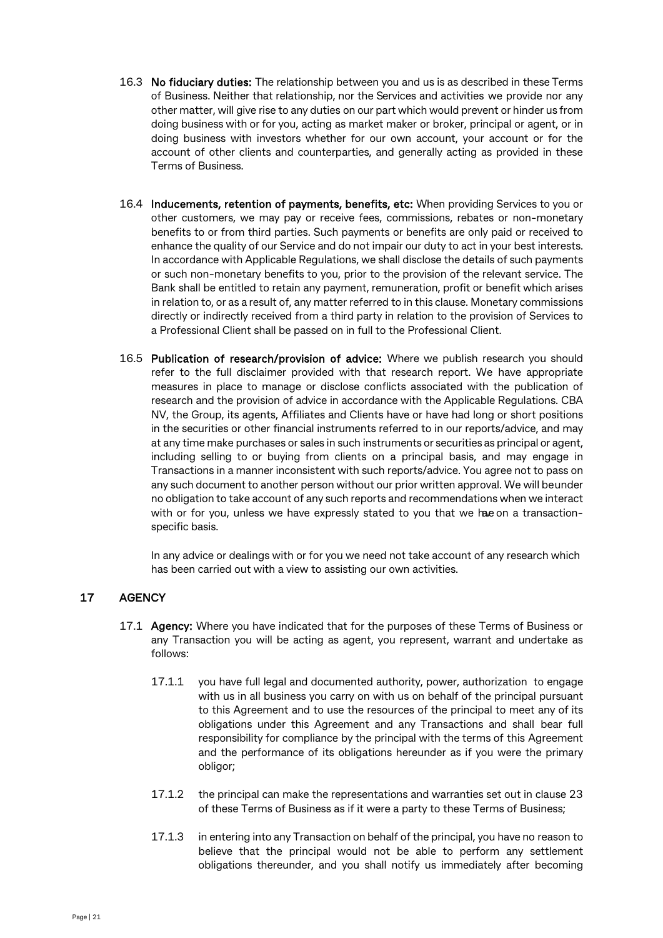- 16.3 No fiduciary duties: The relationship between you and us is as described in these Terms of Business. Neither that relationship, nor the Services and activities we provide nor any other matter, will give rise to any duties on our part which would prevent or hinder us from doing business with or for you, acting as market maker or broker, principal or agent, or in doing business with investors whether for our own account, your account or for the account of other clients and counterparties, and generally acting as provided in these Terms of Business.
- 16.4 Inducements, retention of payments, benefits, etc: When providing Services to you or other customers, we may pay or receive fees, commissions, rebates or non-monetary benefits to or from third parties. Such payments or benefits are only paid or received to enhance the quality of our Service and do not impair our duty to act in your best interests. In accordance with Applicable Regulations, we shall disclose the details of such payments or such non-monetary benefits to you, prior to the provision of the relevant service. The Bank shall be entitled to retain any payment, remuneration, profit or benefit which arises in relation to, or as a result of, any matter referred to in this clause. Monetary commissions directly or indirectly received from a third party in relation to the provision of Services to a Professional Client shall be passed on in full to the Professional Client.
- 16.5 Publication of research/provision of advice: Where we publish research you should refer to the full disclaimer provided with that research report. We have appropriate measures in place to manage or disclose conflicts associated with the publication of research and the provision of advice in accordance with the Applicable Regulations. CBA NV, the Group, its agents, Affiliates and Clients have or have had long or short positions in the securities or other financial instruments referred to in our reports/advice, and may at any time make purchases or sales in such instruments or securities as principal or agent, including selling to or buying from clients on a principal basis, and may engage in Transactions in a manner inconsistent with such reports/advice. You agree not to pass on any such document to another person without our prior written approval. We will beunder no obligation to take account of any such reports and recommendations when we interact with or for you, unless we have expressly stated to you that we hae on a transactionspecific basis.

In any advice or dealings with or for you we need not take account of any research which has been carried out with a view to assisting our own activities.

## 17 AGENCY

- 17.1 Agency: Where you have indicated that for the purposes of these Terms of Business or any Transaction you will be acting as agent, you represent, warrant and undertake as follows:
	- 17.1.1 you have full legal and documented authority, power, authorization to engage with us in all business you carry on with us on behalf of the principal pursuant to this Agreement and to use the resources of the principal to meet any of its obligations under this Agreement and any Transactions and shall bear full responsibility for compliance by the principal with the terms of this Agreement and the performance of its obligations hereunder as if you were the primary obligor;
	- 17.1.2 the principal can make the representations and warranties set out in clause 23 of these Terms of Business as if it were a party to these Terms of Business;
	- 17.1.3 in entering into any Transaction on behalf of the principal, you have no reason to believe that the principal would not be able to perform any settlement obligations thereunder, and you shall notify us immediately after becoming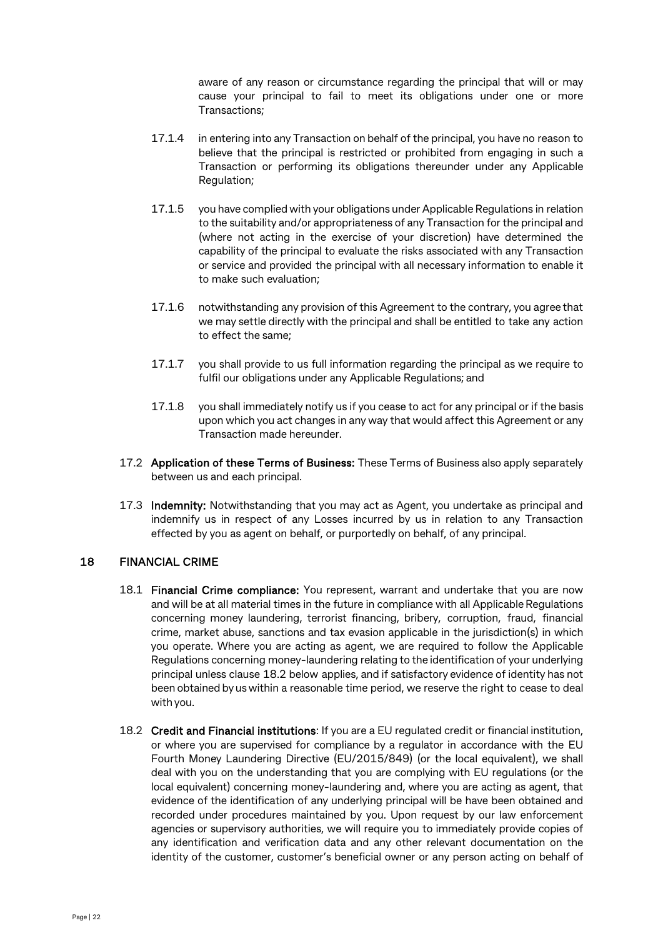aware of any reason or circumstance regarding the principal that will or may cause your principal to fail to meet its obligations under one or more Transactions;

- 17.1.4 in entering into any Transaction on behalf of the principal, you have no reason to believe that the principal is restricted or prohibited from engaging in such a Transaction or performing its obligations thereunder under any Applicable Regulation;
- 17.1.5 you have complied with your obligations under Applicable Regulations in relation to the suitability and/or appropriateness of any Transaction for the principal and (where not acting in the exercise of your discretion) have determined the capability of the principal to evaluate the risks associated with any Transaction or service and provided the principal with all necessary information to enable it to make such evaluation;
- 17.1.6 notwithstanding any provision of this Agreement to the contrary, you agree that we may settle directly with the principal and shall be entitled to take any action to effect the same;
- 17.1.7 you shall provide to us full information regarding the principal as we require to fulfil our obligations under any Applicable Regulations; and
- 17.1.8 you shall immediately notify us if you cease to act for any principal or if the basis upon which you act changes in any way that would affect this Agreement or any Transaction made hereunder.
- 17.2 Application of these Terms of Business: These Terms of Business also apply separately between us and each principal.
- 17.3 Indemnity: Notwithstanding that you may act as Agent, you undertake as principal and indemnify us in respect of any Losses incurred by us in relation to any Transaction effected by you as agent on behalf, or purportedly on behalf, of any principal.

## 18 FINANCIAL CRIME

- 18.1 Financial Crime compliance: You represent, warrant and undertake that you are now and will be at all material times in the future in compliance with all Applicable Regulations concerning money laundering, terrorist financing, bribery, corruption, fraud, financial crime, market abuse, sanctions and tax evasion applicable in the jurisdiction(s) in which you operate. Where you are acting as agent, we are required to follow the Applicable Regulations concerning money-laundering relating to the identification of your underlying principal unless clause [18.2](#page-22-0) below applies, and if satisfactory evidence of identity has not been obtained by us within a reasonable time period, we reserve the right to cease to deal with you.
- 18.2 Credit and Financial institutions: If you are a EU regulated credit or financial institution, or where you are supervised for compliance by a regulator in accordance with the EU Fourth Money Laundering Directive (EU/2015/849) (or the local equivalent), we shall deal with you on the understanding that you are complying with EU regulations (or the local equivalent) concerning money-laundering and, where you are acting as agent, that evidence of the identification of any underlying principal will be have been obtained and recorded under procedures maintained by you. Upon request by our law enforcement agencies or supervisory authorities, we will require you to immediately provide copies of any identification and verification data and any other relevant documentation on the identity of the customer, customer's beneficial owner or any person acting on behalf of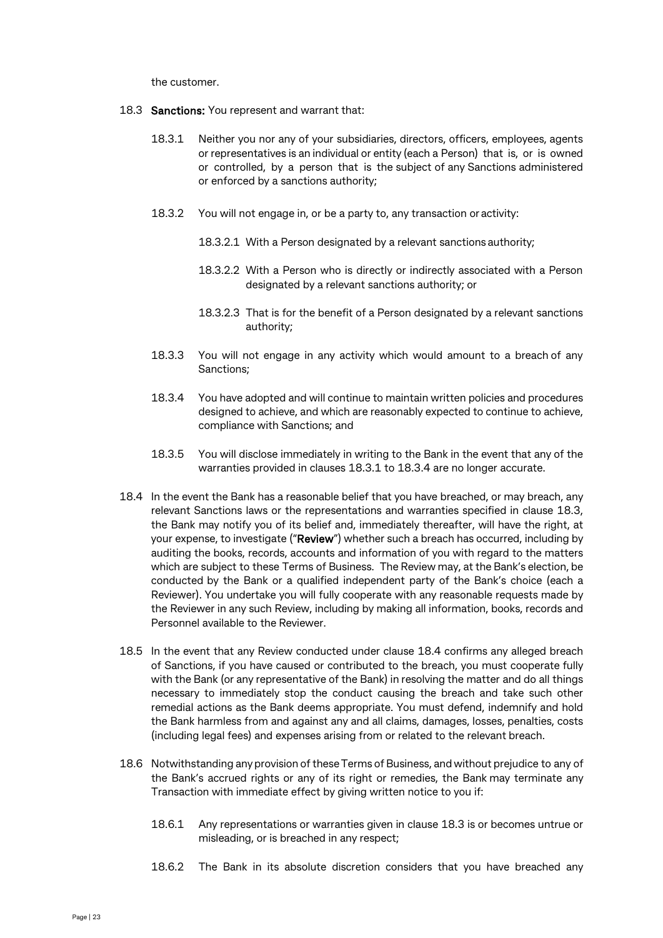<span id="page-22-0"></span>the customer.

- 18.3 Sanctions: You represent and warrant that:
	- 18.3.1 Neither you nor any of your subsidiaries, directors, officers, employees, agents or representatives is an individual or entity (each a Person) that is, or is owned or controlled, by a person that is the subject of any Sanctions administered or enforced by a sanctions authority;
	- 18.3.2 You will not engage in, or be a party to, any transaction or activity:
		- 18.3.2.1 With a Person designated by a relevant sanctions authority;
		- 18.3.2.2 With a Person who is directly or indirectly associated with a Person designated by a relevant sanctions authority; or
		- 18.3.2.3 That is for the benefit of a Person designated by a relevant sanctions authority;
	- 18.3.3 You will not engage in any activity which would amount to a breach of any Sanctions;
	- 18.3.4 You have adopted and will continue to maintain written policies and procedures designed to achieve, and which are reasonably expected to continue to achieve, compliance with Sanctions; and
	- 18.3.5 You will disclose immediately in writing to the Bank in the event that any of the warranties provided in clauses 18.3.1 to 18.3.4 are no longer accurate.
- 18.4 In the event the Bank has a reasonable belief that you have breached, or may breach, any relevant Sanctions laws or the representations and warranties specified in clause 18.3, the Bank may notify you of its belief and, immediately thereafter, will have the right, at your expense, to investigate ("Review") whether such a breach has occurred, including by auditing the books, records, accounts and information of you with regard to the matters which are subject to these Terms of Business. The Review may, at the Bank's election, be conducted by the Bank or a qualified independent party of the Bank's choice (each a Reviewer). You undertake you will fully cooperate with any reasonable requests made by the Reviewer in any such Review, including by making all information, books, records and Personnel available to the Reviewer.
- 18.5 In the event that any Review conducted under clause 18.4 confirms any alleged breach of Sanctions, if you have caused or contributed to the breach, you must cooperate fully with the Bank (or any representative of the Bank) in resolving the matter and do all things necessary to immediately stop the conduct causing the breach and take such other remedial actions as the Bank deems appropriate. You must defend, indemnify and hold the Bank harmless from and against any and all claims, damages, losses, penalties, costs (including legal fees) and expenses arising from or related to the relevant breach.
- 18.6 Notwithstanding any provision of these Terms of Business, and without prejudice to any of the Bank's accrued rights or any of its right or remedies, the Bank may terminate any Transaction with immediate effect by giving written notice to you if:
	- 18.6.1 Any representations or warranties given in clause 18.3 is or becomes untrue or misleading, or is breached in any respect;
	- 18.6.2 The Bank in its absolute discretion considers that you have breached any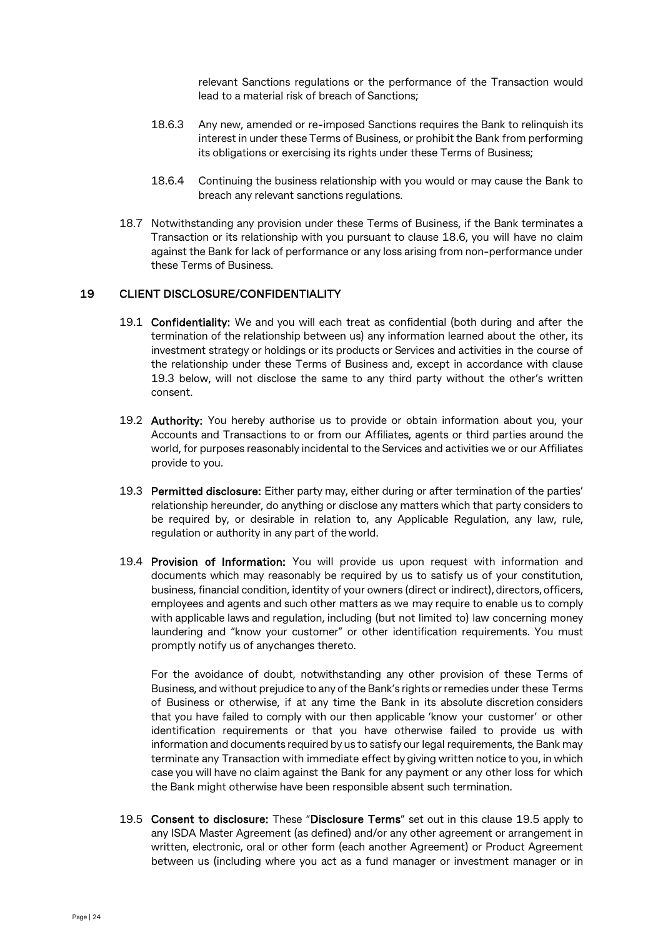relevant Sanctions regulations or the performance of the Transaction would lead to a material risk of breach of Sanctions;

- 18.6.3 Any new, amended or re-imposed Sanctions requires the Bank to relinquish its interest in under these Terms of Business, or prohibit the Bank from performing its obligations or exercising its rights under these Terms of Business;
- 18.6.4 Continuing the business relationship with you would or may cause the Bank to breach any relevant sanctions regulations.
- 18.7 Notwithstanding any provision under these Terms of Business, if the Bank terminates a Transaction or its relationship with you pursuant to clause 18.6, you will have no claim against the Bank for lack of performance or any loss arising from non-performance under these Terms of Business.

#### 19 CLIENT DISCLOSURE/CONFIDENTIALITY

- 19.1 Confidentiality: We and you will each treat as confidential (both during and after the termination of the relationship between us) any information learned about the other, its investment strategy or holdings or its products or Services and activities in the course of the relationship under these Terms of Business and, except in accordance with clause 19.3 below, will not disclose the same to any third party without the other's written consent.
- 19.2 Authority: You hereby authorise us to provide or obtain information about you, your Accounts and Transactions to or from our Affiliates, agents or third parties around the world, for purposes reasonably incidental to the Services and activities we or our Affiliates provide to you.
- 19.3 Permitted disclosure: Either party may, either during or after termination of the parties' relationship hereunder, do anything or disclose any matters which that party considers to be required by, or desirable in relation to, any Applicable Regulation, any law, rule, regulation or authority in any part of the world.
- 19.4 Provision of Information: You will provide us upon request with information and documents which may reasonably be required by us to satisfy us of your constitution, business, financial condition, identity of your owners (direct or indirect), directors, officers, employees and agents and such other matters as we may require to enable us to comply with applicable laws and regulation, including (but not limited to) law concerning money laundering and "know your customer" or other identification requirements. You must promptly notify us of anychanges thereto.

For the avoidance of doubt, notwithstanding any other provision of these Terms of Business, and without prejudice to any ofthe Bank's rights or remedies under these Terms of Business or otherwise, if at any time the Bank in its absolute discretion considers that you have failed to comply with our then applicable 'know your customer' or other identification requirements or that you have otherwise failed to provide us with information and documents required by us to satisfy our legal requirements, the Bank may terminate any Transaction with immediate effect by giving written notice to you, in which case you will have no claim against the Bank for any payment or any other loss for which the Bank might otherwise have been responsible absent such termination.

<span id="page-23-0"></span>19.5 Consent to disclosure: These "Disclosure Terms" set out in this clause [19.5](#page-23-0) apply to any ISDA Master Agreement (as defined) and/or any other agreement or arrangement in written, electronic, oral or other form (each another Agreement) or Product Agreement between us (including where you act as a fund manager or investment manager or in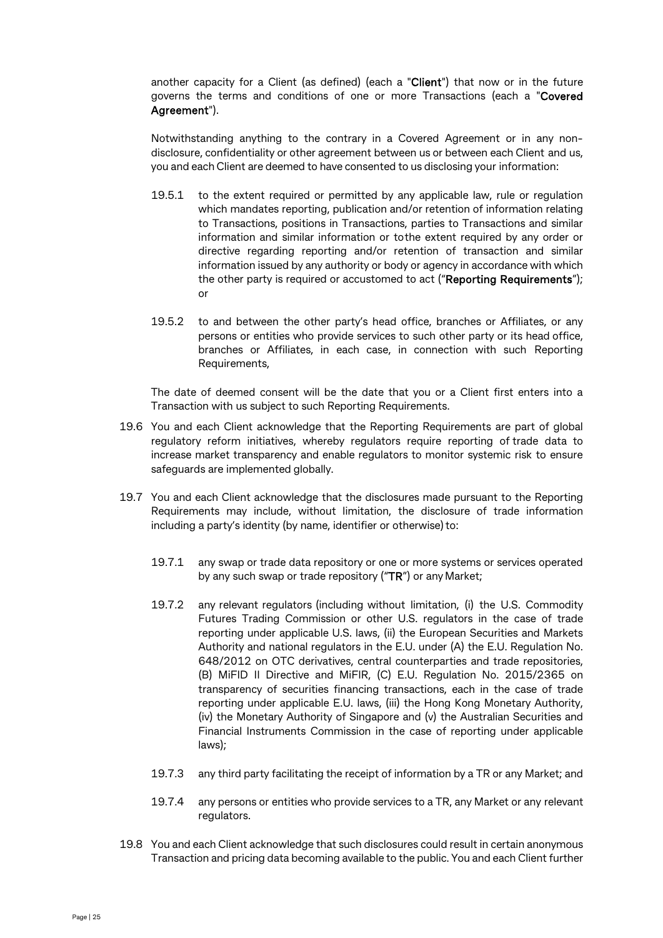another capacity for a Client (as defined) (each a "Client") that now or in the future governs the terms and conditions of one or more Transactions (each a "Covered Agreement").

Notwithstanding anything to the contrary in a Covered Agreement or in any nondisclosure, confidentiality or other agreement between us or between each Client and us, you and each Client are deemed to have consented to us disclosing your information:

- 19.5.1 to the extent required or permitted by any applicable law, rule or regulation which mandates reporting, publication and/or retention of information relating to Transactions, positions in Transactions, parties to Transactions and similar information and similar information or tothe extent required by any order or directive regarding reporting and/or retention of transaction and similar information issued by any authority or body or agency in accordance with which the other party is required or accustomed to act ("Reporting Requirements"); or
- 19.5.2 to and between the other party's head office, branches or Affiliates, or any persons or entities who provide services to such other party or its head office, branches or Affiliates, in each case, in connection with such Reporting Requirements,

The date of deemed consent will be the date that you or a Client first enters into a Transaction with us subject to such Reporting Requirements.

- 19.6 You and each Client acknowledge that the Reporting Requirements are part of global regulatory reform initiatives, whereby regulators require reporting of trade data to increase market transparency and enable regulators to monitor systemic risk to ensure safeguards are implemented globally.
- 19.7 You and each Client acknowledge that the disclosures made pursuant to the Reporting Requirements may include, without limitation, the disclosure of trade information including a party's identity (by name, identifier or otherwise) to:
	- 19.7.1 any swap or trade data repository or one or more systems or services operated by any such swap or trade repository ("TR") or any Market;
	- 19.7.2 any relevant regulators (including without limitation, (i) the U.S. Commodity Futures Trading Commission or other U.S. regulators in the case of trade reporting under applicable U.S. laws, (ii) the European Securities and Markets Authority and national regulators in the E.U. under (A) the E.U. Regulation No. 648/2012 on OTC derivatives, central counterparties and trade repositories, (B) MiFID II Directive and MiFIR, (C) E.U. Regulation No. 2015/2365 on transparency of securities financing transactions, each in the case of trade reporting under applicable E.U. laws, (iii) the Hong Kong Monetary Authority, (iv) the Monetary Authority of Singapore and (v) the Australian Securities and Financial Instruments Commission in the case of reporting under applicable laws);
	- 19.7.3 any third party facilitating the receipt of information by a TR or any Market; and
	- 19.7.4 any persons or entities who provide services to a TR, any Market or any relevant regulators.
- 19.8 You and each Client acknowledge that such disclosures could result in certain anonymous Transaction and pricing data becoming available to the public. You and each Client further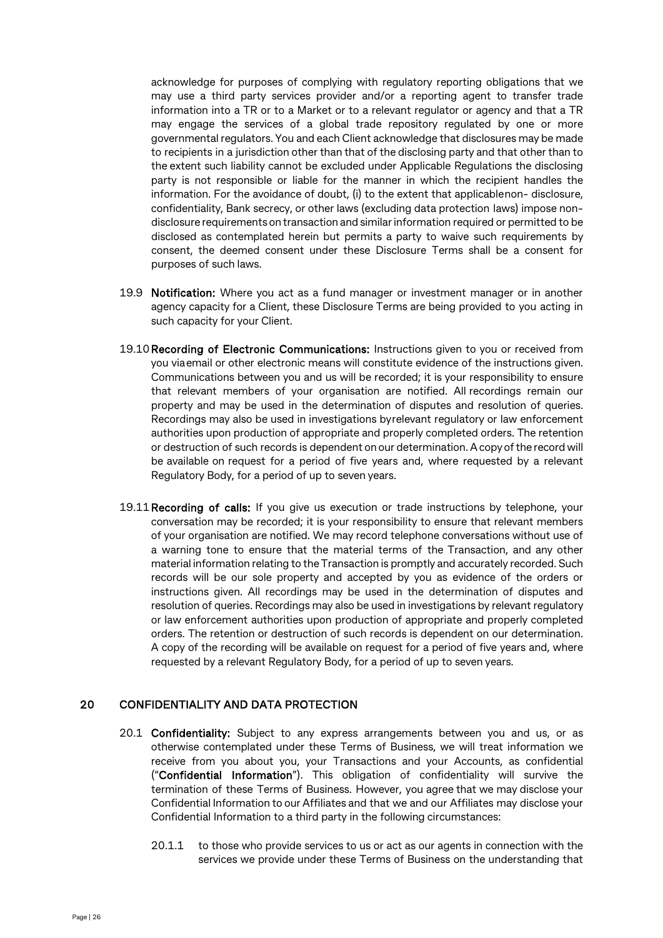acknowledge for purposes of complying with regulatory reporting obligations that we may use a third party services provider and/or a reporting agent to transfer trade information into a TR or to a Market or to a relevant regulator or agency and that a TR may engage the services of a global trade repository regulated by one or more governmental regulators. You and each Client acknowledge that disclosures may be made to recipients in a jurisdiction other than that of the disclosing party and that other than to the extent such liability cannot be excluded under Applicable Regulations the disclosing party is not responsible or liable for the manner in which the recipient handles the information. For the avoidance of doubt, (i) to the extent that applicablenon- disclosure, confidentiality, Bank secrecy, or other laws (excluding data protection laws) impose nondisclosure requirements on transaction and similarinformation required or permitted to be disclosed as contemplated herein but permits a party to waive such requirements by consent, the deemed consent under these Disclosure Terms shall be a consent for purposes of such laws.

- 19.9 Notification: Where you act as a fund manager or investment manager or in another agency capacity for a Client, these Disclosure Terms are being provided to you acting in such capacity for your Client.
- 19.10 Recording of Electronic Communications: Instructions given to you or received from you viaemail or other electronic means will constitute evidence of the instructions given. Communications between you and us will be recorded; it is your responsibility to ensure that relevant members of your organisation are notified. All recordings remain our property and may be used in the determination of disputes and resolution of queries. Recordings may also be used in investigations byrelevant regulatory or law enforcement authorities upon production of appropriate and properly completed orders. The retention or destruction of such records is dependent on our determination. Acopy ofthe record will be available on request for a period of five years and, where requested by a relevant Regulatory Body, for a period of up to seven years.
- 19.11 Recording of calls: If you give us execution or trade instructions by telephone, your conversation may be recorded; it is your responsibility to ensure that relevant members of your organisation are notified. We may record telephone conversations without use of a warning tone to ensure that the material terms of the Transaction, and any other material information relating to the Transaction is promptly and accurately recorded. Such records will be our sole property and accepted by you as evidence of the orders or instructions given. All recordings may be used in the determination of disputes and resolution of queries. Recordings may also be used in investigations by relevant regulatory or law enforcement authorities upon production of appropriate and properly completed orders. The retention or destruction of such records is dependent on our determination. A copy of the recording will be available on request for a period of five years and, where requested by a relevant Regulatory Body, for a period of up to seven years.

## <span id="page-25-0"></span>20 CONFIDENTIALITY AND DATA PROTECTION

- 20.1 Confidentiality: Subject to any express arrangements between you and us, or as otherwise contemplated under these Terms of Business, we will treat information we receive from you about you, your Transactions and your Accounts, as confidential ("Confidential Information"). This obligation of confidentiality will survive the termination of these Terms of Business. However, you agree that we may disclose your Confidential Information to our Affiliates and that we and our Affiliates may disclose your Confidential Information to a third party in the following circumstances:
	- 20.1.1 to those who provide services to us or act as our agents in connection with the services we provide under these Terms of Business on the understanding that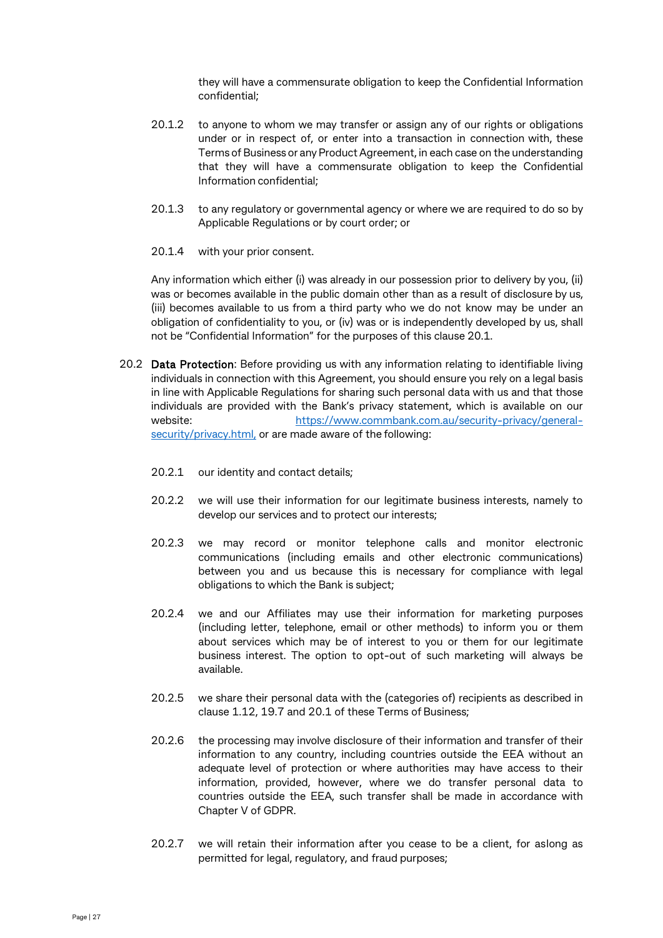they will have a commensurate obligation to keep the Confidential Information confidential;

- 20.1.2 to anyone to whom we may transfer or assign any of our rights or obligations under or in respect of, or enter into a transaction in connection with, these Terms of Business or any Product Agreement, in each case on the understanding that they will have a commensurate obligation to keep the Confidential Information confidential;
- 20.1.3 to any regulatory or governmental agency or where we are required to do so by Applicable Regulations or by court order; or
- 20.1.4 with your prior consent.

Any information which either (i) was already in our possession prior to delivery by you, (ii) was or becomes available in the public domain other than as a result of disclosure by us, (iii) becomes available to us from a third party who we do not know may be under an obligation of confidentiality to you, or (iv) was or is independently developed by us, shall not be "Confidential Information" for the purposes of this clause [20.1.](#page-25-0)

- 20.2 Data Protection: Before providing us with any information relating to identifiable living individuals in connection with this Agreement, you should ensure you rely on a legal basis in line with Applicable Regulations for sharing such personal data with us and that those individuals are provided with the Bank's privacy statement, which is available on our website: [https://www.commbank.com.au/security-privacy/general](https://www.commbank.com.au/security-privacy/general-security/privacy.html)[security/privacy.html,](https://www.commbank.com.au/security-privacy/general-security/privacy.html) or are made aware of the following:
	- 20.2.1 our identity and contact details;
	- 20.2.2 we will use their information for our legitimate business interests, namely to develop our services and to protect our interests;
	- 20.2.3 we may record or monitor telephone calls and monitor electronic communications (including emails and other electronic communications) between you and us because this is necessary for compliance with legal obligations to which the Bank is subject;
	- 20.2.4 we and our Affiliates may use their information for marketing purposes (including letter, telephone, email or other methods) to inform you or them about services which may be of interest to you or them for our legitimate business interest. The option to opt-out of such marketing will always be available.
	- 20.2.5 we share their personal data with the (categories of) recipients as described in clause 1.12, 19.7 and 20.1 of these Terms of Business;
	- 20.2.6 the processing may involve disclosure of their information and transfer of their information to any country, including countries outside the EEA without an adequate level of protection or where authorities may have access to their information, provided, however, where we do transfer personal data to countries outside the EEA, such transfer shall be made in accordance with Chapter V of GDPR.
	- 20.2.7 we will retain their information after you cease to be a client, for aslong as permitted for legal, regulatory, and fraud purposes;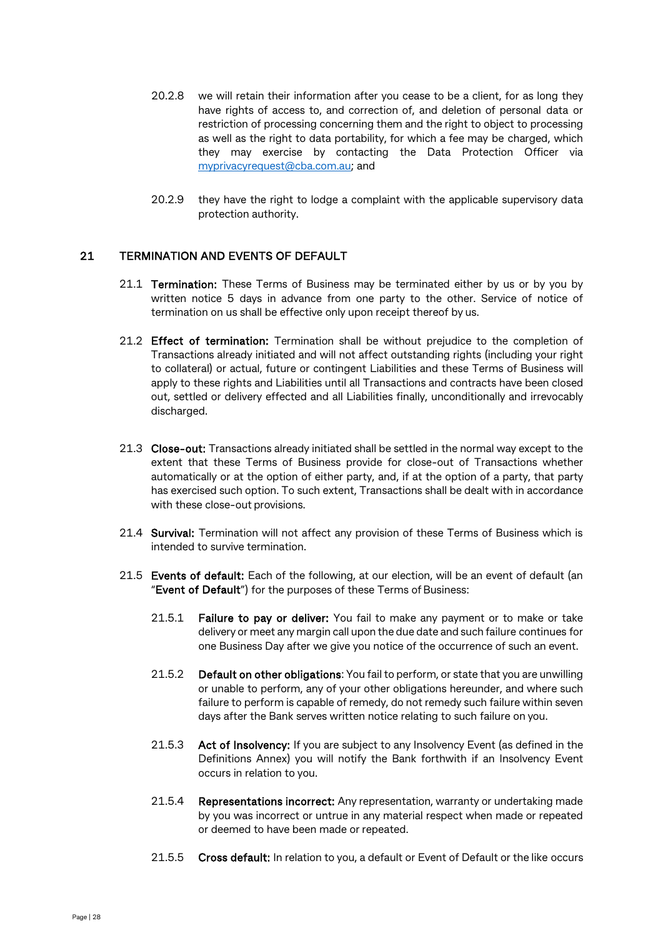- 20.2.8 we will retain their information after you cease to be a client, for as long they have rights of access to, and correction of, and deletion of personal data or restriction of processing concerning them and the right to object to processing as well as the right to data portability, for which a fee may be charged, which they may exercise by contacting the Data Protection Officer via [myprivacyrequest@cba.com.au;](mailto:myprivacyrequest@cba.com.au) and
- 20.2.9 they have the right to lodge a complaint with the applicable supervisory data protection authority.

## 21 TERMINATION AND EVENTS OF DEFAULT

- 21.1 **Termination:** These Terms of Business may be terminated either by us or by you by written notice 5 days in advance from one party to the other. Service of notice of termination on us shall be effective only upon receipt thereof by us.
- 21.2 Effect of termination: Termination shall be without prejudice to the completion of Transactions already initiated and will not affect outstanding rights (including your right to collateral) or actual, future or contingent Liabilities and these Terms of Business will apply to these rights and Liabilities until all Transactions and contracts have been closed out, settled or delivery effected and all Liabilities finally, unconditionally and irrevocably discharged.
- 21.3 Close-out: Transactions already initiated shall be settled in the normal way except to the extent that these Terms of Business provide for close-out of Transactions whether automatically or at the option of either party, and, if at the option of a party, that party has exercised such option. To such extent, Transactions shall be dealt with in accordance with these close-out provisions.
- 21.4 Survival: Termination will not affect any provision of these Terms of Business which is intended to survive termination.
- 21.5 Events of default: Each of the following, at our election, will be an event of default (an "Event of Default") for the purposes of these Terms of Business:
	- 21.5.1 Failure to pay or deliver: You fail to make any payment or to make or take delivery or meet any margin call upon the due date and such failure continues for one Business Day after we give you notice of the occurrence of such an event.
	- 21.5.2 Default on other obligations: You fail to perform, or state that you are unwilling or unable to perform, any of your other obligations hereunder, and where such failure to perform is capable of remedy, do not remedy such failure within seven days after the Bank serves written notice relating to such failure on you.
	- 21.5.3 Act of Insolvency: If you are subject to any Insolvency Event (as defined in the Definitions Annex) you will notify the Bank forthwith if an Insolvency Event occurs in relation to you.
	- 21.5.4 Representations incorrect: Any representation, warranty or undertaking made by you was incorrect or untrue in any material respect when made or repeated or deemed to have been made or repeated.
	- 21.5.5 Cross default: In relation to you, a default or Event of Default or the like occurs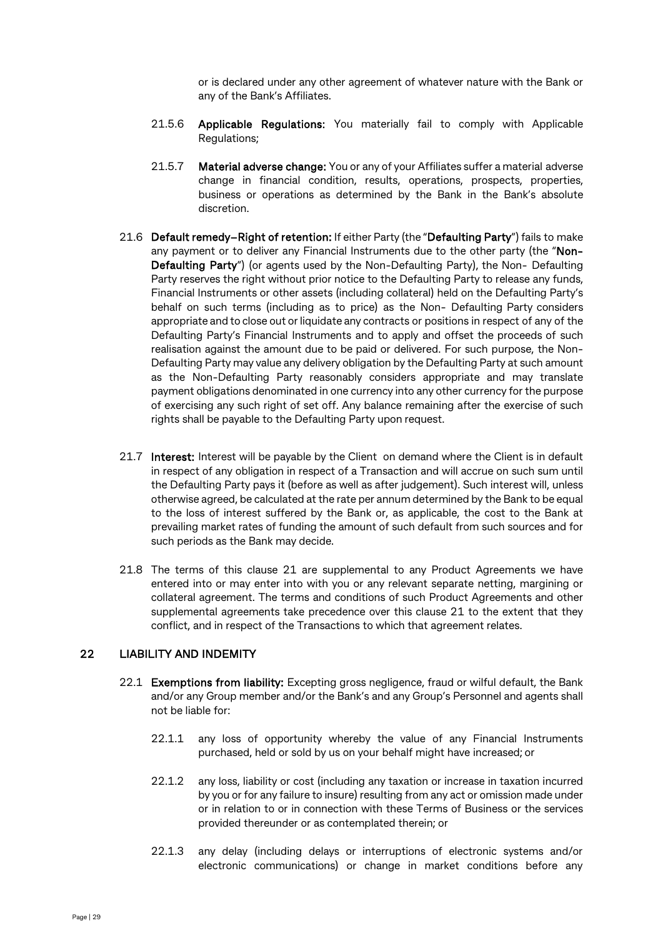or is declared under any other agreement of whatever nature with the Bank or any of the Bank's Affiliates.

- 21.5.6 Applicable Regulations: You materially fail to comply with Applicable Regulations;
- 21.5.7 Material adverse change: You or any of your Affiliates suffer a material adverse change in financial condition, results, operations, prospects, properties, business or operations as determined by the Bank in the Bank's absolute discretion.
- 21.6 Default remedy-Right of retention: If either Party (the "Defaulting Party") fails to make any payment or to deliver any Financial Instruments due to the other party (the "Non-Defaulting Party") (or agents used by the Non-Defaulting Party), the Non- Defaulting Party reserves the right without prior notice to the Defaulting Party to release any funds, Financial Instruments or other assets (including collateral) held on the Defaulting Party's behalf on such terms (including as to price) as the Non- Defaulting Party considers appropriate and to close out or liquidate any contracts or positions in respect of any of the Defaulting Party's Financial Instruments and to apply and offset the proceeds of such realisation against the amount due to be paid or delivered. For such purpose, the Non-Defaulting Party may value any delivery obligation by the Defaulting Party at such amount as the Non-Defaulting Party reasonably considers appropriate and may translate payment obligations denominated in one currency into any other currency for the purpose of exercising any such right of set off. Any balance remaining after the exercise of such rights shall be payable to the Defaulting Party upon request.
- 21.7 Interest: Interest will be payable by the Client on demand where the Client is in default in respect of any obligation in respect of a Transaction and will accrue on such sum until the Defaulting Party pays it (before as well as after judgement). Such interest will, unless otherwise agreed, be calculated at the rate per annum determined by the Bank to be equal to the loss of interest suffered by the Bank or, as applicable, the cost to the Bank at prevailing market rates of funding the amount of such default from such sources and for such periods as the Bank may decide.
- 21.8 The terms of this clause 21 are supplemental to any Product Agreements we have entered into or may enter into with you or any relevant separate netting, margining or collateral agreement. The terms and conditions of such Product Agreements and other supplemental agreements take precedence over this clause 21 to the extent that they conflict, and in respect of the Transactions to which that agreement relates.

## 22 LIABILITY AND INDEMITY

- 22.1 Exemptions from liability: Excepting gross negligence, fraud or wilful default, the Bank and/or any Group member and/or the Bank's and any Group's Personnel and agents shall not be liable for:
	- 22.1.1 any loss of opportunity whereby the value of any Financial Instruments purchased, held or sold by us on your behalf might have increased; or
	- 22.1.2 any loss, liability or cost (including any taxation or increase in taxation incurred by you or for any failure to insure) resulting from any act or omission made under or in relation to or in connection with these Terms of Business or the services provided thereunder or as contemplated therein; or
	- 22.1.3 any delay (including delays or interruptions of electronic systems and/or electronic communications) or change in market conditions before any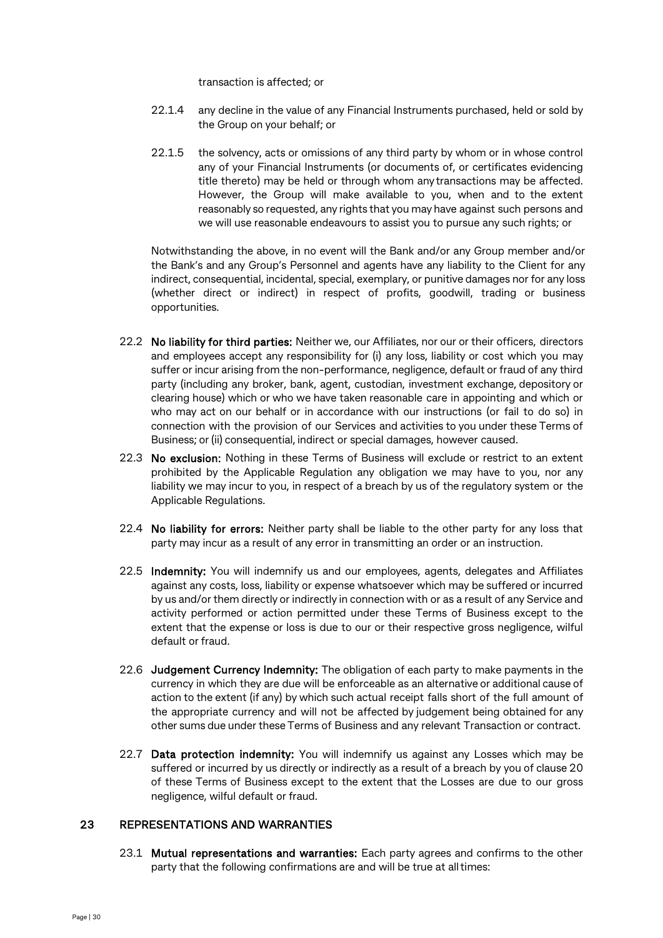transaction is affected; or

- 22.1.4 any decline in the value of any Financial Instruments purchased, held or sold by the Group on your behalf; or
- 22.1.5 the solvency, acts or omissions of any third party by whom or in whose control any of your Financial Instruments (or documents of, or certificates evidencing title thereto) may be held or through whom any transactions may be affected. However, the Group will make available to you, when and to the extent reasonably so requested, any rights that you may have against such persons and we will use reasonable endeavours to assist you to pursue any such rights; or

Notwithstanding the above, in no event will the Bank and/or any Group member and/or the Bank's and any Group's Personnel and agents have any liability to the Client for any indirect, consequential, incidental, special, exemplary, or punitive damages nor for any loss (whether direct or indirect) in respect of profits, goodwill, trading or business opportunities.

- 22.2 No liability for third parties: Neither we, our Affiliates, nor our or their officers, directors and employees accept any responsibility for (i) any loss, liability or cost which you may suffer or incur arising from the non-performance, negligence, default or fraud of any third party (including any broker, bank, agent, custodian, investment exchange, depository or clearing house) which or who we have taken reasonable care in appointing and which or who may act on our behalf or in accordance with our instructions (or fail to do so) in connection with the provision of our Services and activities to you under these Terms of Business; or(ii) consequential, indirect or special damages, however caused.
- 22.3 No exclusion: Nothing in these Terms of Business will exclude or restrict to an extent prohibited by the Applicable Regulation any obligation we may have to you, nor any liability we may incur to you, in respect of a breach by us of the regulatory system or the Applicable Regulations.
- 22.4 No liability for errors: Neither party shall be liable to the other party for any loss that party may incur as a result of any error in transmitting an order or an instruction.
- 22.5 Indemnity: You will indemnify us and our employees, agents, delegates and Affiliates against any costs, loss, liability or expense whatsoever which may be suffered or incurred by us and/or them directly or indirectly in connection with or as a result of any Service and activity performed or action permitted under these Terms of Business except to the extent that the expense or loss is due to our or their respective gross negligence, wilful default or fraud.
- 22.6 Judgement Currency Indemnity: The obligation of each party to make payments in the currency in which they are due will be enforceable as an alternative or additional cause of action to the extent (if any) by which such actual receipt falls short of the full amount of the appropriate currency and will not be affected by judgement being obtained for any other sums due under these Terms of Business and any relevant Transaction or contract.
- 22.7 Data protection indemnity: You will indemnify us against any Losses which may be suffered or incurred by us directly or indirectly as a result of a breach by you of clause 20 of these Terms of Business except to the extent that the Losses are due to our gross negligence, wilful default or fraud.

#### 23 REPRESENTATIONS AND WARRANTIES

23.1 Mutual representations and warranties: Each party agrees and confirms to the other party that the following confirmations are and will be true at all times: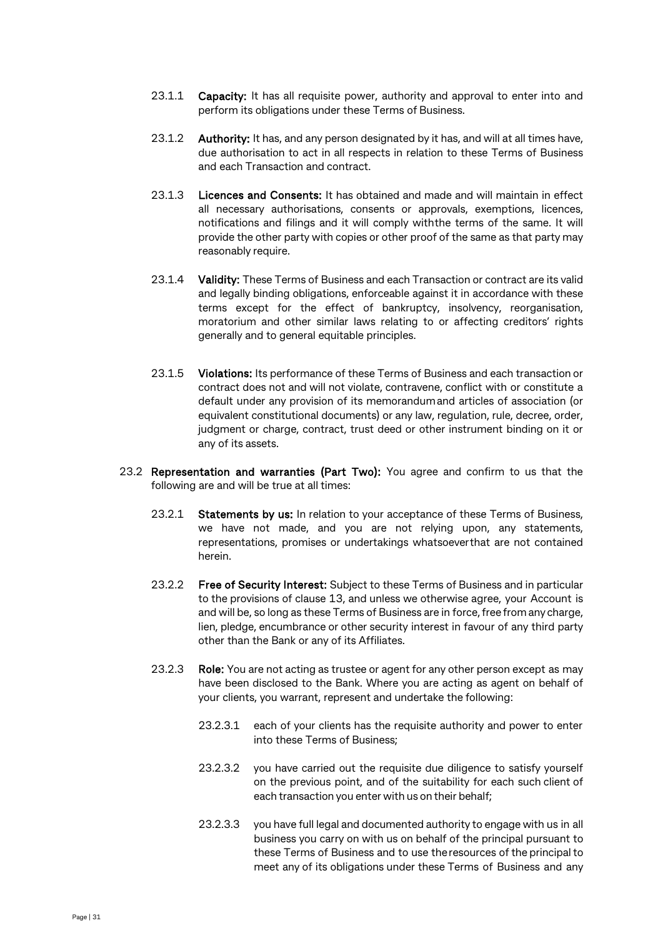- 23.1.1 Capacity: It has all requisite power, authority and approval to enter into and perform its obligations under these Terms of Business.
- 23.1.2 Authority: It has, and any person designated by it has, and will at all times have, due authorisation to act in all respects in relation to these Terms of Business and each Transaction and contract.
- 23.1.3 Licences and Consents: It has obtained and made and will maintain in effect all necessary authorisations, consents or approvals, exemptions, licences, notifications and filings and it will comply withthe terms of the same. It will provide the other party with copies or other proof of the same as that party may reasonably require.
- 23.1.4 Validity: These Terms of Business and each Transaction or contract are its valid and legally binding obligations, enforceable against it in accordance with these terms except for the effect of bankruptcy, insolvency, reorganisation, moratorium and other similar laws relating to or affecting creditors' rights generally and to general equitable principles.
- 23.1.5 Violations: Its performance of these Terms of Business and each transaction or contract does not and will not violate, contravene, conflict with or constitute a default under any provision of its memorandumand articles of association (or equivalent constitutional documents) or any law, regulation, rule, decree, order, judgment or charge, contract, trust deed or other instrument binding on it or any of its assets.
- 23.2 Representation and warranties (Part Two): You agree and confirm to us that the following are and will be true at all times:
	- 23.2.1 Statements by us: In relation to your acceptance of these Terms of Business, we have not made, and you are not relying upon, any statements, representations, promises or undertakings whatsoeverthat are not contained herein.
	- 23.2.2 Free of Security Interest: Subject to these Terms of Business and in particular to the provisions of clause [13,](#page-17-0) and unless we otherwise agree, your Account is and will be, so long as these Terms of Business are in force,free from any charge, lien, pledge, encumbrance or other security interest in favour of any third party other than the Bank or any of its Affiliates.
	- 23.2.3 Role: You are not acting as trustee or agent for any other person except as may have been disclosed to the Bank. Where you are acting as agent on behalf of your clients, you warrant, represent and undertake the following:
		- 23.2.3.1 each of your clients has the requisite authority and power to enter into these Terms of Business;
		- 23.2.3.2 you have carried out the requisite due diligence to satisfy yourself on the previous point, and of the suitability for each such client of each transaction you enter with us on their behalf;
		- 23.2.3.3 you have full legal and documented authority to engage with us in all business you carry on with us on behalf of the principal pursuant to these Terms of Business and to use theresources of the principalto meet any of its obligations under these Terms of Business and any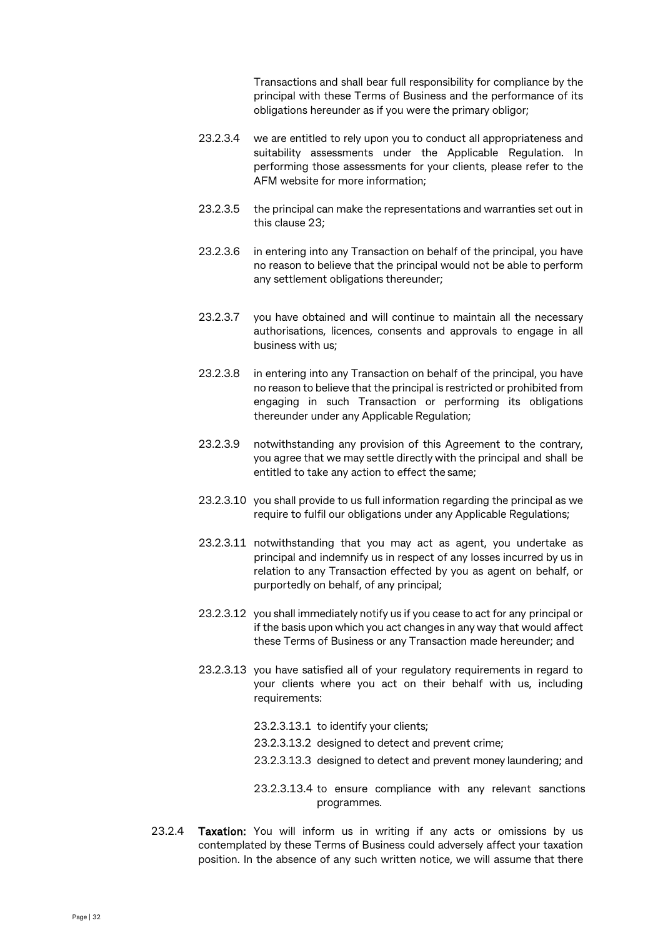Transactions and shall bear full responsibility for compliance by the principal with these Terms of Business and the performance of its obligations hereunder as if you were the primary obligor;

- 23.2.3.4 we are entitled to rely upon you to conduct all appropriateness and suitability assessments under the Applicable Regulation. In performing those assessments for your clients, please refer to the AFM website for more information;
- 23.2.3.5 the principal can make the representations and warranties set out in this clause 23;
- 23.2.3.6 in entering into any Transaction on behalf of the principal, you have no reason to believe that the principal would not be able to perform any settlement obligations thereunder;
- 23.2.3.7 you have obtained and will continue to maintain all the necessary authorisations, licences, consents and approvals to engage in all business with us;
- 23.2.3.8 in entering into any Transaction on behalf of the principal, you have no reason to believe that the principal is restricted or prohibited from engaging in such Transaction or performing its obligations thereunder under any Applicable Regulation;
- 23.2.3.9 notwithstanding any provision of this Agreement to the contrary, you agree that we may settle directly with the principal and shall be entitled to take any action to effect the same;
- 23.2.3.10 you shall provide to us full information regarding the principal as we require to fulfil our obligations under any Applicable Regulations;
- 23.2.3.11 notwithstanding that you may act as agent, you undertake as principal and indemnify us in respect of any losses incurred by us in relation to any Transaction effected by you as agent on behalf, or purportedly on behalf, of any principal;
- 23.2.3.12 you shall immediately notify us if you cease to act for any principal or if the basis upon which you act changes in any way that would affect these Terms of Business or any Transaction made hereunder; and
- 23.2.3.13 you have satisfied all of your regulatory requirements in regard to your clients where you act on their behalf with us, including requirements:
	- 23.2.3.13.1 to identify your clients;
	- 23.2.3.13.2 designed to detect and prevent crime;
	- 23.2.3.13.3 designed to detect and prevent money laundering; and
	- 23.2.3.13.4 to ensure compliance with any relevant sanctions programmes.
- 23.2.4 **Taxation:** You will inform us in writing if any acts or omissions by us contemplated by these Terms of Business could adversely affect your taxation position. In the absence of any such written notice, we will assume that there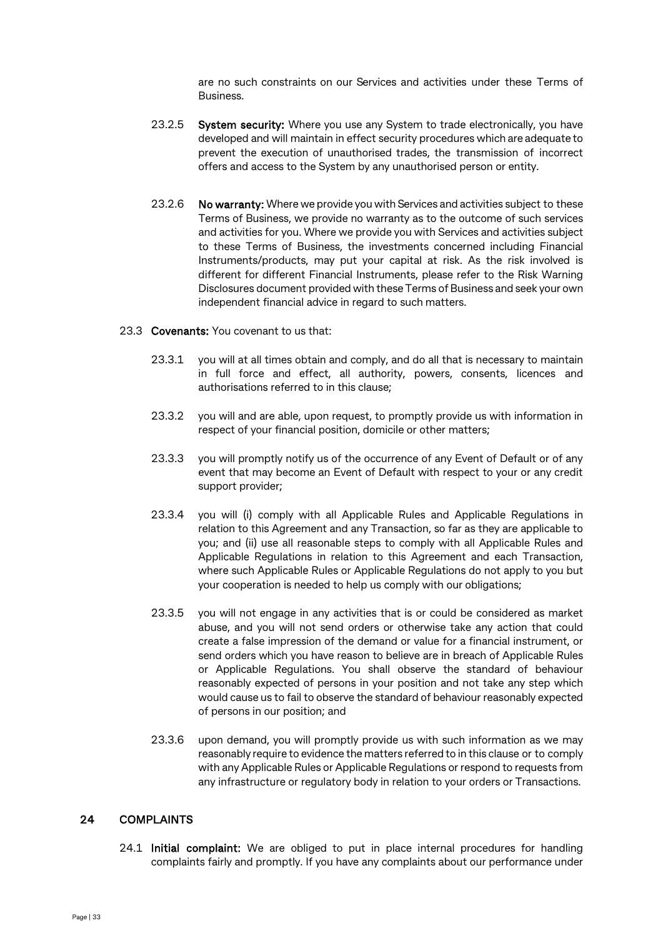are no such constraints on our Services and activities under these Terms of Business.

- 23.2.5 System security: Where you use any System to trade electronically, you have developed and will maintain in effect security procedures which are adequate to prevent the execution of unauthorised trades, the transmission of incorrect offers and access to the System by any unauthorised person or entity.
- 23.2.6 No warranty: Where we provide you with Services and activities subject to these Terms of Business, we provide no warranty as to the outcome of such services and activities for you. Where we provide you with Services and activities subject to these Terms of Business, the investments concerned including Financial Instruments/products, may put your capital at risk. As the risk involved is different for different Financial Instruments, please refer to the Risk Warning Disclosures document provided with these Terms of Business and seek your own independent financial advice in regard to such matters.

#### 23.3 Covenants: You covenant to us that:

- 23.3.1 you will at all times obtain and comply, and do all that is necessary to maintain in full force and effect, all authority, powers, consents, licences and authorisations referred to in this clause;
- 23.3.2 you will and are able, upon request, to promptly provide us with information in respect of your financial position, domicile or other matters;
- 23.3.3 you will promptly notify us of the occurrence of any Event of Default or of any event that may become an Event of Default with respect to your or any credit support provider;
- 23.3.4 you will (i) comply with all Applicable Rules and Applicable Regulations in relation to this Agreement and any Transaction, so far as they are applicable to you; and (ii) use all reasonable steps to comply with all Applicable Rules and Applicable Regulations in relation to this Agreement and each Transaction, where such Applicable Rules or Applicable Regulations do not apply to you but your cooperation is needed to help us comply with our obligations;
- 23.3.5 you will not engage in any activities that is or could be considered as market abuse, and you will not send orders or otherwise take any action that could create a false impression of the demand or value for a financial instrument, or send orders which you have reason to believe are in breach of Applicable Rules or Applicable Regulations. You shall observe the standard of behaviour reasonably expected of persons in your position and not take any step which would cause us to fail to observe the standard of behaviour reasonably expected of persons in our position; and
- 23.3.6 upon demand, you will promptly provide us with such information as we may reasonably require to evidence the matters referred to in this clause or to comply with any Applicable Rules or Applicable Regulations or respond to requests from any infrastructure or regulatory body in relation to your orders or Transactions.

## 24 COMPLAINTS

24.1 Initial complaint: We are obliged to put in place internal procedures for handling complaints fairly and promptly. If you have any complaints about our performance under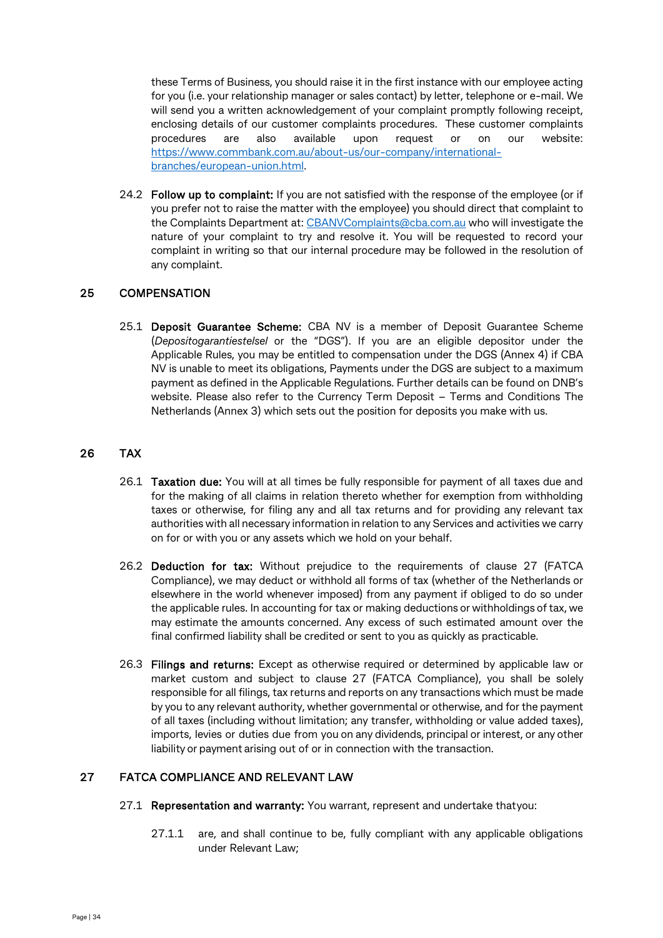these Terms of Business, you should raise it in the first instance with our employee acting for you (i.e. your relationship manager or sales contact) by letter, telephone or e-mail. We will send you a written acknowledgement of your complaint promptly following receipt, enclosing details of our customer complaints procedures. These customer complaints procedures are also available upon request or on our website: [https://www.commbank.com.au/about-us/our-company/international](https://www.commbank.com.au/about-us/our-company/international-branches/european-union.html)[branches/european-union.html.](https://www.commbank.com.au/about-us/our-company/international-branches/european-union.html)

24.2 Follow up to complaint: If you are not satisfied with the response of the employee (or if you prefer not to raise the matter with the employee) you should direct that complaint to the Complaints Department at: [CBANVComplaints@cba.com.au](mailto:CBANVComplaints@cba.com.au) who will investigate the nature of your complaint to try and resolve it. You will be requested to record your complaint in writing so that our internal procedure may be followed in the resolution of any complaint.

## 25 COMPENSATION

25.1 Deposit Guarantee Scheme: CBA NV is a member of Deposit Guarantee Scheme (*Depositogarantiestelsel* or the "DGS"). If you are an eligible depositor under the Applicable Rules, you may be entitled to compensation under the DGS (Annex 4) if CBA NV is unable to meet its obligations, Payments under the DGS are subject to a maximum payment as defined in the Applicable Regulations. Further details can be found on DNB's website. Please also refer to the Currency Term Deposit – Terms and Conditions The Netherlands (Annex 3) which sets out the position for deposits you make with us.

## 26 TAX

- 26.1 Taxation due: You will at all times be fully responsible for payment of all taxes due and for the making of all claims in relation thereto whether for exemption from withholding taxes or otherwise, for filing any and all tax returns and for providing any relevant tax authorities with all necessary information in relation to any Services and activities we carry on for or with you or any assets which we hold on your behalf.
- 26.2 Deduction for tax: Without prejudice to the requirements of clause 27 (FATCA Compliance), we may deduct or withhold all forms of tax (whether of the Netherlands or elsewhere in the world whenever imposed) from any payment if obliged to do so under the applicable rules. In accounting for tax or making deductions or withholdings oftax, we may estimate the amounts concerned. Any excess of such estimated amount over the final confirmed liability shall be credited or sent to you as quickly as practicable.
- 26.3 Filings and returns: Except as otherwise required or determined by applicable law or market custom and subject to clause 27 (FATCA Compliance), you shall be solely responsible for all filings, tax returns and reports on any transactions which must be made by you to any relevant authority, whether governmental or otherwise, and for the payment of all taxes (including without limitation; any transfer, withholding or value added taxes), imports, levies or duties due from you on any dividends, principal or interest, or any other liability or payment arising out of or in connection with the transaction.

## 27 FATCA COMPLIANCE AND RELEVANT LAW

- 27.1 Representation and warranty: You warrant, represent and undertake thatyou:
	- 27.1.1 are, and shall continue to be, fully compliant with any applicable obligations under Relevant Law;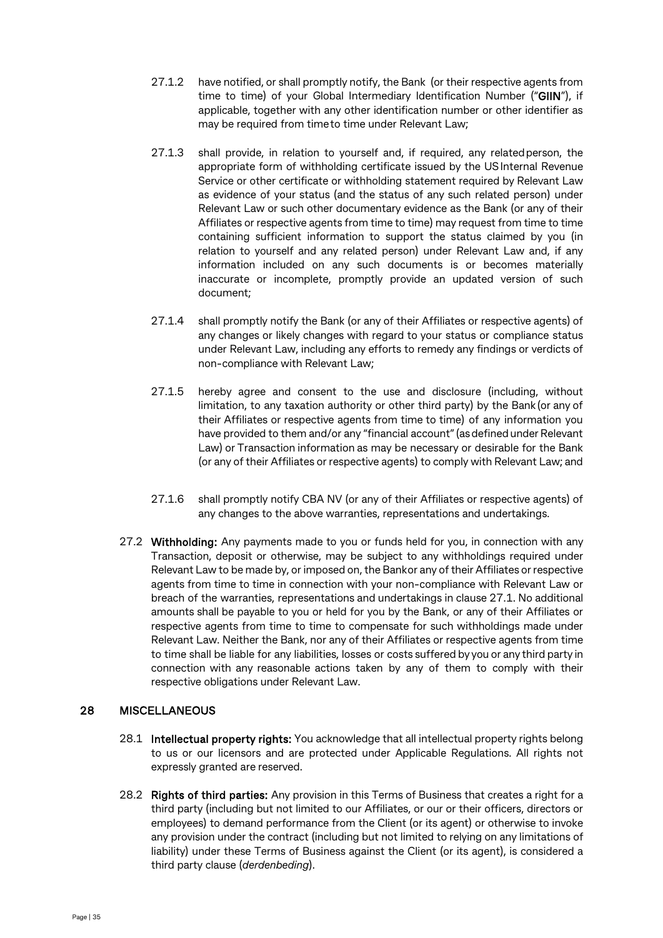- 27.1.2 have notified, or shall promptly notify, the Bank (or their respective agents from time to time) of your Global Intermediary Identification Number ("GIIN"), if applicable, together with any other identification number or other identifier as may be required from timeto time under Relevant Law;
- 27.1.3 shall provide, in relation to yourself and, if required, any relatedperson, the appropriate form of withholding certificate issued by the USInternal Revenue Service or other certificate or withholding statement required by Relevant Law as evidence of your status (and the status of any such related person) under Relevant Law or such other documentary evidence as the Bank (or any of their Affiliates or respective agents from time to time) may request from time to time containing sufficient information to support the status claimed by you (in relation to yourself and any related person) under Relevant Law and, if any information included on any such documents is or becomes materially inaccurate or incomplete, promptly provide an updated version of such document;
- 27.1.4 shall promptly notify the Bank (or any of their Affiliates or respective agents) of any changes or likely changes with regard to your status or compliance status under Relevant Law, including any efforts to remedy any findings or verdicts of non-compliance with Relevant Law;
- 27.1.5 hereby agree and consent to the use and disclosure (including, without limitation, to any taxation authority or other third party) by the Bank(or any of their Affiliates or respective agents from time to time) of any information you have provided to them and/or any "financial account" (as defined under Relevant Law) or Transaction information as may be necessary or desirable for the Bank (or any of their Affiliates or respective agents) to comply with Relevant Law; and
- 27.1.6 shall promptly notify CBA NV (or any of their Affiliates or respective agents) of any changes to the above warranties, representations and undertakings.
- 27.2 Withholding: Any payments made to you or funds held for you, in connection with any Transaction, deposit or otherwise, may be subject to any withholdings required under Relevant Law to be made by, or imposed on, the Bankor any of their Affiliates or respective agents from time to time in connection with your non-compliance with Relevant Law or breach of the warranties, representations and undertakings in clause 27.1. No additional amounts shall be payable to you or held for you by the Bank, or any of their Affiliates or respective agents from time to time to compensate for such withholdings made under Relevant Law. Neither the Bank, nor any of their Affiliates or respective agents from time to time shall be liable for any liabilities, losses or costs suffered by you or any third party in connection with any reasonable actions taken by any of them to comply with their respective obligations under Relevant Law.

## 28 MISCELLANEOUS

- 28.1 Intellectual property rights: You acknowledge that all intellectual property rights belong to us or our licensors and are protected under Applicable Regulations. All rights not expressly granted are reserved.
- 28.2 Rights of third parties: Any provision in this Terms of Business that creates a right for a third party (including but not limited to our Affiliates, or our or their officers, directors or employees) to demand performance from the Client (or its agent) or otherwise to invoke any provision under the contract (including but not limited to relying on any limitations of liability) under these Terms of Business against the Client (or its agent), is considered a third party clause (*derdenbeding*).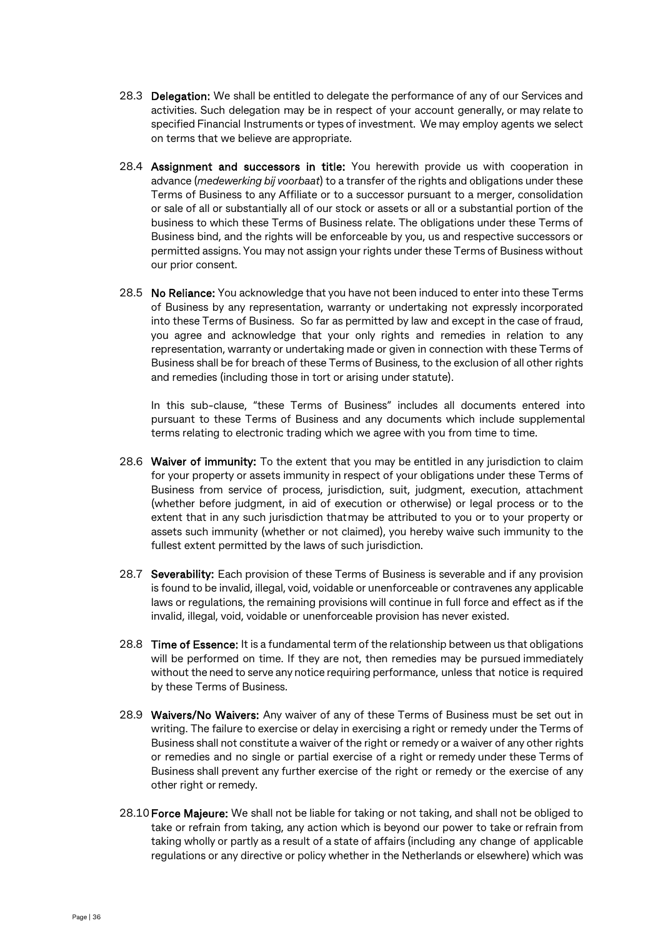- 28.3 Delegation: We shall be entitled to delegate the performance of any of our Services and activities. Such delegation may be in respect of your account generally, or may relate to specified Financial Instruments or types of investment. We may employ agents we select on terms that we believe are appropriate.
- 28.4 Assignment and successors in title: You herewith provide us with cooperation in advance (*medewerking bij voorbaat*) to a transfer of the rights and obligations under these Terms of Business to any Affiliate or to a successor pursuant to a merger, consolidation or sale of all or substantially all of our stock or assets or all or a substantial portion of the business to which these Terms of Business relate. The obligations under these Terms of Business bind, and the rights will be enforceable by you, us and respective successors or permitted assigns. You may not assign your rights under these Terms of Business without our prior consent.
- 28.5 No Reliance: You acknowledge that you have not been induced to enter into these Terms of Business by any representation, warranty or undertaking not expressly incorporated into these Terms of Business. So far as permitted by law and except in the case of fraud, you agree and acknowledge that your only rights and remedies in relation to any representation, warranty or undertaking made or given in connection with these Terms of Business shall be for breach of these Terms of Business, to the exclusion of all other rights and remedies (including those in tort or arising under statute).

In this sub-clause, "these Terms of Business" includes all documents entered into pursuant to these Terms of Business and any documents which include supplemental terms relating to electronic trading which we agree with you from time to time.

- 28.6 Waiver of immunity: To the extent that you may be entitled in any jurisdiction to claim for your property or assets immunity in respect of your obligations under these Terms of Business from service of process, jurisdiction, suit, judgment, execution, attachment (whether before judgment, in aid of execution or otherwise) or legal process or to the extent that in any such jurisdiction thatmay be attributed to you or to your property or assets such immunity (whether or not claimed), you hereby waive such immunity to the fullest extent permitted by the laws of such jurisdiction.
- 28.7 Severability: Each provision of these Terms of Business is severable and if any provision is found to be invalid, illegal, void, voidable or unenforceable or contravenes any applicable laws or regulations, the remaining provisions will continue in full force and effect as if the invalid, illegal, void, voidable or unenforceable provision has never existed.
- 28.8 Time of Essence: It is a fundamental term of the relationship between us that obligations will be performed on time. If they are not, then remedies may be pursued immediately without the need to serve any notice requiring performance, unless that notice is required by these Terms of Business.
- 28.9 Waivers/No Waivers: Any waiver of any of these Terms of Business must be set out in writing. The failure to exercise or delay in exercising a right or remedy under the Terms of Business shall not constitute a waiver of the right or remedy or a waiver of any other rights or remedies and no single or partial exercise of a right or remedy under these Terms of Business shall prevent any further exercise of the right or remedy or the exercise of any other right or remedy.
- 28.10 Force Majeure: We shall not be liable for taking or not taking, and shall not be obliged to take or refrain from taking, any action which is beyond our power to take or refrain from taking wholly or partly as a result of a state of affairs (including any change of applicable regulations or any directive or policy whether in the Netherlands or elsewhere) which was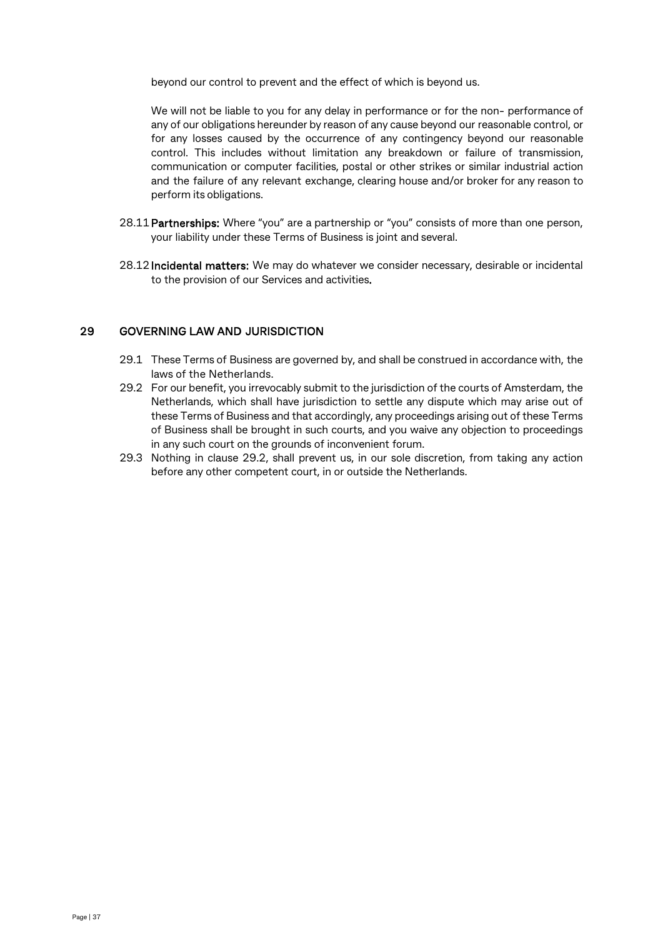beyond our control to prevent and the effect of which is beyond us.

We will not be liable to you for any delay in performance or for the non- performance of any of our obligations hereunder by reason of any cause beyond our reasonable control, or for any losses caused by the occurrence of any contingency beyond our reasonable control. This includes without limitation any breakdown or failure of transmission, communication or computer facilities, postal or other strikes or similar industrial action and the failure of any relevant exchange, clearing house and/or broker for any reason to perform its obligations.

- 28.11 Partnerships: Where "you" are a partnership or "you" consists of more than one person, your liability under these Terms of Business is joint and several.
- 28.12Incidental matters: We may do whatever we consider necessary, desirable or incidental to the provision of our Services and activities.

#### 29 GOVERNING LAW AND JURISDICTION

- 29.1 These Terms of Business are governed by, and shall be construed in accordance with, the laws of the Netherlands.
- 29.2 For our benefit, you irrevocably submit to the jurisdiction of the courts of Amsterdam, the Netherlands, which shall have jurisdiction to settle any dispute which may arise out of these Terms of Business and that accordingly, any proceedings arising out of these Terms of Business shall be brought in such courts, and you waive any objection to proceedings in any such court on the grounds of inconvenient forum.
- 29.3 Nothing in clause 29.2, shall prevent us, in our sole discretion, from taking any action before any other competent court, in or outside the Netherlands.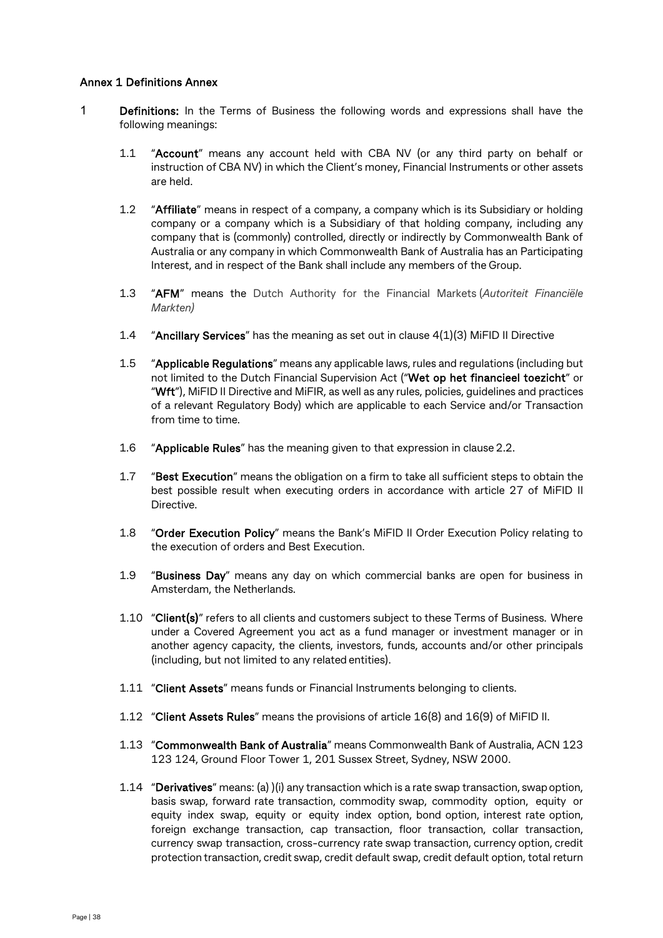#### Annex 1 Definitions Annex

- 1 Definitions: In the Terms of Business the following words and expressions shall have the following meanings:
	- 1.1 "Account" means any account held with CBA NV (or any third party on behalf or instruction of CBA NV) in which the Client's money, Financial Instruments or other assets are held.
	- 1.2 "Affiliate" means in respect of a company, a company which is its Subsidiary or holding company or a company which is a Subsidiary of that holding company, including any company that is (commonly) controlled, directly or indirectly by Commonwealth Bank of Australia or any company in which Commonwealth Bank of Australia has an Participating Interest, and in respect of the Bank shall include any members of the Group.
	- 1.3 "AFM" means the Dutch Authority for the Financial Markets (*Autoriteit Financiële Markten)*
	- 1.4 "Ancillary Services" has the meaning as set out in clause 4(1)(3) MiFID II Directive
	- 1.5 "Applicable Regulations" means any applicable laws, rules and regulations (including but not limited to the Dutch Financial Supervision Act ("Wet op het financieel toezicht" or "Wft"), MiFID II Directive and MiFIR, as well as any rules, policies, guidelines and practices of a relevant Regulatory Body) which are applicable to each Service and/or Transaction from time to time.
	- 1.6 "Applicable Rules" has the meaning given to that expression in clause 2.2.
	- 1.7 "Best Execution" means the obligation on a firm to take all sufficient steps to obtain the best possible result when executing orders in accordance with article 27 of MiFID II Directive.
	- 1.8 "Order Execution Policy" means the Bank's MiFID II Order Execution Policy relating to the execution of orders and Best Execution.
	- 1.9 "Business Day" means any day on which commercial banks are open for business in Amsterdam, the Netherlands.
	- 1.10 "Client(s)" refers to all clients and customers subject to these Terms of Business. Where under a Covered Agreement you act as a fund manager or investment manager or in another agency capacity, the clients, investors, funds, accounts and/or other principals (including, but not limited to any related entities).
	- 1.11 "Client Assets" means funds or Financial Instruments belonging to clients.
	- 1.12 "Client Assets Rules" means the provisions of article 16(8) and 16(9) of MiFID II.
	- 1.13 "Commonwealth Bank of Australia" means Commonwealth Bank of Australia, ACN 123 123 124, Ground Floor Tower 1, 201 Sussex Street, Sydney, NSW 2000.
	- 1.14 "Derivatives" means: (a) )(i) any transaction which is a rate swap transaction, swap option, basis swap, forward rate transaction, commodity swap, commodity option, equity or equity index swap, equity or equity index option, bond option, interest rate option, foreign exchange transaction, cap transaction, floor transaction, collar transaction, currency swap transaction, cross-currency rate swap transaction, currency option, credit protection transaction, credit swap, credit default swap, credit default option, total return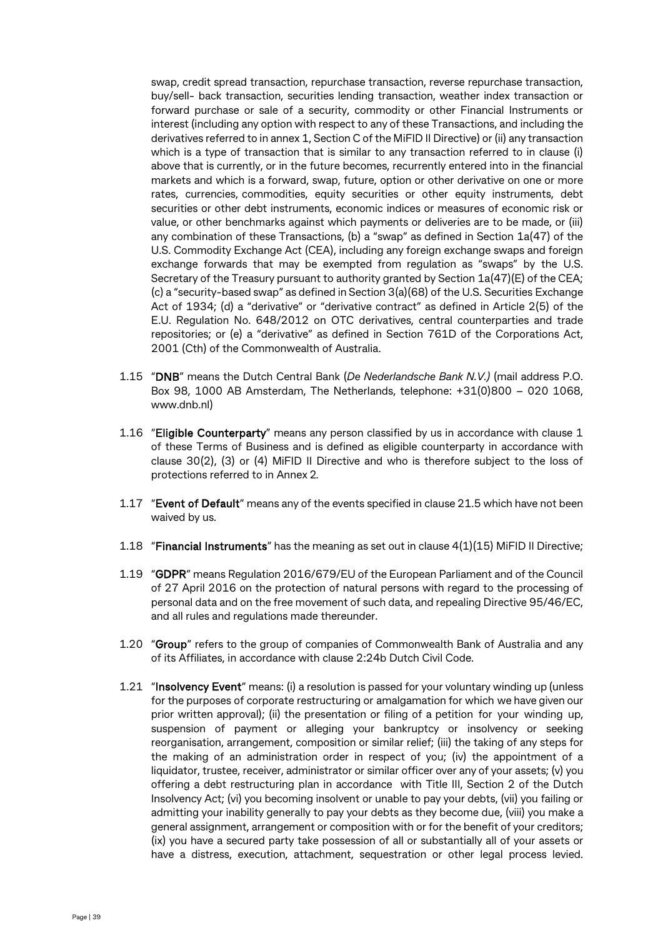swap, credit spread transaction, repurchase transaction, reverse repurchase transaction, buy/sell- back transaction, securities lending transaction, weather index transaction or forward purchase or sale of a security, commodity or other Financial Instruments or interest (including any option with respect to any of these Transactions, and including the derivatives referred to in annex 1, Section C of the MiFID II Directive) or (ii) any transaction which is a type of transaction that is similar to any transaction referred to in clause (i) above that is currently, or in the future becomes, recurrently entered into in the financial markets and which is a forward, swap, future, option or other derivative on one or more rates, currencies, commodities, equity securities or other equity instruments, debt securities or other debt instruments, economic indices or measures of economic risk or value, or other benchmarks against which payments or deliveries are to be made, or (iii) any combination of these Transactions, (b) a "swap" as defined in Section 1a(47) of the U.S. Commodity Exchange Act (CEA), including any foreign exchange swaps and foreign exchange forwards that may be exempted from regulation as "swaps" by the U.S. Secretary of the Treasury pursuant to authority granted by Section  $1a(47)$ (E) of the CEA; (c) a "security-based swap" as defined in Section 3(a)(68) of the U.S. Securities Exchange Act of 1934; (d) a "derivative" or "derivative contract" as defined in Article 2(5) of the E.U. Regulation No. 648/2012 on OTC derivatives, central counterparties and trade repositories; or (e) a "derivative" as defined in Section 761D of the Corporations Act, 2001 (Cth) of the Commonwealth of Australia.

- 1.15 "DNB" means the Dutch Central Bank (*De Nederlandsche Bank N.V.)* (mail address P.O. Box 98, 1000 AB Amsterdam, The Netherlands, telephone: +31(0)800 – 020 1068, www.dnb.nl)
- 1.16 "Eligible Counterparty" means any person classified by us in accordance with clause 1 of these Terms of Business and is defined as eligible counterparty in accordance with clause 30(2), (3) or (4) MiFID II Directive and who is therefore subject to the loss of protections referred to in Annex 2.
- 1.17 "Event of Default" means any of the events specified in clause 21.5 which have not been waived by us.
- 1.18 "Financial Instruments" has the meaning as set out in clause  $4(1)(15)$  MiFID II Directive;
- 1.19 "GDPR" means Regulation 2016/679/EU of the European Parliament and of the Council of 27 April 2016 on the protection of natural persons with regard to the processing of personal data and on the free movement of such data, and repealing Directive 95/46/EC, and all rules and regulations made thereunder.
- 1.20 "Group" refers to the group of companies of Commonwealth Bank of Australia and any of its Affiliates, in accordance with clause 2:24b Dutch Civil Code.
- 1.21 "Insolvency Event" means: (i) a resolution is passed for your voluntary winding up (unless for the purposes of corporate restructuring or amalgamation for which we have given our prior written approval); (ii) the presentation or filing of a petition for your winding up, suspension of payment or alleging your bankruptcy or insolvency or seeking reorganisation, arrangement, composition or similar relief; (iii) the taking of any steps for the making of an administration order in respect of you; (iv) the appointment of a liquidator, trustee, receiver, administrator or similar officer over any of your assets; (v) you offering a debt restructuring plan in accordance with Title III, Section 2 of the Dutch Insolvency Act; (vi) you becoming insolvent or unable to pay your debts, (vii) you failing or admitting your inability generally to pay your debts as they become due, (viii) you make a general assignment, arrangement or composition with or for the benefit of your creditors; (ix) you have a secured party take possession of all or substantially all of your assets or have a distress, execution, attachment, sequestration or other legal process levied.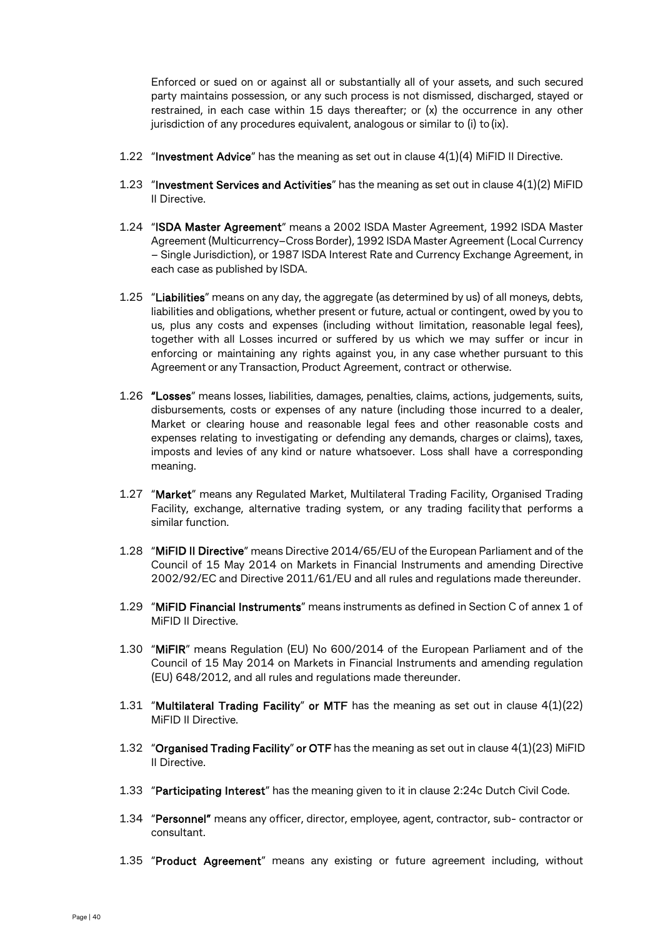Enforced or sued on or against all or substantially all of your assets, and such secured party maintains possession, or any such process is not dismissed, discharged, stayed or restrained, in each case within 15 days thereafter; or (x) the occurrence in any other jurisdiction of any procedures equivalent, analogous or similar to (i) to(ix).

- 1.22 "Investment Advice" has the meaning as set out in clause 4(1)(4) MiFID II Directive.
- 1.23 "Investment Services and Activities" has the meaning as set out in clause  $4(1)(2)$  MiFID II Directive.
- 1.24 "ISDA Master Agreement" means a 2002 ISDA Master Agreement, 1992 ISDA Master Agreement(Multicurrency–Cross Border), 1992 ISDA Master Agreement (Local Currency – Single Jurisdiction), or 1987 ISDA Interest Rate and Currency Exchange Agreement, in each case as published by ISDA.
- 1.25 "Liabilities" means on any day, the aggregate (as determined by us) of all moneys, debts, liabilities and obligations, whether present or future, actual or contingent, owed by you to us, plus any costs and expenses (including without limitation, reasonable legal fees), together with all Losses incurred or suffered by us which we may suffer or incur in enforcing or maintaining any rights against you, in any case whether pursuant to this Agreement or any Transaction, Product Agreement, contract or otherwise.
- 1.26 "Losses" means losses, liabilities, damages, penalties, claims, actions, judgements, suits, disbursements, costs or expenses of any nature (including those incurred to a dealer, Market or clearing house and reasonable legal fees and other reasonable costs and expenses relating to investigating or defending any demands, charges or claims), taxes, imposts and levies of any kind or nature whatsoever. Loss shall have a corresponding meaning.
- 1.27 "Market" means any Regulated Market, Multilateral Trading Facility, Organised Trading Facility, exchange, alternative trading system, or any trading facility that performs a similar function.
- 1.28 "MiFID II Directive" means Directive 2014/65/EU of the European Parliament and of the Council of 15 May 2014 on Markets in Financial Instruments and amending Directive 2002/92/EC and Directive 2011/61/EU and all rules and regulations made thereunder.
- 1.29 "MiFID Financial Instruments" means instruments as defined in Section C of annex 1 of MiFID II Directive.
- 1.30 "MiFIR" means Regulation (EU) No 600/2014 of the European Parliament and of the Council of 15 May 2014 on Markets in Financial Instruments and amending regulation (EU) 648/2012, and all rules and regulations made thereunder.
- 1.31 "Multilateral Trading Facility" or MTF has the meaning as set out in clause 4(1)(22) MiFID II Directive.
- 1.32 "Organised Trading Facility" or OTF has the meaning as set out in clause 4(1)(23) MiFID II Directive.
- 1.33 "Participating Interest" has the meaning given to it in clause 2:24c Dutch Civil Code.
- 1.34 "Personnel" means any officer, director, employee, agent, contractor, sub- contractor or consultant.
- 1.35 "Product Agreement" means any existing or future agreement including, without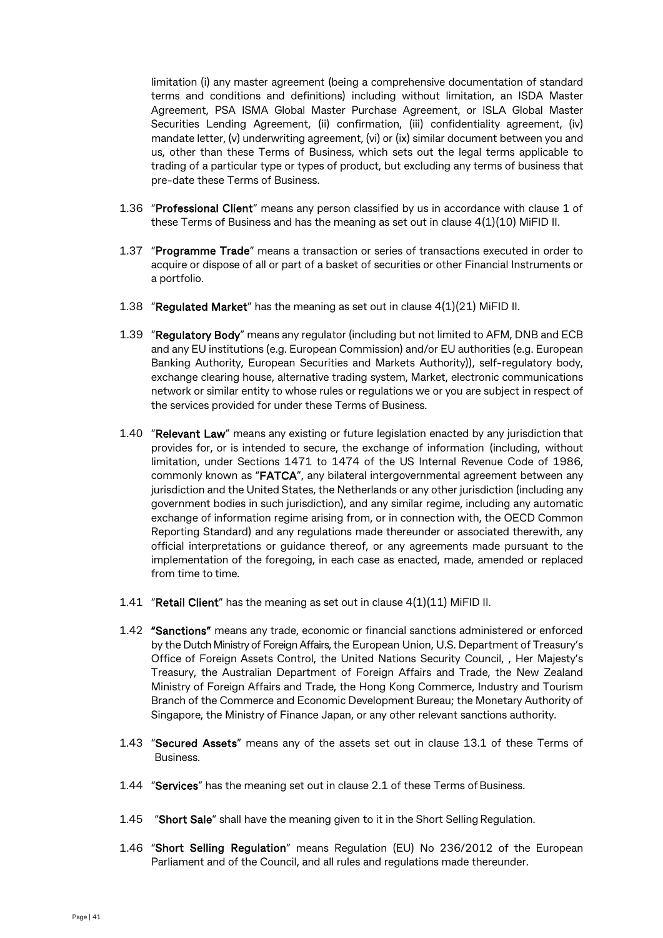limitation (i) any master agreement (being a comprehensive documentation of standard terms and conditions and definitions) including without limitation, an ISDA Master Agreement, PSA ISMA Global Master Purchase Agreement, or ISLA Global Master Securities Lending Agreement, (ii) confirmation, (iii) confidentiality agreement, (iv) mandate letter, (v) underwriting agreement, (vi) or (ix) similar document between you and us, other than these Terms of Business, which sets out the legal terms applicable to trading of a particular type or types of product, but excluding any terms of business that pre-date these Terms of Business.

- 1.36 "Professional Client" means any person classified by us in accordance with clause 1 of these Terms of Business and has the meaning as set out in clause  $4(1)(10)$  MiFID II.
- 1.37 "Programme Trade" means a transaction or series of transactions executed in order to acquire or dispose of all or part of a basket of securities or other Financial Instruments or a portfolio.
- 1.38 "Regulated Market" has the meaning as set out in clause 4(1)(21) MiFID II.
- 1.39 "Regulatory Body" means any regulator (including but not limited to AFM, DNB and ECB and any EU institutions (e.g. European Commission) and/or EU authorities (e.g. European Banking Authority, European Securities and Markets Authority)), self-regulatory body, exchange clearing house, alternative trading system, Market, electronic communications network or similar entity to whose rules or regulations we or you are subject in respect of the services provided for under these Terms of Business.
- 1.40 "Relevant Law" means any existing or future legislation enacted by any jurisdiction that provides for, or is intended to secure, the exchange of information (including, without limitation, under Sections 1471 to 1474 of the US Internal Revenue Code of 1986, commonly known as "FATCA", any bilateral intergovernmental agreement between any jurisdiction and the United States, the Netherlands or any other jurisdiction (including any government bodies in such jurisdiction), and any similar regime, including any automatic exchange of information regime arising from, or in connection with, the OECD Common Reporting Standard) and any regulations made thereunder or associated therewith, any official interpretations or guidance thereof, or any agreements made pursuant to the implementation of the foregoing, in each case as enacted, made, amended or replaced from time to time.
- 1.41 "Retail Client" has the meaning as set out in clause 4(1)(11) MiFID II.
- 1.42 "Sanctions" means any trade, economic or financial sanctions administered or enforced by the Dutch Ministry of Foreign Affairs, the European Union, U.S. Department of Treasury's Office of Foreign Assets Control, the United Nations Security Council, , Her Majesty's Treasury, the Australian Department of Foreign Affairs and Trade, the New Zealand Ministry of Foreign Affairs and Trade, the Hong Kong Commerce, Industry and Tourism Branch of the Commerce and Economic Development Bureau; the Monetary Authority of Singapore, the Ministry of Finance Japan, or any other relevant sanctions authority.
- 1.43 "Secured Assets" means any of the assets set out in clause 13.1 of these Terms of Business.
- 1.44 "Services" has the meaning set out in clause 2.1 of these Terms of Business.
- 1.45 "Short Sale" shall have the meaning given to it in the Short Selling Regulation.
- 1.46 "Short Selling Regulation" means Regulation (EU) No 236/2012 of the European Parliament and of the Council, and all rules and regulations made thereunder.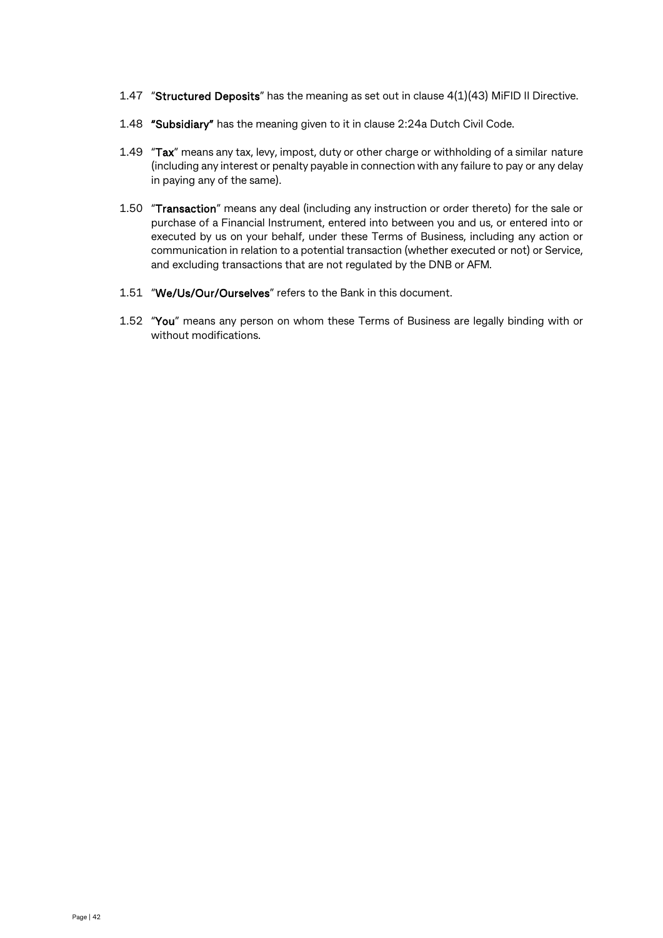- 1.47 "Structured Deposits" has the meaning as set out in clause 4(1)(43) MiFID II Directive.
- 1.48 "Subsidiary" has the meaning given to it in clause 2:24a Dutch Civil Code.
- 1.49 "Tax" means any tax, levy, impost, duty or other charge or withholding of a similar nature (including any interest or penalty payable in connection with any failure to pay or any delay in paying any of the same).
- 1.50 "Transaction" means any deal (including any instruction or order thereto) for the sale or purchase of a Financial Instrument, entered into between you and us, or entered into or executed by us on your behalf, under these Terms of Business, including any action or communication in relation to a potential transaction (whether executed or not) or Service, and excluding transactions that are not regulated by the DNB or AFM.
- 1.51 "We/Us/Our/Ourselves" refers to the Bank in this document.
- 1.52 "You" means any person on whom these Terms of Business are legally binding with or without modifications.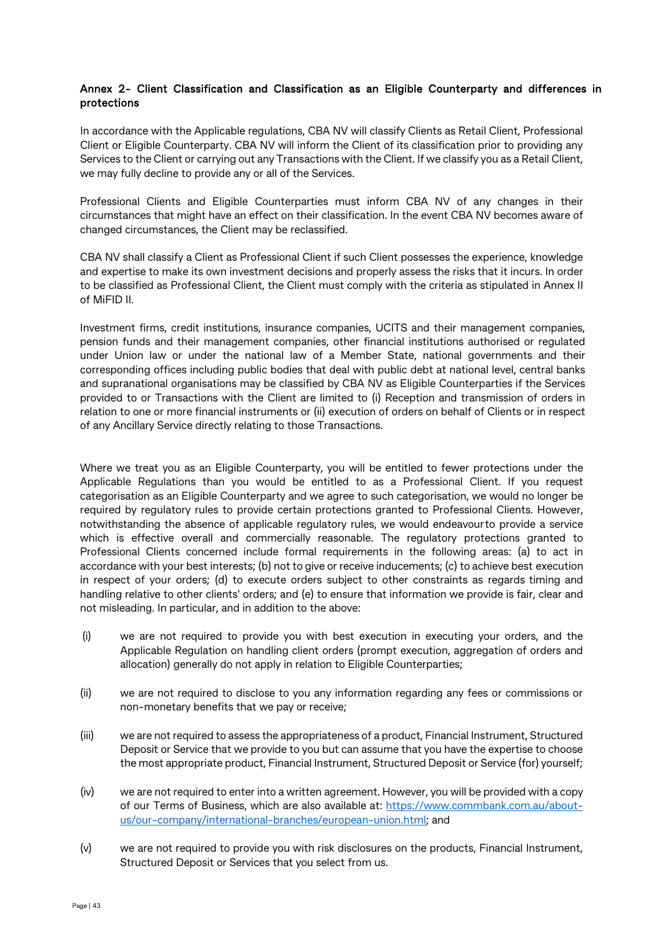## Annex 2- Client Classification and Classification as an Eligible Counterparty and differences in protections

In accordance with the Applicable regulations, CBA NV will classify Clients as Retail Client, Professional Client or Eligible Counterparty. CBA NV will inform the Client of its classification prior to providing any Services to the Client or carrying out any Transactions with the Client. If we classify you as a Retail Client, we may fully decline to provide any or all of the Services.

Professional Clients and Eligible Counterparties must inform CBA NV of any changes in their circumstances that might have an effect on their classification. In the event CBA NV becomes aware of changed circumstances, the Client may be reclassified.

CBA NV shall classify a Client as Professional Client if such Client possesses the experience, knowledge and expertise to make its own investment decisions and properly assess the risks that it incurs. In order to be classified as Professional Client, the Client must comply with the criteria as stipulated in Annex II of MiFID II.

Investment firms, credit institutions, insurance companies, UCITS and their management companies, pension funds and their management companies, other financial institutions authorised or regulated under Union law or under the national law of a Member State, national governments and their corresponding offices including public bodies that deal with public debt at national level, central banks and supranational organisations may be classified by CBA NV as Eligible Counterparties if the Services provided to or Transactions with the Client are limited to (i) Reception and transmission of orders in relation to one or more financial instruments or (ii) execution of orders on behalf of Clients or in respect of any Ancillary Service directly relating to those Transactions.

Where we treat you as an Eligible Counterparty, you will be entitled to fewer protections under the Applicable Regulations than you would be entitled to as a Professional Client. If you request categorisation as an Eligible Counterparty and we agree to such categorisation, we would no longer be required by regulatory rules to provide certain protections granted to Professional Clients. However, notwithstanding the absence of applicable regulatory rules, we would endeavourto provide a service which is effective overall and commercially reasonable. The regulatory protections granted to Professional Clients concerned include formal requirements in the following areas: (a) to act in accordance with your best interests; (b) not to give or receive inducements; (c) to achieve best execution in respect of your orders; (d) to execute orders subject to other constraints as regards timing and handling relative to other clients' orders; and (e) to ensure that information we provide is fair, clear and not misleading. In particular, and in addition to the above:

- (i) we are not required to provide you with best execution in executing your orders, and the Applicable Regulation on handling client orders (prompt execution, aggregation of orders and allocation) generally do not apply in relation to Eligible Counterparties;
- (ii) we are not required to disclose to you any information regarding any fees or commissions or non-monetary benefits that we pay or receive;
- (iii) we are not required to assess the appropriateness of a product, Financial Instrument, Structured Deposit or Service that we provide to you but can assume that you have the expertise to choose the most appropriate product, Financial Instrument, Structured Deposit or Service (for) yourself;
- (iv) we are not required to enter into a written agreement. However, you will be provided with a copy of our Terms of Business, which are also available at: [https://www.commbank.com.au/about](https://www.commbank.com.au/about-us/our-company/international-branches/european-union.html)[us/our-company/international-branches/european-union.html;](https://www.commbank.com.au/about-us/our-company/international-branches/european-union.html) and
- (v) we are not required to provide you with risk disclosures on the products, Financial Instrument, Structured Deposit or Services that you select from us.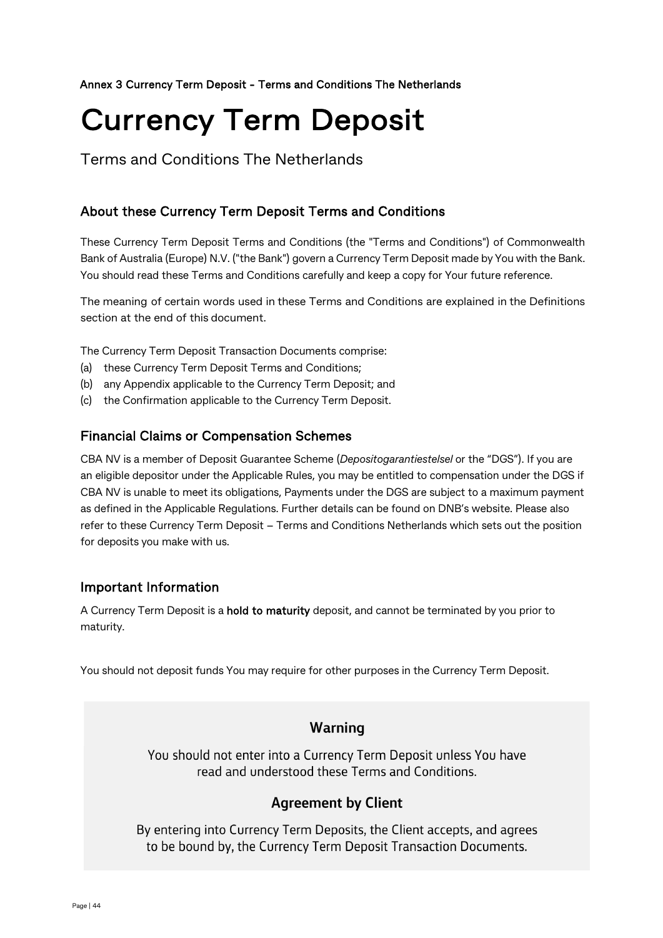## Annex 3 Currency Term Deposit - Terms and Conditions The Netherlands

# Currency Term Deposit

Terms and Conditions The Netherlands

# About these Currency Term Deposit Terms and Conditions

These Currency Term Deposit Terms and Conditions (the "Terms and Conditions") of Commonwealth Bank of Australia (Europe) N.V. ("the Bank") govern a Currency Term Deposit made by You with the Bank. You should read these Terms and Conditions carefully and keep a copy for Your future reference.

The meaning of certain words used in these Terms and Conditions are explained in the Definitions section at the end of this document.

The Currency Term Deposit Transaction Documents comprise:

- (a) these Currency Term Deposit Terms and Conditions;
- (b) any Appendix applicable to the Currency Term Deposit; and
- (c) the Confirmation applicable to the Currency Term Deposit.

# Financial Claims or Compensation Schemes

CBA NV is a member of Deposit Guarantee Scheme (*Depositogarantiestelsel* or the "DGS"). If you are an eligible depositor under the Applicable Rules, you may be entitled to compensation under the DGS if CBA NV is unable to meet its obligations, Payments under the DGS are subject to a maximum payment as defined in the Applicable Regulations. Further details can be found on DNB's website. Please also refer to these Currency Term Deposit – Terms and Conditions Netherlands which sets out the position for deposits you make with us.

# Important Information

A Currency Term Deposit is a hold to maturity deposit, and cannot be terminated by you prior to maturity.

You should not deposit funds You may require for other purposes in the Currency Term Deposit.

# Warning

You should not enter into a Currency Term Deposit unless You have read and understood these Terms and Conditions.

# **Agreement by Client**

By entering into Currency Term Deposits, the Client accepts, and agrees to be bound by, the Currency Term Deposit Transaction Documents.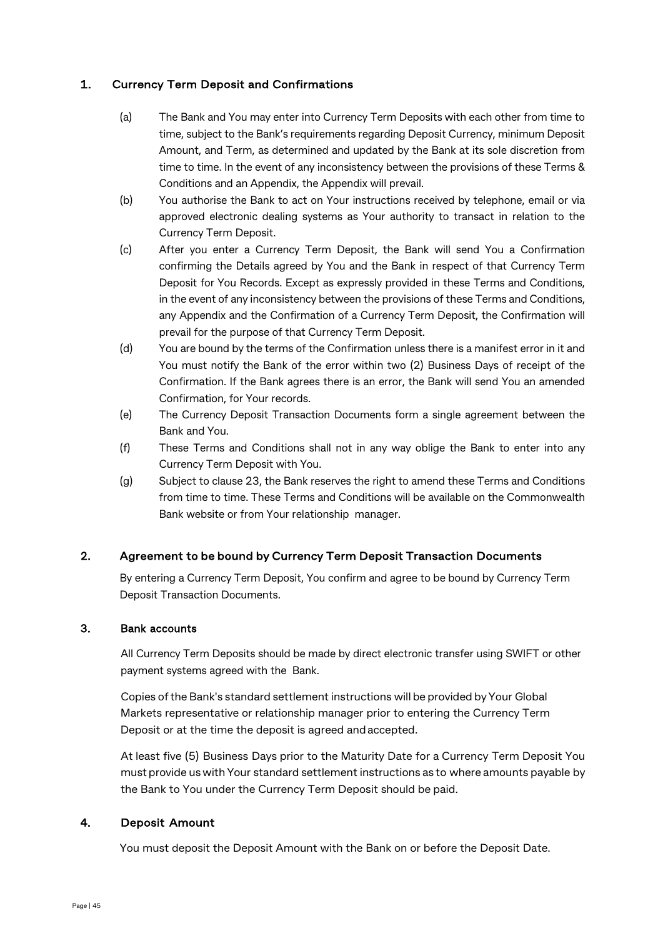## 1. Currency Term Deposit and Confirmations

- (a) The Bank and You may enter into Currency Term Deposits with each other from time to time, subject to the Bank's requirements regarding Deposit Currency, minimum Deposit Amount, and Term, as determined and updated by the Bank at its sole discretion from time to time. In the event of any inconsistency between the provisions of these Terms & Conditions and an Appendix, the Appendix will prevail.
- (b) You authorise the Bank to act on Your instructions received by telephone, email or via approved electronic dealing systems as Your authority to transact in relation to the Currency Term Deposit.
- (c) After you enter a Currency Term Deposit, the Bank will send You a Confirmation confirming the Details agreed by You and the Bank in respect of that Currency Term Deposit for You Records. Except as expressly provided in these Terms and Conditions, in the event of any inconsistency between the provisions of these Terms and Conditions, any Appendix and the Confirmation of a Currency Term Deposit, the Confirmation will prevail for the purpose of that Currency Term Deposit.
- (d) You are bound by the terms of the Confirmation unless there is a manifest error in it and You must notify the Bank of the error within two (2) Business Days of receipt of the Confirmation. If the Bank agrees there is an error, the Bank will send You an amended Confirmation, for Your records.
- (e) The Currency Deposit Transaction Documents form a single agreement between the Bank and You.
- (f) These Terms and Conditions shall not in any way oblige the Bank to enter into any Currency Term Deposit with You.
- (g) Subject to clause 23, the Bank reserves the right to amend these Terms and Conditions from time to time. These Terms and Conditions will be available on the Commonwealth Bank website or from Your relationship manager.

## 2. Agreement to be bound by Currency Term Deposit Transaction Documents

By entering a Currency Term Deposit, You confirm and agree to be bound by Currency Term Deposit Transaction Documents.

## 3. Bank accounts

All Currency Term Deposits should be made by direct electronic transfer using SWIFT or other payment systems agreed with the Bank.

Copies ofthe Bank's standard settlement instructions will be provided by Your Global Markets representative or relationship manager prior to entering the Currency Term Deposit or at the time the deposit is agreed andaccepted.

At least five (5) Business Days prior to the Maturity Date for a Currency Term Deposit You must provide us with Your standard settlement instructions as to where amounts payable by the Bank to You under the Currency Term Deposit should be paid.

## 4. Deposit Amount

You must deposit the Deposit Amount with the Bank on or before the Deposit Date.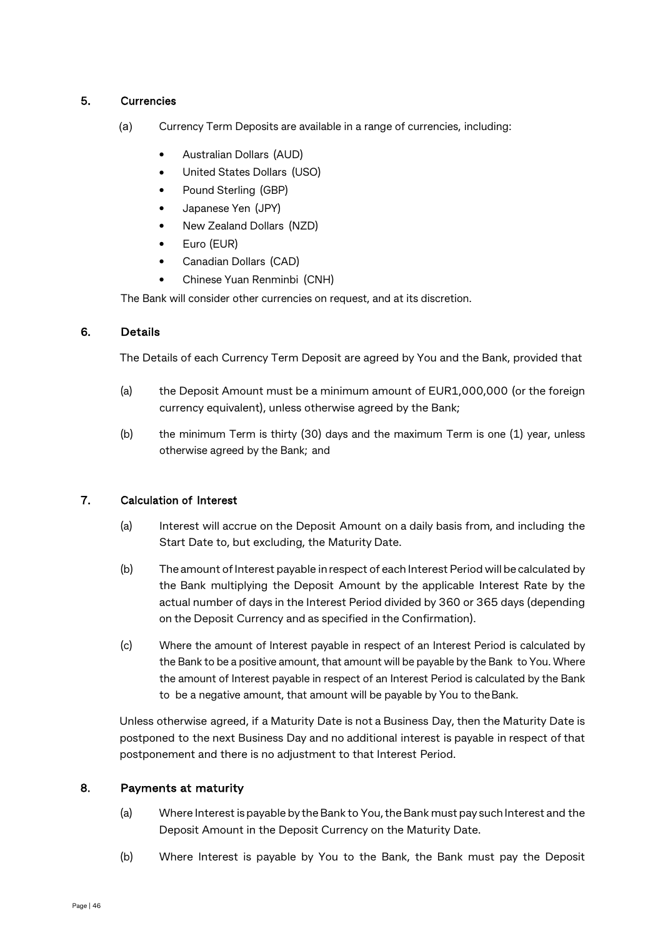## 5. Currencies

- (a) Currency Term Deposits are available in a range of currencies, including:
	- Australian Dollars (AUD)
	- United States Dollars (USO)
	- Pound Sterling (GBP)
	- Japanese Yen (JPY)
	- New Zealand Dollars (NZD)
	- Euro (EUR)
	- Canadian Dollars (CAD)
	- Chinese Yuan Renminbi (CNH)

The Bank will consider other currencies on request, and at its discretion.

## 6. Details

The Details of each Currency Term Deposit are agreed by You and the Bank, provided that

- (a) the Deposit Amount must be a minimum amount of EUR1,000,000 (or the foreign currency equivalent), unless otherwise agreed by the Bank;
- (b) the minimum Term is thirty (30) days and the maximum Term is one (1) year, unless otherwise agreed by the Bank; and

## 7. Calculation of Interest

- (a) Interest will accrue on the Deposit Amount on a daily basis from, and including the Start Date to, but excluding, the Maturity Date.
- (b) The amount of Interest payable in respect of each Interest Period will be calculated by the Bank multiplying the Deposit Amount by the applicable Interest Rate by the actual number of days in the Interest Period divided by 360 or 365 days (depending on the Deposit Currency and as specified in the Confirmation).
- (c) Where the amount of Interest payable in respect of an Interest Period is calculated by the Bank to be a positive amount, that amount will be payable by the Bank to You. Where the amount of Interest payable in respect of an Interest Period is calculated by the Bank to be a negative amount, that amount will be payable by You to theBank.

Unless otherwise agreed, if a Maturity Date is not a Business Day, then the Maturity Date is postponed to the next Business Day and no additional interest is payable in respect of that postponement and there is no adjustment to that Interest Period.

## 8. Payments at maturity

- (a) Where Interestispayable by theBank to You,theBank mustpay suchInterest and the Deposit Amount in the Deposit Currency on the Maturity Date.
- (b) Where Interest is payable by You to the Bank, the Bank must pay the Deposit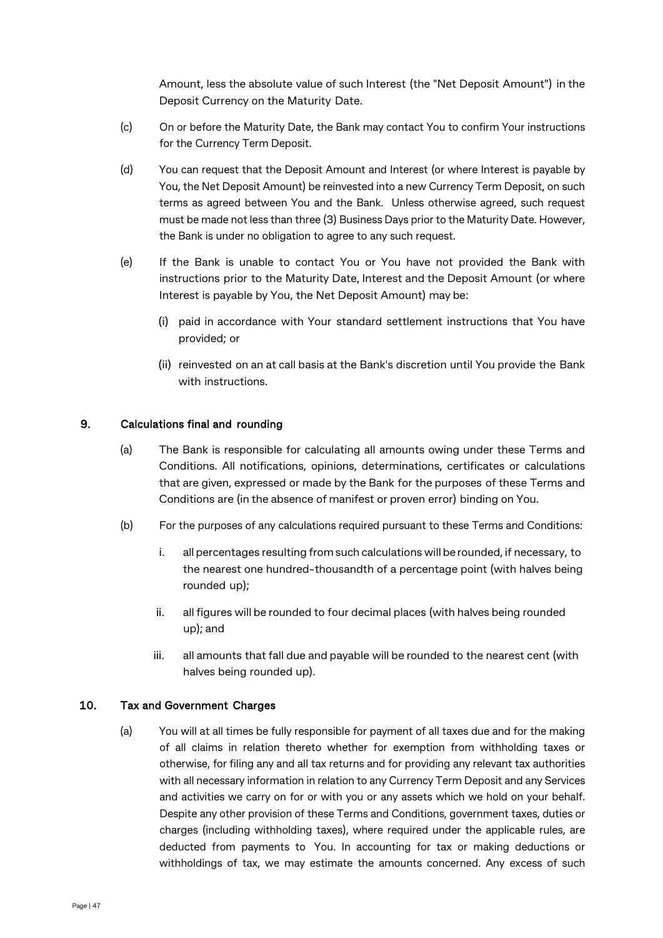Amount, less the absolute value of such Interest (the "Net Deposit Amount") in the Deposit Currency on the Maturity Date.

- (c) On or before the Maturity Date, the Bank may contact You to confirm Your instructions for the Currency Term Deposit.
- (d) You can request that the Deposit Amount and Interest (or where Interest is payable by You, the Net Deposit Amount) be reinvested into a new Currency Term Deposit, on such terms as agreed between You and the Bank. Unless otherwise agreed, such request must be made not less than three (3) Business Days prior to the Maturity Date. However, the Bank is under no obligation to agree to any such request.
- (e) If the Bank is unable to contact You or You have not provided the Bank with instructions prior to the Maturity Date, Interest and the Deposit Amount (or where Interest is payable by You, the Net Deposit Amount) may be:
	- (i) paid in accordance with Your standard settlement instructions that You have provided; or
	- (ii) reinvested on an at call basis at the Bank's discretion until You provide the Bank with instructions.

## 9. Calculations final and rounding

- (a) The Bank is responsible for calculating all amounts owing under these Terms and Conditions. All notifications, opinions, determinations, certificates or calculations that are given, expressed or made by the Bank for the purposes of these Terms and Conditions are (in the absence of manifest or proven error) binding on You.
- (b) For the purposes of any calculations required pursuant to these Terms and Conditions:
	- i. all percentages resulting from such calculations will be rounded, if necessary, to the nearest one hundred-thousandth of a percentage point (with halves being rounded up);
	- ii. all figures will be rounded to four decimal places (with halves being rounded up); and
	- iii. all amounts that fall due and payable will be rounded to the nearest cent (with halves being rounded up).

#### 10. Tax and Government Charges

(a) You will at all times be fully responsible for payment of all taxes due and for the making of all claims in relation thereto whether for exemption from withholding taxes or otherwise, for filing any and all tax returns and for providing any relevant tax authorities with all necessary information in relation to any Currency Term Deposit and any Services and activities we carry on for or with you or any assets which we hold on your behalf. Despite any other provision of these Terms and Conditions, government taxes, duties or charges (including withholding taxes), where required under the applicable rules, are deducted from payments to You. In accounting for tax or making deductions or withholdings of tax, we may estimate the amounts concerned. Any excess of such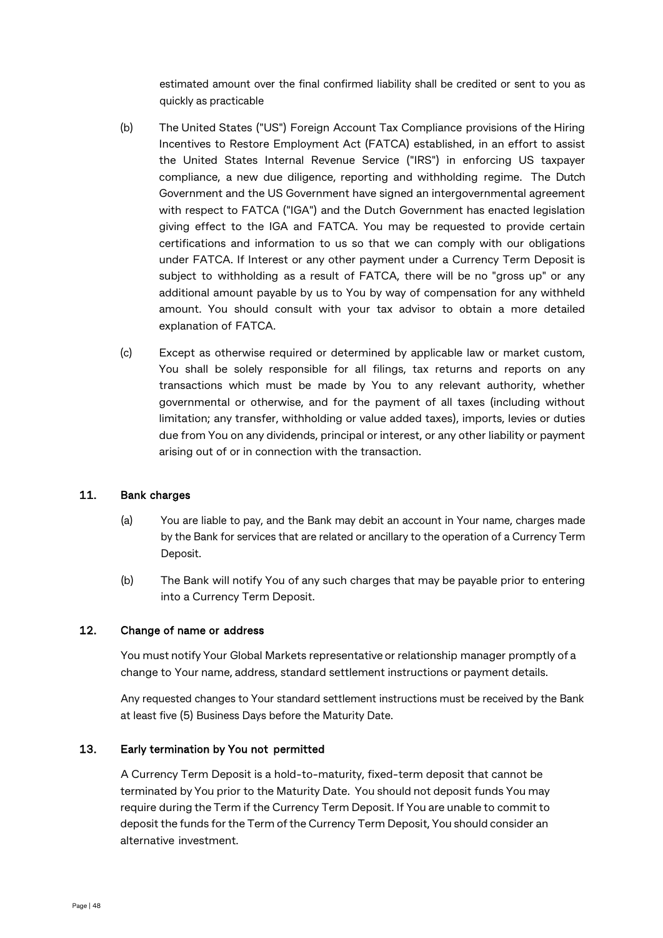estimated amount over the final confirmed liability shall be credited or sent to you as quickly as practicable

- (b) The United States ("US") Foreign Account Tax Compliance provisions of the Hiring Incentives to Restore Employment Act (FATCA) established, in an effort to assist the United States Internal Revenue Service ("IRS") in enforcing US taxpayer compliance, a new due diligence, reporting and withholding regime. The Dutch Government and the US Government have signed an intergovernmental agreement with respect to FATCA ("IGA") and the Dutch Government has enacted legislation giving effect to the IGA and FATCA. You may be requested to provide certain certifications and information to us so that we can comply with our obligations under FATCA. If Interest or any other payment under a Currency Term Deposit is subject to withholding as a result of FATCA, there will be no "gross up" or any additional amount payable by us to You by way of compensation for any withheld amount. You should consult with your tax advisor to obtain a more detailed explanation of FATCA.
- (c) Except as otherwise required or determined by applicable law or market custom, You shall be solely responsible for all filings, tax returns and reports on any transactions which must be made by You to any relevant authority, whether governmental or otherwise, and for the payment of all taxes (including without limitation; any transfer, withholding or value added taxes), imports, levies or duties due from You on any dividends, principal or interest, or any other liability or payment arising out of or in connection with the transaction.

## 11. Bank charges

- (a) You are liable to pay, and the Bank may debit an account in Your name, charges made by the Bank for services that are related or ancillary to the operation of a Currency Term Deposit.
- (b) The Bank will notify You of any such charges that may be payable prior to entering into a Currency Term Deposit.

#### 12. Change of name or address

You must notify Your Global Markets representative or relationship manager promptly of a change to Your name, address, standard settlement instructions or payment details.

Any requested changes to Your standard settlement instructions must be received by the Bank at least five (5) Business Days before the Maturity Date.

## 13. Early termination by You not permitted

A Currency Term Deposit is a hold-to-maturity, fixed-term deposit that cannot be terminated by You prior to the Maturity Date. You should not deposit funds You may require during the Term if the Currency Term Deposit. If You are unable to commit to deposit the funds for the Term of the Currency Term Deposit, You should consider an alternative investment.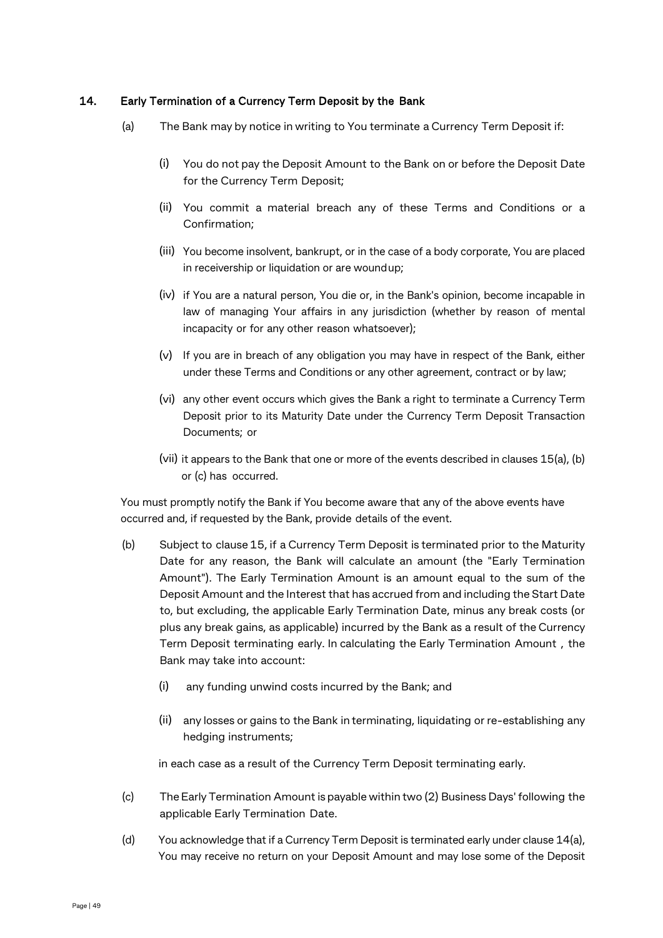## 14. Early Termination of a Currency Term Deposit by the Bank

- (a) The Bank may by notice in writing to You terminate a Currency Term Deposit if:
	- (i) You do not pay the Deposit Amount to the Bank on or before the Deposit Date for the Currency Term Deposit;
	- (ii) You commit a material breach any of these Terms and Conditions or a Confirmation;
	- (iii) You become insolvent, bankrupt, or in the case of a body corporate, You are placed in receivership or liquidation or are woundup;
	- (iv) if You are a natural person, You die or, in the Bank's opinion, become incapable in law of managing Your affairs in any jurisdiction (whether by reason of mental incapacity or for any other reason whatsoever);
	- (v) If you are in breach of any obligation you may have in respect of the Bank, either under these Terms and Conditions or any other agreement, contract or by law;
	- (vi) any other event occurs which gives the Bank a right to terminate a Currency Term Deposit prior to its Maturity Date under the Currency Term Deposit Transaction Documents; or
	- (vii) it appears to the Bank that one or more of the events described in clauses 15(a), (b) or (c) has occurred.

You must promptly notify the Bank if You become aware that any of the above events have occurred and, if requested by the Bank, provide details of the event.

- (b) Subject to clause 15, if a Currency Term Deposit is terminated prior to the Maturity Date for any reason, the Bank will calculate an amount (the "Early Termination Amount"). The Early Termination Amount is an amount equal to the sum of the Deposit Amount and the Interest that has accrued from and including the Start Date to, but excluding, the applicable Early Termination Date, minus any break costs (or plus any break gains, as applicable) incurred by the Bank as a result of the Currency Term Deposit terminating early. In calculating the Early Termination Amount , the Bank may take into account:
	- (i) any funding unwind costs incurred by the Bank; and
	- (ii) any losses or gains to the Bank in terminating, liquidating or re-establishing any hedging instruments;

in each case as a result of the Currency Term Deposit terminating early.

- (c) TheEarly Termination Amount is payable within two (2) Business Days' following the applicable Early Termination Date.
- (d) You acknowledge that if a Currency Term Deposit is terminated early under clause 14(a), You may receive no return on your Deposit Amount and may lose some of the Deposit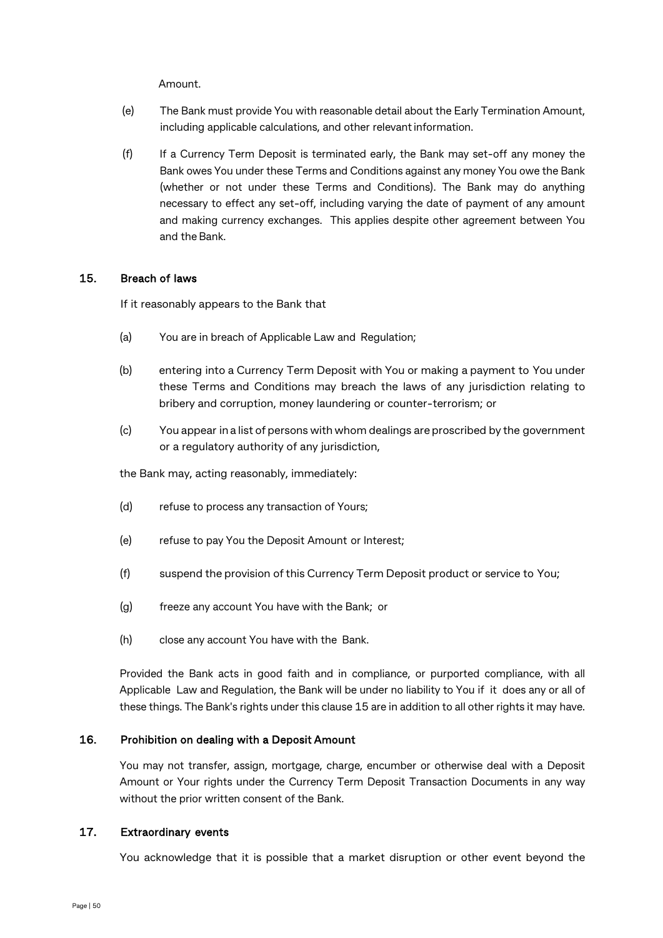Amount.

- (e) The Bank must provide You with reasonable detail about the Early Termination Amount, including applicable calculations, and other relevant information.
- (f) If a Currency Term Deposit is terminated early, the Bank may set-off any money the Bank owes You under these Terms and Conditions against any money You owe the Bank (whether or not under these Terms and Conditions). The Bank may do anything necessary to effect any set-off, including varying the date of payment of any amount and making currency exchanges. This applies despite other agreement between You and the Bank.

## 15. Breach of laws

If it reasonably appears to the Bank that

- (a) You are in breach of Applicable Law and Regulation;
- (b) entering into a Currency Term Deposit with You or making a payment to You under these Terms and Conditions may breach the laws of any jurisdiction relating to bribery and corruption, money laundering or counter-terrorism; or
- (c) You appear in a list of persons with whom dealings are proscribed by the government or a regulatory authority of any jurisdiction,

the Bank may, acting reasonably, immediately:

- (d) refuse to process any transaction of Yours;
- (e) refuse to pay You the Deposit Amount or Interest;
- (f) suspend the provision ofthis Currency Term Deposit product or service to You;
- (g) freeze any account You have with the Bank; or
- (h) close any account You have with the Bank.

Provided the Bank acts in good faith and in compliance, or purported compliance, with all Applicable Law and Regulation, the Bank will be under no liability to You if it does any or all of these things. The Bank's rights under this clause 15 are in addition to all other rights it may have.

## 16. Prohibition on dealing with a Deposit Amount

You may not transfer, assign, mortgage, charge, encumber or otherwise deal with a Deposit Amount or Your rights under the Currency Term Deposit Transaction Documents in any way without the prior written consent of the Bank.

## 17. Extraordinary events

You acknowledge that it is possible that a market disruption or other event beyond the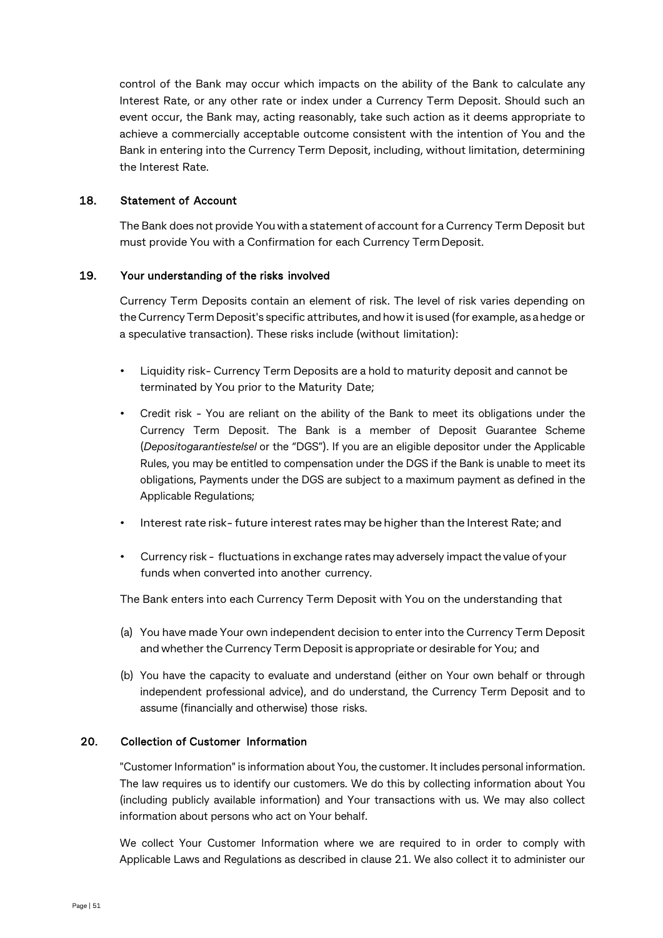control of the Bank may occur which impacts on the ability of the Bank to calculate any Interest Rate, or any other rate or index under a Currency Term Deposit. Should such an event occur, the Bank may, acting reasonably, take such action as it deems appropriate to achieve a commercially acceptable outcome consistent with the intention of You and the Bank in entering into the Currency Term Deposit, including, without limitation, determining the Interest Rate.

## 18. Statement of Account

The Bank does not provide You with a statement of account for a Currency Term Deposit but must provide You with a Confirmation for each Currency TermDeposit.

## 19. Your understanding of the risks involved

Currency Term Deposits contain an element of risk. The level of risk varies depending on theCurrency Term Deposit's specific attributes, and howit is used (for example, as ahedge or a speculative transaction). These risks include (without limitation):

- Liquidity risk- Currency Term Deposits are a hold to maturity deposit and cannot be terminated by You prior to the Maturity Date;
- Credit risk You are reliant on the ability of the Bank to meet its obligations under the Currency Term Deposit. The Bank is a member of Deposit Guarantee Scheme (*Depositogarantiestelsel* or the "DGS"). If you are an eligible depositor under the Applicable Rules, you may be entitled to compensation under the DGS if the Bank is unable to meet its obligations, Payments under the DGS are subject to a maximum payment as defined in the Applicable Regulations;
- Interest rate risk- future interest rates may be higher than the Interest Rate; and
- Currency risk fluctuations in exchange rates may adversely impact the value of your funds when converted into another currency.

The Bank enters into each Currency Term Deposit with You on the understanding that

- (a) You have made Your own independent decision to enter into the Currency Term Deposit and whether the Currency Term Deposit is appropriate or desirable for You; and
- (b) You have the capacity to evaluate and understand (either on Your own behalf or through independent professional advice), and do understand, the Currency Term Deposit and to assume (financially and otherwise) those risks.

## 20. Collection of Customer Information

"Customer Information" is information about You, the customer. It includes personal information. The law requires us to identify our customers. We do this by collecting information about You (including publicly available information) and Your transactions with us. We may also collect information about persons who act on Your behalf.

We collect Your Customer Information where we are required to in order to comply with Applicable Laws and Regulations as described in clause 21. We also collect it to administer our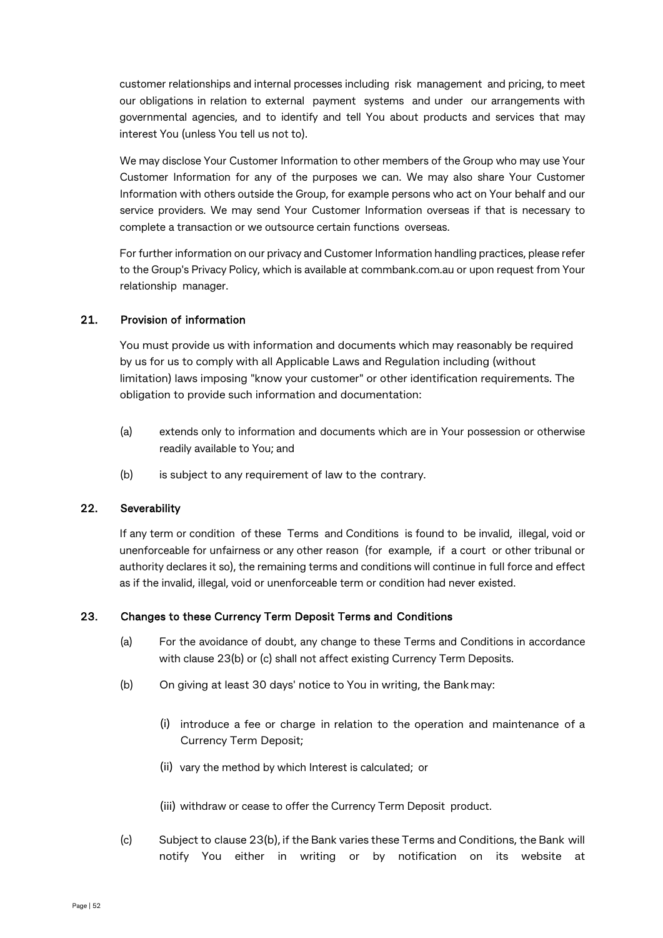customer relationships and internal processes including risk management and pricing, to meet our obligations in relation to external payment systems and under our arrangements with governmental agencies, and to identify and tell You about products and services that may interest You (unless You tell us not to).

We may disclose Your Customer Information to other members of the Group who may use Your Customer Information for any of the purposes we can. We may also share Your Customer Information with others outside the Group, for example persons who act on Your behalf and our service providers. We may send Your Customer Information overseas if that is necessary to complete a transaction or we outsource certain functions overseas.

For further information on our privacy and Customer Information handling practices, please refer to the Group's Privacy Policy, which is available at commbank.com.au or upon request from Your relationship manager.

## 21. Provision of information

You must provide us with information and documents which may reasonably be required by us for us to comply with all Applicable Laws and Regulation including (without limitation) laws imposing "know your customer" or other identification requirements. The obligation to provide such information and documentation:

- (a) extends only to information and documents which are in Your possession or otherwise readily available to You; and
- (b) is subject to any requirement of law to the contrary.

## 22. Severability

If any term or condition of these Terms and Conditions is found to be invalid, illegal, void or unenforceable for unfairness or any other reason (for example, if a court or other tribunal or authority declares it so), the remaining terms and conditions will continue in full force and effect as if the invalid, illegal, void or unenforceable term or condition had never existed.

## 23. Changes to these Currency Term Deposit Terms and Conditions

- (a) For the avoidance of doubt, any change to these Terms and Conditions in accordance with clause 23(b) or (c) shall not affect existing Currency Term Deposits.
- (b) On giving at least 30 days' notice to You in writing, the Bankmay:
	- (i) introduce a fee or charge in relation to the operation and maintenance of a Currency Term Deposit;
	- (ii) vary the method by which Interest is calculated; or

(iii) withdraw or cease to offer the Currency Term Deposit product.

(c) Subject to clause 23(b), if the Bank varies these Terms and Conditions, the Bank will notify You either in writing or by notification on its website at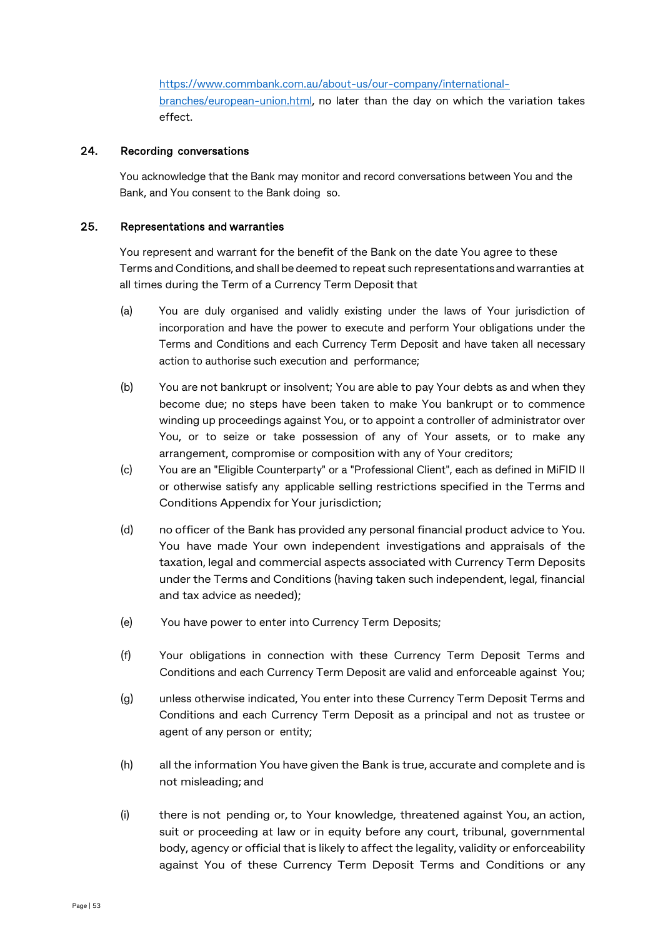[https://www.commbank.com.au/about-us/our-company/international](https://www.commbank.com.au/about-us/our-company/international-branches/european-union.html)[branches/european-union.html,](https://www.commbank.com.au/about-us/our-company/international-branches/european-union.html) no later than the day on which the variation takes effect.

#### 24. Recording conversations

You acknowledge that the Bank may monitor and record conversations between You and the Bank, and You consent to the Bank doing so.

#### 25. Representations and warranties

You represent and warrant for the benefit of the Bank on the date You agree to these Terms andConditions, and shall be deemed to repeat such representationsand warranties at all times during the Term of a Currency Term Deposit that

- (a) You are duly organised and validly existing under the laws of Your jurisdiction of incorporation and have the power to execute and perform Your obligations under the Terms and Conditions and each Currency Term Deposit and have taken all necessary action to authorise such execution and performance;
- (b) You are not bankrupt or insolvent; You are able to pay Your debts as and when they become due; no steps have been taken to make You bankrupt or to commence winding up proceedings against You, or to appoint a controller of administrator over You, or to seize or take possession of any of Your assets, or to make any arrangement, compromise or composition with any of Your creditors;
- (c) You are an "Eligible Counterparty" or a "Professional Client", each as defined in MiFID II or otherwise satisfy any applicable selling restrictions specified in the Terms and Conditions Appendix for Your jurisdiction;
- (d) no officer of the Bank has provided any personal financial product advice to You. You have made Your own independent investigations and appraisals of the taxation, legal and commercial aspects associated with Currency Term Deposits under the Terms and Conditions (having taken such independent, legal, financial and tax advice as needed);
- (e) You have power to enter into Currency Term Deposits;
- (f) Your obligations in connection with these Currency Term Deposit Terms and Conditions and each Currency Term Deposit are valid and enforceable against You;
- (g) unless otherwise indicated, You enter into these Currency Term Deposit Terms and Conditions and each Currency Term Deposit as a principal and not as trustee or agent of any person or entity;
- (h) all the information You have given the Bank is true, accurate and complete and is not misleading; and
- (i) there is not pending or, to Your knowledge, threatened against You, an action, suit or proceeding at law or in equity before any court, tribunal, governmental body, agency or official that is likely to affect the legality, validity or enforceability against You of these Currency Term Deposit Terms and Conditions or any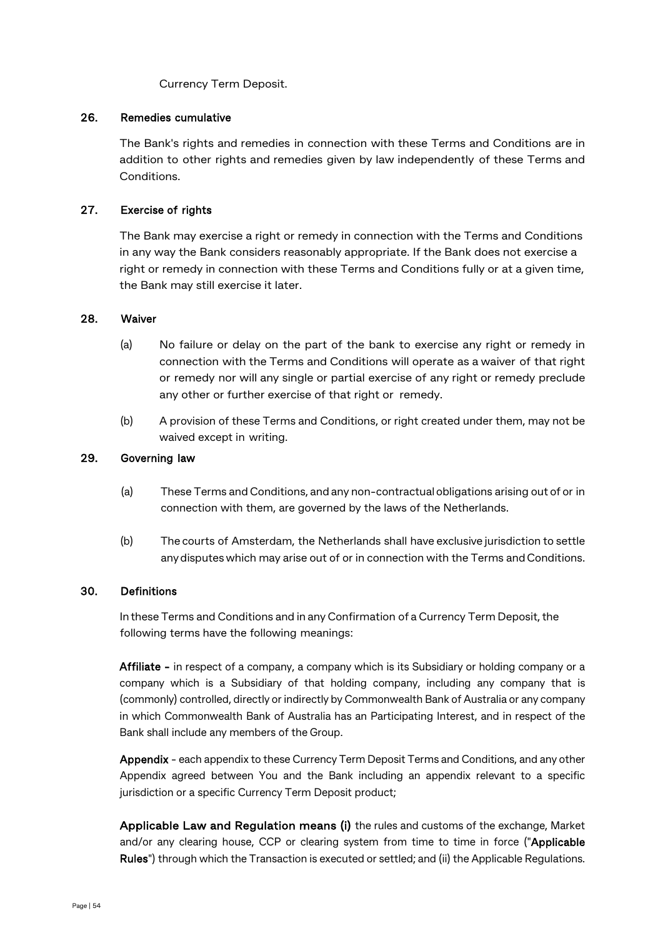Currency Term Deposit.

## 26. Remedies cumulative

The Bank's rights and remedies in connection with these Terms and Conditions are in addition to other rights and remedies given by law independently of these Terms and Conditions.

## 27. Exercise of rights

The Bank may exercise a right or remedy in connection with the Terms and Conditions in any way the Bank considers reasonably appropriate. If the Bank does not exercise a right or remedy in connection with these Terms and Conditions fully or at a given time, the Bank may still exercise it later.

#### 28. Waiver

- (a) No failure or delay on the part of the bank to exercise any right or remedy in connection with the Terms and Conditions will operate as a waiver of that right or remedy nor will any single or partial exercise of any right or remedy preclude any other or further exercise of that right or remedy.
- (b) A provision of these Terms and Conditions, or right created under them, may not be waived except in writing.

## 29. Governing law

- (a) These Terms andConditions, and any non-contractualobligations arising out of or in connection with them, are governed by the laws of the Netherlands.
- (b) The courts of Amsterdam, the Netherlands shall have exclusive jurisdiction to settle any disputes which may arise out of or in connection with the Terms and Conditions.

## 30. Definitions

In these Terms and Conditions and in any Confirmation of a Currency Term Deposit, the following terms have the following meanings:

Affiliate - in respect of a company, a company which is its Subsidiary or holding company or a company which is a Subsidiary of that holding company, including any company that is (commonly) controlled, directly or indirectly by Commonwealth Bank of Australia or any company in which Commonwealth Bank of Australia has an Participating Interest, and in respect of the Bank shall include any members of the Group.

Appendix - each appendix to these Currency Term Deposit Terms and Conditions, and any other Appendix agreed between You and the Bank including an appendix relevant to a specific jurisdiction or a specific Currency Term Deposit product;

Applicable Law and Regulation means (i) the rules and customs of the exchange, Market and/or any clearing house, CCP or clearing system from time to time in force ("Applicable Rules") through which the Transaction is executed or settled; and (ii) the Applicable Regulations.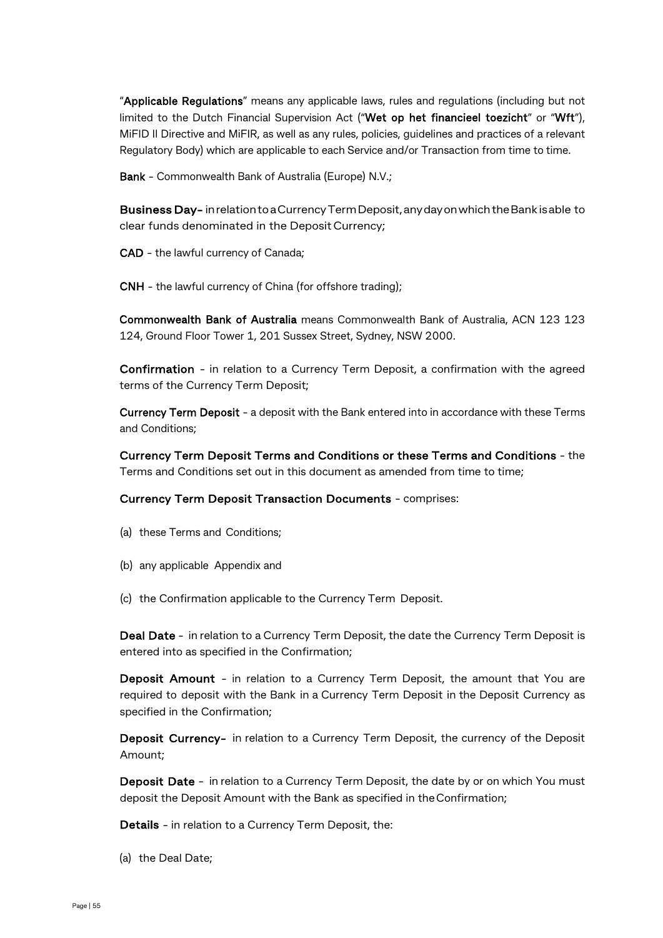"Applicable Regulations" means any applicable laws, rules and regulations (including but not limited to the Dutch Financial Supervision Act ("Wet op het financieel toezicht" or "Wft"), MiFID II Directive and MiFIR, as well as any rules, policies, guidelines and practices of a relevant Regulatory Body) which are applicable to each Service and/or Transaction from time to time.

Bank - Commonwealth Bank of Australia (Europe) N.V.;

Business Day- inrelationtoaCurrencyTermDeposit,anydayonwhichtheBank isable to clear funds denominated in the Deposit Currency;

CAD - the lawful currency of Canada;

CNH - the lawful currency of China (for offshore trading);

Commonwealth Bank of Australia means Commonwealth Bank of Australia, ACN 123 123 124, Ground Floor Tower 1, 201 Sussex Street, Sydney, NSW 2000.

Confirmation - in relation to a Currency Term Deposit, a confirmation with the agreed terms of the Currency Term Deposit;

Currency Term Deposit - a deposit with the Bank entered into in accordance with these Terms and Conditions;

Currency Term Deposit Terms and Conditions or these Terms and Conditions - the Terms and Conditions set out in this document as amended from time to time;

## Currency Term Deposit Transaction Documents - comprises:

- (a) these Terms and Conditions;
- (b) any applicable Appendix and
- (c) the Confirmation applicable to the Currency Term Deposit.

Deal Date - in relation to a Currency Term Deposit, the date the Currency Term Deposit is entered into as specified in the Confirmation;

Deposit Amount - in relation to a Currency Term Deposit, the amount that You are required to deposit with the Bank in a Currency Term Deposit in the Deposit Currency as specified in the Confirmation;

Deposit Currency- in relation to a Currency Term Deposit, the currency of the Deposit Amount;

Deposit Date - in relation to a Currency Term Deposit, the date by or on which You must deposit the Deposit Amount with the Bank as specified in theConfirmation;

Details - in relation to a Currency Term Deposit, the:

(a) the Deal Date;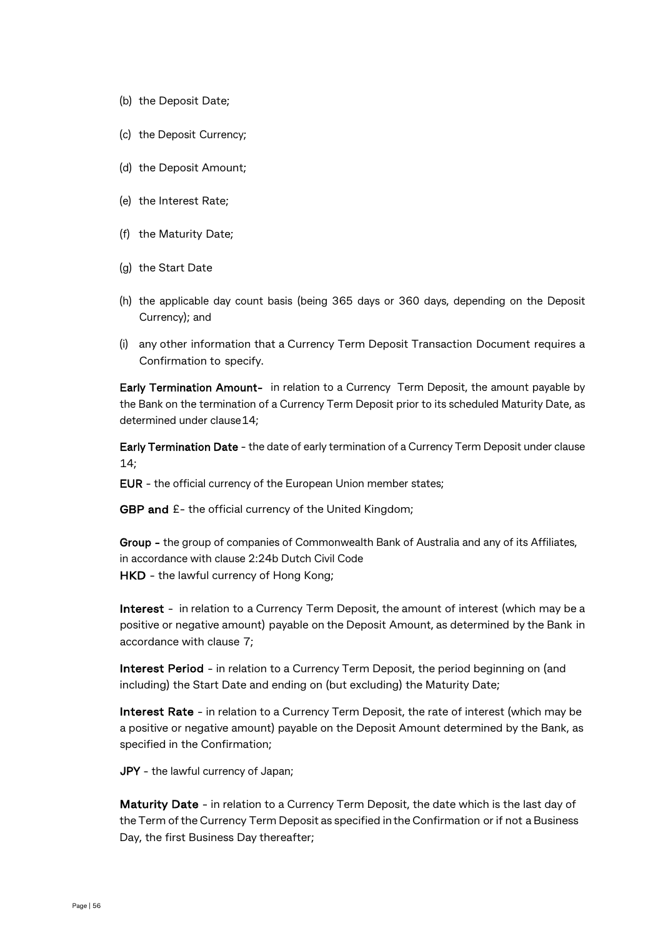- (b) the Deposit Date;
- (c) the Deposit Currency;
- (d) the Deposit Amount;
- (e) the Interest Rate;
- (f) the Maturity Date;
- (g) the Start Date
- (h) the applicable day count basis (being 365 days or 360 days, depending on the Deposit Currency); and
- (i) any other information that a Currency Term Deposit Transaction Document requires a Confirmation to specify.

Early Termination Amount- in relation to a Currency Term Deposit, the amount payable by the Bank on the termination of a Currency Term Deposit prior to its scheduled Maturity Date, as determined under clause14;

Early Termination Date - the date of early termination of a Currency Term Deposit under clause  $14:$ 

EUR - the official currency of the European Union member states;

GBP and  $E$ - the official currency of the United Kingdom;

Group - the group of companies of Commonwealth Bank of Australia and any of its Affiliates, in accordance with clause 2:24b Dutch Civil Code HKD - the lawful currency of Hong Kong;

Interest - in relation to a Currency Term Deposit, the amount of interest (which may be a positive or negative amount) payable on the Deposit Amount, as determined by the Bank in accordance with clause 7;

Interest Period - in relation to a Currency Term Deposit, the period beginning on (and including) the Start Date and ending on (but excluding) the Maturity Date;

Interest Rate - in relation to a Currency Term Deposit, the rate of interest (which may be a positive or negative amount) payable on the Deposit Amount determined by the Bank, as specified in the Confirmation;

JPY - the lawful currency of Japan;

Maturity Date - in relation to a Currency Term Deposit, the date which is the last day of the Term of the Currency Term Deposit as specified in the Confirmation or if not a Business Day, the first Business Day thereafter;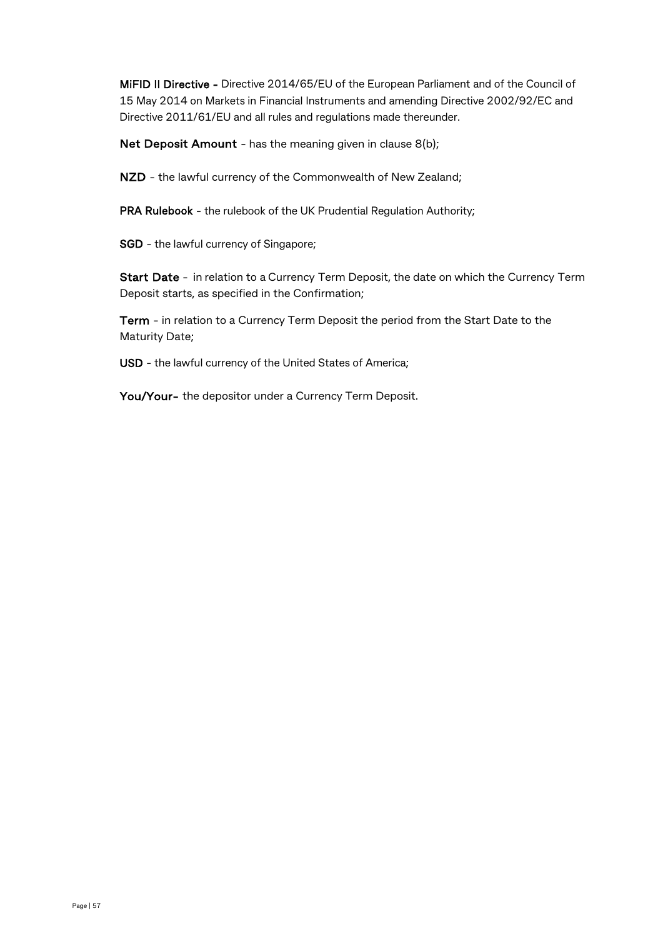MiFID II Directive - Directive 2014/65/EU of the European Parliament and of the Council of 15 May 2014 on Markets in Financial Instruments and amending Directive 2002/92/EC and Directive 2011/61/EU and all rules and regulations made thereunder.

Net Deposit Amount - has the meaning given in clause 8(b);

NZD - the lawful currency of the Commonwealth of New Zealand;

PRA Rulebook - the rulebook of the UK Prudential Regulation Authority;

SGD - the lawful currency of Singapore;

Start Date - in relation to a Currency Term Deposit, the date on which the Currency Term Deposit starts, as specified in the Confirmation;

Term - in relation to a Currency Term Deposit the period from the Start Date to the Maturity Date;

USD - the lawful currency of the United States of America;

You/Your- the depositor under a Currency Term Deposit.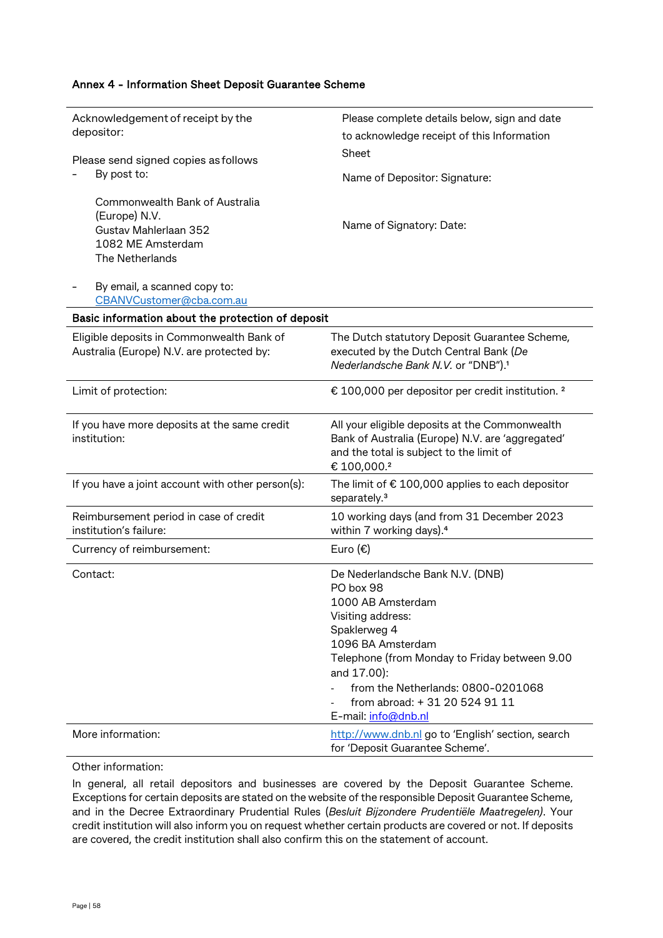| Acknowledgement of receipt by the<br>depositor:                                                                  | Please complete details below, sign and date<br>to acknowledge receipt of this Information                                                                                                                                                                                                  |
|------------------------------------------------------------------------------------------------------------------|---------------------------------------------------------------------------------------------------------------------------------------------------------------------------------------------------------------------------------------------------------------------------------------------|
| Please send signed copies as follows                                                                             | Sheet                                                                                                                                                                                                                                                                                       |
| By post to:                                                                                                      | Name of Depositor: Signature:                                                                                                                                                                                                                                                               |
| Commonwealth Bank of Australia<br>(Europe) N.V.<br>Gustav Mahlerlaan 352<br>1082 ME Amsterdam<br>The Netherlands | Name of Signatory: Date:                                                                                                                                                                                                                                                                    |
| By email, a scanned copy to:<br>CBANVCustomer@cba.com.au                                                         |                                                                                                                                                                                                                                                                                             |
| Basic information about the protection of deposit                                                                |                                                                                                                                                                                                                                                                                             |
| Eligible deposits in Commonwealth Bank of<br>Australia (Europe) N.V. are protected by:                           | The Dutch statutory Deposit Guarantee Scheme,<br>executed by the Dutch Central Bank (De<br>Nederlandsche Bank N.V. or "DNB"). <sup>1</sup>                                                                                                                                                  |
| Limit of protection:                                                                                             | € 100,000 per depositor per credit institution. <sup>2</sup>                                                                                                                                                                                                                                |
| If you have more deposits at the same credit<br>institution:                                                     | All your eligible deposits at the Commonwealth<br>Bank of Australia (Europe) N.V. are 'aggregated'<br>and the total is subject to the limit of<br>€100,000.2                                                                                                                                |
| If you have a joint account with other person(s):                                                                | The limit of € 100,000 applies to each depositor<br>separately. <sup>3</sup>                                                                                                                                                                                                                |
| Reimbursement period in case of credit<br>institution's failure:                                                 | 10 working days (and from 31 December 2023<br>within 7 working days). <sup>4</sup>                                                                                                                                                                                                          |
| Currency of reimbursement:                                                                                       | Euro $(\epsilon)$                                                                                                                                                                                                                                                                           |
| Contact:                                                                                                         | De Nederlandsche Bank N.V. (DNB)<br>PO box 98<br>1000 AB Amsterdam<br>Visiting address:<br>Spaklerweg 4<br>1096 BA Amsterdam<br>Telephone (from Monday to Friday between 9.00<br>and 17.00):<br>from the Netherlands: 0800-0201068<br>from abroad: + 31 20 524 91 11<br>E-mail: info@dnb.nl |
| More information:                                                                                                | http://www.dnb.nl go to 'English' section, search<br>for 'Deposit Guarantee Scheme'.                                                                                                                                                                                                        |

Other information:

In general, all retail depositors and businesses are covered by the Deposit Guarantee Scheme. Exceptions for certain deposits are stated on the website of the responsible Deposit Guarantee Scheme, and in the Decree Extraordinary Prudential Rules (*Besluit Bijzondere Prudentiële Maatregelen)*. Your credit institution will also inform you on request whether certain products are covered or not. If deposits are covered, the credit institution shall also confirm this on the statement of account.